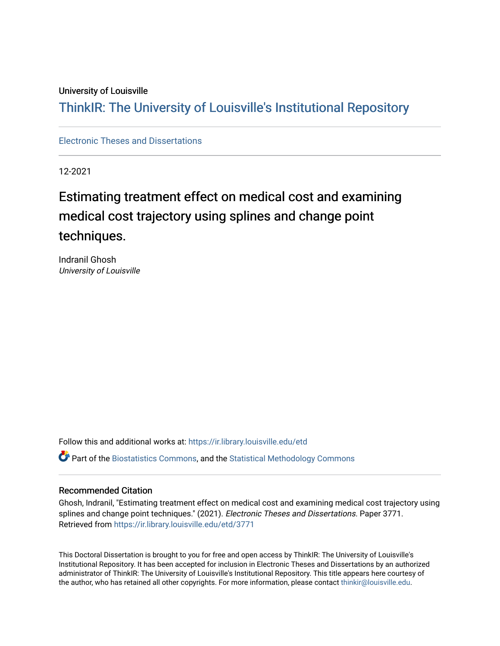#### University of Louisville

# ThinkIR: The Univ[ersity of Louisville's Institutional Reposit](https://ir.library.louisville.edu/)ory

[Electronic Theses and Dissertations](https://ir.library.louisville.edu/etd)

12-2021

# Estimating treatment effect on medical cost and examining medical cost trajectory using splines and change point techniques.

Indranil Ghosh University of Louisville

Follow this and additional works at: [https://ir.library.louisville.edu/etd](https://ir.library.louisville.edu/etd?utm_source=ir.library.louisville.edu%2Fetd%2F3771&utm_medium=PDF&utm_campaign=PDFCoverPages) 

Part of the [Biostatistics Commons,](https://network.bepress.com/hgg/discipline/210?utm_source=ir.library.louisville.edu%2Fetd%2F3771&utm_medium=PDF&utm_campaign=PDFCoverPages) and the [Statistical Methodology Commons](https://network.bepress.com/hgg/discipline/213?utm_source=ir.library.louisville.edu%2Fetd%2F3771&utm_medium=PDF&utm_campaign=PDFCoverPages) 

#### Recommended Citation

Ghosh, Indranil, "Estimating treatment effect on medical cost and examining medical cost trajectory using splines and change point techniques." (2021). Electronic Theses and Dissertations. Paper 3771. Retrieved from [https://ir.library.louisville.edu/etd/3771](https://ir.library.louisville.edu/etd/3771?utm_source=ir.library.louisville.edu%2Fetd%2F3771&utm_medium=PDF&utm_campaign=PDFCoverPages) 

This Doctoral Dissertation is brought to you for free and open access by ThinkIR: The University of Louisville's Institutional Repository. It has been accepted for inclusion in Electronic Theses and Dissertations by an authorized administrator of ThinkIR: The University of Louisville's Institutional Repository. This title appears here courtesy of the author, who has retained all other copyrights. For more information, please contact [thinkir@louisville.edu.](mailto:thinkir@louisville.edu)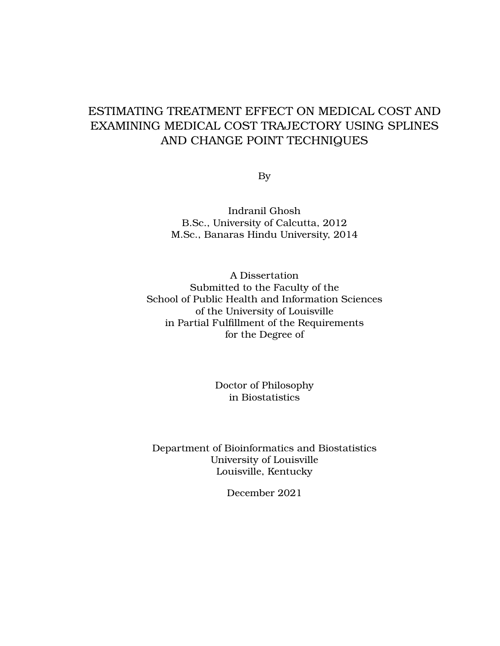## ESTIMATING TREATMENT EFFECT ON MEDICAL COST AND EXAMINING MEDICAL COST TRAJECTORY USING SPLINES AND CHANGE POINT TECHNIQUES

By

Indranil Ghosh B.Sc., University of Calcutta, 2012 M.Sc., Banaras Hindu University, 2014

A Dissertation Submitted to the Faculty of the School of Public Health and Information Sciences of the University of Louisville in Partial Fulfillment of the Requirements for the Degree of

> Doctor of Philosophy in Biostatistics

Department of Bioinformatics and Biostatistics University of Louisville Louisville, Kentucky

December 2021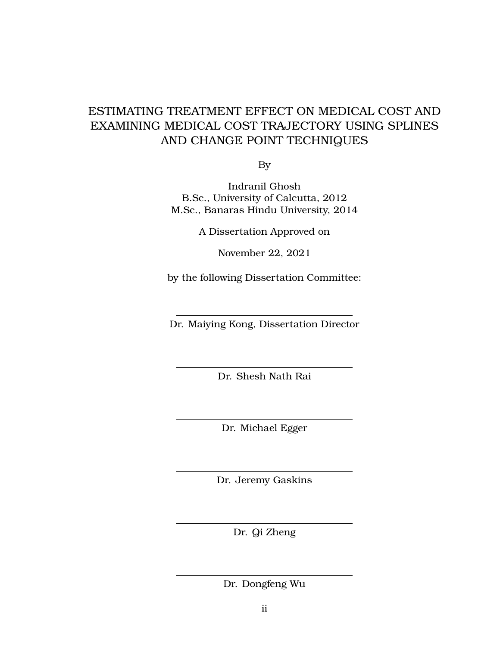# ESTIMATING TREATMENT EFFECT ON MEDICAL COST AND EXAMINING MEDICAL COST TRAJECTORY USING SPLINES AND CHANGE POINT TECHNIQUES

By

Indranil Ghosh B.Sc., University of Calcutta, 2012 M.Sc., Banaras Hindu University, 2014

A Dissertation Approved on

November 22, 2021

by the following Dissertation Committee:

Dr. Maiying Kong, Dissertation Director

Dr. Shesh Nath Rai

Dr. Michael Egger

Dr. Jeremy Gaskins

Dr. Qi Zheng

Dr. Dongfeng Wu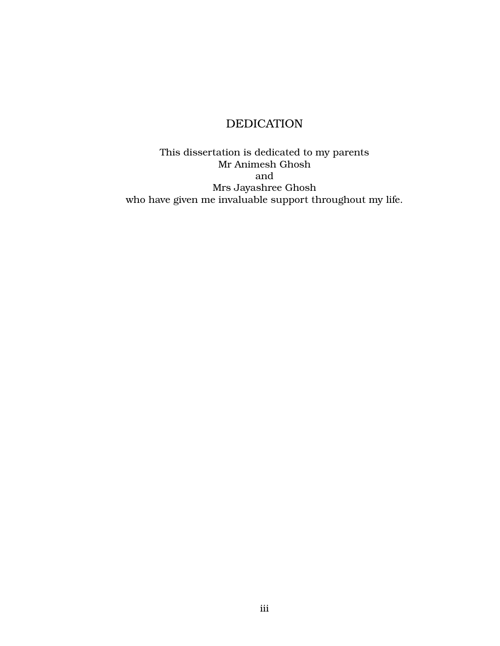## DEDICATION

<span id="page-4-0"></span>This dissertation is dedicated to my parents Mr Animesh Ghosh and Mrs Jayashree Ghosh who have given me invaluable support throughout my life.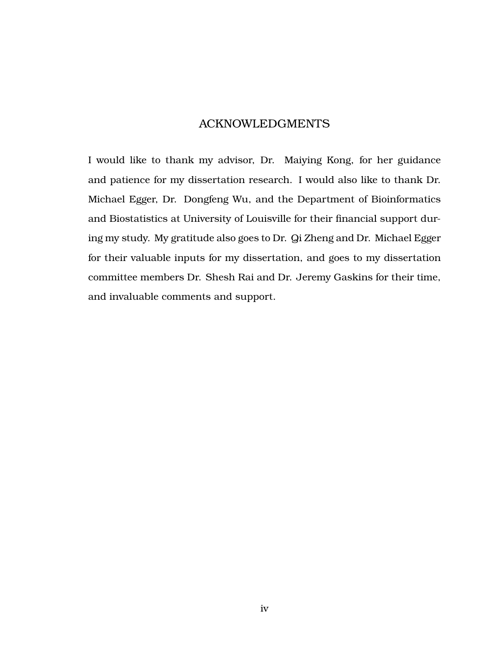### ACKNOWLEDGMENTS

<span id="page-5-0"></span>I would like to thank my advisor, Dr. Maiying Kong, for her guidance and patience for my dissertation research. I would also like to thank Dr. Michael Egger, Dr. Dongfeng Wu, and the Department of Bioinformatics and Biostatistics at University of Louisville for their financial support during my study. My gratitude also goes to Dr. Qi Zheng and Dr. Michael Egger for their valuable inputs for my dissertation, and goes to my dissertation committee members Dr. Shesh Rai and Dr. Jeremy Gaskins for their time, and invaluable comments and support.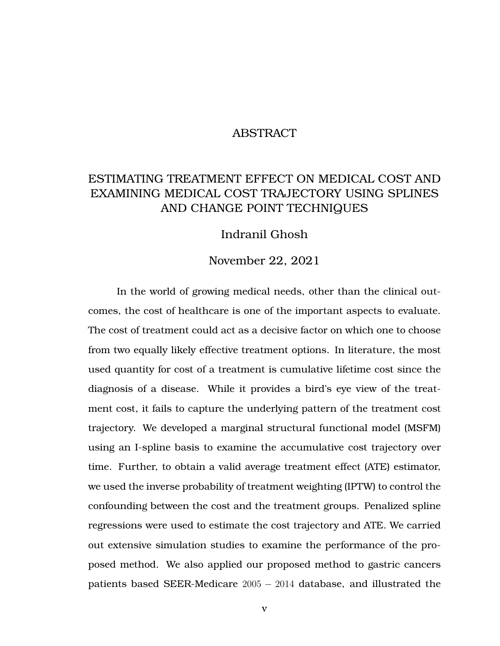### ABSTRACT

# <span id="page-6-0"></span>ESTIMATING TREATMENT EFFECT ON MEDICAL COST AND EXAMINING MEDICAL COST TRAJECTORY USING SPLINES AND CHANGE POINT TECHNIQUES

### Indranil Ghosh

#### November 22, 2021

In the world of growing medical needs, other than the clinical outcomes, the cost of healthcare is one of the important aspects to evaluate. The cost of treatment could act as a decisive factor on which one to choose from two equally likely effective treatment options. In literature, the most used quantity for cost of a treatment is cumulative lifetime cost since the diagnosis of a disease. While it provides a bird's eye view of the treatment cost, it fails to capture the underlying pattern of the treatment cost trajectory. We developed a marginal structural functional model (MSFM) using an I-spline basis to examine the accumulative cost trajectory over time. Further, to obtain a valid average treatment effect (ATE) estimator, we used the inverse probability of treatment weighting (IPTW) to control the confounding between the cost and the treatment groups. Penalized spline regressions were used to estimate the cost trajectory and ATE. We carried out extensive simulation studies to examine the performance of the proposed method. We also applied our proposed method to gastric cancers patients based SEER-Medicare 2005 − 2014 database, and illustrated the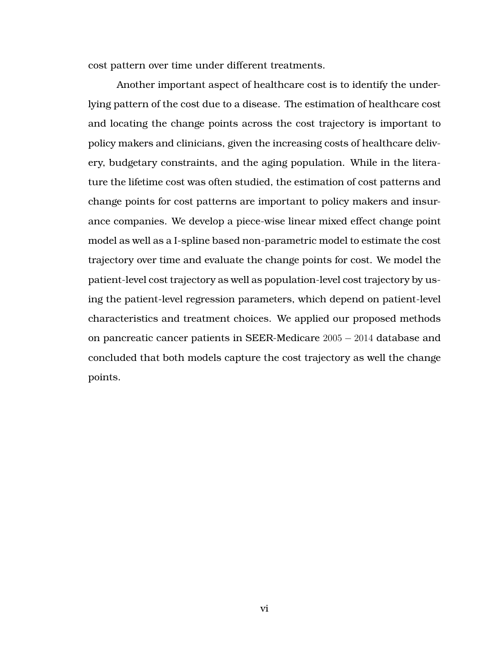cost pattern over time under different treatments.

Another important aspect of healthcare cost is to identify the underlying pattern of the cost due to a disease. The estimation of healthcare cost and locating the change points across the cost trajectory is important to policy makers and clinicians, given the increasing costs of healthcare delivery, budgetary constraints, and the aging population. While in the literature the lifetime cost was often studied, the estimation of cost patterns and change points for cost patterns are important to policy makers and insurance companies. We develop a piece-wise linear mixed effect change point model as well as a I-spline based non-parametric model to estimate the cost trajectory over time and evaluate the change points for cost. We model the patient-level cost trajectory as well as population-level cost trajectory by using the patient-level regression parameters, which depend on patient-level characteristics and treatment choices. We applied our proposed methods on pancreatic cancer patients in SEER-Medicare 2005 − 2014 database and concluded that both models capture the cost trajectory as well the change points.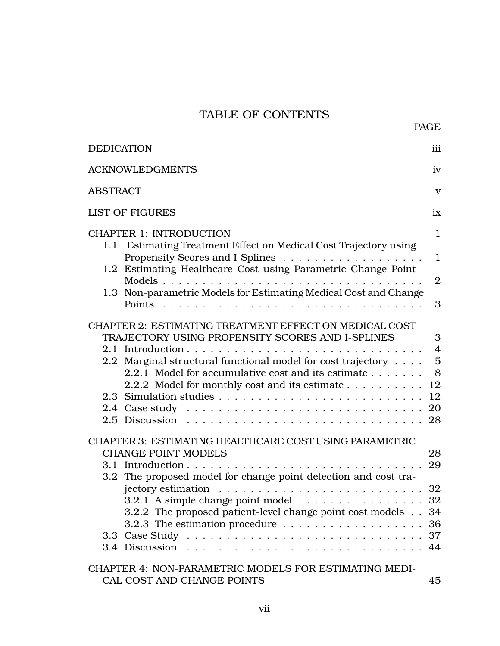## TABLE OF CONTENTS

| <b>DEDICATION</b>                                                                                                                                                                                                                                                                 | iii                                                                |  |  |  |  |
|-----------------------------------------------------------------------------------------------------------------------------------------------------------------------------------------------------------------------------------------------------------------------------------|--------------------------------------------------------------------|--|--|--|--|
| <b>ACKNOWLEDGMENTS</b><br>iv                                                                                                                                                                                                                                                      |                                                                    |  |  |  |  |
| <b>ABSTRACT</b>                                                                                                                                                                                                                                                                   | $\mathbf{V}$                                                       |  |  |  |  |
| <b>LIST OF FIGURES</b>                                                                                                                                                                                                                                                            | ix                                                                 |  |  |  |  |
| <b>CHAPTER 1: INTRODUCTION</b>                                                                                                                                                                                                                                                    |                                                                    |  |  |  |  |
| 1.1 Estimating Treatment Effect on Medical Cost Trajectory using                                                                                                                                                                                                                  | $\mathbf{1}$                                                       |  |  |  |  |
| 1.2 Estimating Healthcare Cost using Parametric Change Point                                                                                                                                                                                                                      | $\overline{2}$                                                     |  |  |  |  |
| 1.3 Non-parametric Models for Estimating Medical Cost and Change                                                                                                                                                                                                                  | 3                                                                  |  |  |  |  |
| CHAPTER 2: ESTIMATING TREATMENT EFFECT ON MEDICAL COST<br>TRAJECTORY USING PROPENSITY SCORES AND I-SPLINES<br>2.2 Marginal structural functional model for cost trajectory<br>2.2.1 Model for accumulative cost and its estimate<br>2.2.2 Model for monthly cost and its estimate | 3<br>$\overline{4}$<br>$\overline{5}$<br>8<br>12<br>12<br>20<br>28 |  |  |  |  |
| <b>CHAPTER 3: ESTIMATING HEALTHCARE COST USING PARAMETRIC</b><br><b>CHANGE POINT MODELS</b><br>3.2 The proposed model for change point detection and cost tra-                                                                                                                    | 28<br>29<br>32                                                     |  |  |  |  |
| 3.2.1 A simple change point model<br>3.2.2 The proposed patient-level change point cost models 34<br>3.2.3 The estimation procedure $\ldots \ldots \ldots \ldots \ldots$ .<br>3.4 Discussion                                                                                      | 32                                                                 |  |  |  |  |
| CHAPTER 4: NON-PARAMETRIC MODELS FOR ESTIMATING MEDI-<br>CAL COST AND CHANGE POINTS                                                                                                                                                                                               | 45                                                                 |  |  |  |  |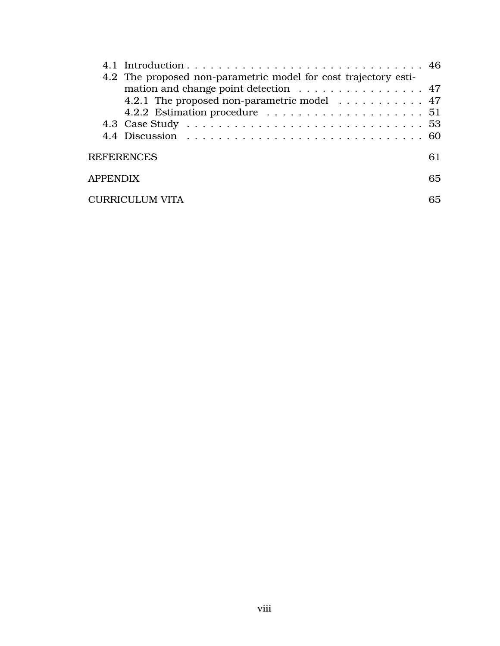|                 | 4.2 The proposed non-parametric model for cost trajectory esti- |    |  |  |  |  |  |  |
|-----------------|-----------------------------------------------------------------|----|--|--|--|--|--|--|
|                 | mation and change point detection 47                            |    |  |  |  |  |  |  |
|                 | 4.2.1 The proposed non-parametric model 47                      |    |  |  |  |  |  |  |
|                 |                                                                 |    |  |  |  |  |  |  |
|                 |                                                                 |    |  |  |  |  |  |  |
|                 |                                                                 |    |  |  |  |  |  |  |
|                 | <b>REFERENCES</b>                                               | 61 |  |  |  |  |  |  |
| <b>APPENDIX</b> |                                                                 | 65 |  |  |  |  |  |  |
|                 | <b>CURRICULUM VITA</b>                                          | 65 |  |  |  |  |  |  |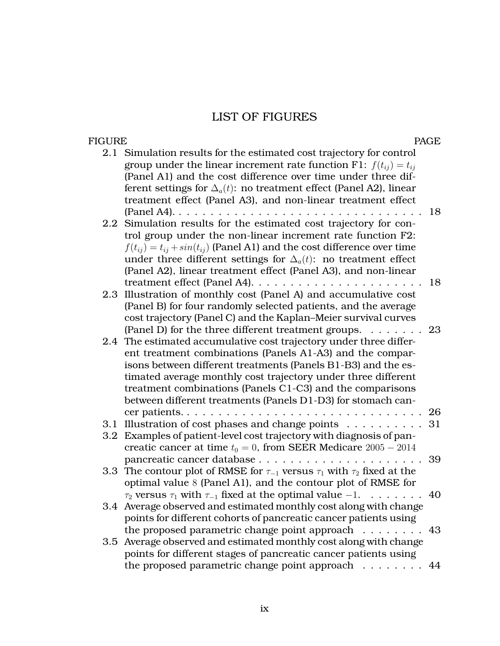## LIST OF FIGURES

#### <span id="page-10-0"></span>FIGURE PAGE

|     | 2.1 Simulation results for the estimated cost trajectory for control                |    |
|-----|-------------------------------------------------------------------------------------|----|
|     | group under the linear increment rate function F1: $f(t_{ii}) = t_{ii}$             |    |
|     | (Panel A1) and the cost difference over time under three dif-                       |    |
|     | ferent settings for $\Delta_a(t)$ : no treatment effect (Panel A2), linear          |    |
|     | treatment effect (Panel A3), and non-linear treatment effect                        |    |
|     | $( Panel A4)$                                                                       | 18 |
| 2.2 | Simulation results for the estimated cost trajectory for con-                       |    |
|     | trol group under the non-linear increment rate function F2:                         |    |
|     | $f(t_{ii}) = t_{ii} + sin(t_{ii})$ (Panel A1) and the cost difference over time     |    |
|     | under three different settings for $\Delta_a(t)$ : no treatment effect              |    |
|     | (Panel A2), linear treatment effect (Panel A3), and non-linear                      |    |
|     |                                                                                     | 18 |
| 2.3 | Illustration of monthly cost (Panel A) and accumulative cost                        |    |
|     | (Panel B) for four randomly selected patients, and the average                      |    |
|     | cost trajectory (Panel C) and the Kaplan-Meier survival curves                      |    |
|     | (Panel D) for the three different treatment groups.                                 | 23 |
|     | 2.4 The estimated accumulative cost trajectory under three differ-                  |    |
|     | ent treatment combinations (Panels A1-A3) and the compar-                           |    |
|     | isons between different treatments (Panels B1-B3) and the es-                       |    |
|     | timated average monthly cost trajectory under three different                       |    |
|     | treatment combinations (Panels C1-C3) and the comparisons                           |    |
|     | between different treatments (Panels D1-D3) for stomach can-                        |    |
|     |                                                                                     | 26 |
| 3.1 | Illustration of cost phases and change points                                       | 31 |
| 3.2 | Examples of patient-level cost trajectory with diagnosis of pan-                    |    |
|     | creatic cancer at time $t_0 = 0$ , from SEER Medicare $2005 - 2014$                 |    |
|     |                                                                                     | 39 |
| 3.3 | The contour plot of RMSE for $\tau_{-1}$ versus $\tau_1$ with $\tau_2$ fixed at the |    |
|     | optimal value 8 (Panel A1), and the contour plot of RMSE for                        |    |
|     | $\tau_2$ versus $\tau_1$ with $\tau_{-1}$ fixed at the optimal value $-1$ .         | 40 |
| 3.4 | Average observed and estimated monthly cost along with change                       |    |
|     | points for different cohorts of pancreatic cancer patients using                    |    |
|     | the proposed parametric change point approach<br>.                                  | 43 |
| 3.5 | Average observed and estimated monthly cost along with change                       |    |
|     | points for different stages of pancreatic cancer patients using                     |    |
|     | the proposed parametric change point approach $\dots \dots$                         | 44 |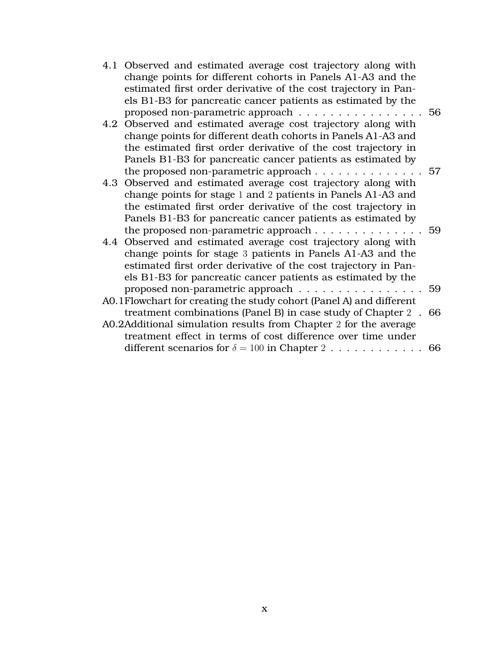| 4.1 Observed and estimated average cost trajectory along with       |                                                                                                                                                                                                                                                                                                                                                                                                                                                                                                                                                                                                                                                                                                                                                                                                                                                                                                                                                                                                                                                                                                                                                                                                    |
|---------------------------------------------------------------------|----------------------------------------------------------------------------------------------------------------------------------------------------------------------------------------------------------------------------------------------------------------------------------------------------------------------------------------------------------------------------------------------------------------------------------------------------------------------------------------------------------------------------------------------------------------------------------------------------------------------------------------------------------------------------------------------------------------------------------------------------------------------------------------------------------------------------------------------------------------------------------------------------------------------------------------------------------------------------------------------------------------------------------------------------------------------------------------------------------------------------------------------------------------------------------------------------|
|                                                                     |                                                                                                                                                                                                                                                                                                                                                                                                                                                                                                                                                                                                                                                                                                                                                                                                                                                                                                                                                                                                                                                                                                                                                                                                    |
|                                                                     |                                                                                                                                                                                                                                                                                                                                                                                                                                                                                                                                                                                                                                                                                                                                                                                                                                                                                                                                                                                                                                                                                                                                                                                                    |
|                                                                     |                                                                                                                                                                                                                                                                                                                                                                                                                                                                                                                                                                                                                                                                                                                                                                                                                                                                                                                                                                                                                                                                                                                                                                                                    |
|                                                                     |                                                                                                                                                                                                                                                                                                                                                                                                                                                                                                                                                                                                                                                                                                                                                                                                                                                                                                                                                                                                                                                                                                                                                                                                    |
|                                                                     |                                                                                                                                                                                                                                                                                                                                                                                                                                                                                                                                                                                                                                                                                                                                                                                                                                                                                                                                                                                                                                                                                                                                                                                                    |
|                                                                     |                                                                                                                                                                                                                                                                                                                                                                                                                                                                                                                                                                                                                                                                                                                                                                                                                                                                                                                                                                                                                                                                                                                                                                                                    |
|                                                                     |                                                                                                                                                                                                                                                                                                                                                                                                                                                                                                                                                                                                                                                                                                                                                                                                                                                                                                                                                                                                                                                                                                                                                                                                    |
|                                                                     |                                                                                                                                                                                                                                                                                                                                                                                                                                                                                                                                                                                                                                                                                                                                                                                                                                                                                                                                                                                                                                                                                                                                                                                                    |
|                                                                     |                                                                                                                                                                                                                                                                                                                                                                                                                                                                                                                                                                                                                                                                                                                                                                                                                                                                                                                                                                                                                                                                                                                                                                                                    |
|                                                                     |                                                                                                                                                                                                                                                                                                                                                                                                                                                                                                                                                                                                                                                                                                                                                                                                                                                                                                                                                                                                                                                                                                                                                                                                    |
|                                                                     |                                                                                                                                                                                                                                                                                                                                                                                                                                                                                                                                                                                                                                                                                                                                                                                                                                                                                                                                                                                                                                                                                                                                                                                                    |
|                                                                     |                                                                                                                                                                                                                                                                                                                                                                                                                                                                                                                                                                                                                                                                                                                                                                                                                                                                                                                                                                                                                                                                                                                                                                                                    |
|                                                                     |                                                                                                                                                                                                                                                                                                                                                                                                                                                                                                                                                                                                                                                                                                                                                                                                                                                                                                                                                                                                                                                                                                                                                                                                    |
|                                                                     |                                                                                                                                                                                                                                                                                                                                                                                                                                                                                                                                                                                                                                                                                                                                                                                                                                                                                                                                                                                                                                                                                                                                                                                                    |
|                                                                     |                                                                                                                                                                                                                                                                                                                                                                                                                                                                                                                                                                                                                                                                                                                                                                                                                                                                                                                                                                                                                                                                                                                                                                                                    |
|                                                                     |                                                                                                                                                                                                                                                                                                                                                                                                                                                                                                                                                                                                                                                                                                                                                                                                                                                                                                                                                                                                                                                                                                                                                                                                    |
|                                                                     |                                                                                                                                                                                                                                                                                                                                                                                                                                                                                                                                                                                                                                                                                                                                                                                                                                                                                                                                                                                                                                                                                                                                                                                                    |
|                                                                     |                                                                                                                                                                                                                                                                                                                                                                                                                                                                                                                                                                                                                                                                                                                                                                                                                                                                                                                                                                                                                                                                                                                                                                                                    |
|                                                                     |                                                                                                                                                                                                                                                                                                                                                                                                                                                                                                                                                                                                                                                                                                                                                                                                                                                                                                                                                                                                                                                                                                                                                                                                    |
| AO.1Flowchart for creating the study cohort (Panel A) and different |                                                                                                                                                                                                                                                                                                                                                                                                                                                                                                                                                                                                                                                                                                                                                                                                                                                                                                                                                                                                                                                                                                                                                                                                    |
|                                                                     |                                                                                                                                                                                                                                                                                                                                                                                                                                                                                                                                                                                                                                                                                                                                                                                                                                                                                                                                                                                                                                                                                                                                                                                                    |
| A0.2Additional simulation results from Chapter 2 for the average    |                                                                                                                                                                                                                                                                                                                                                                                                                                                                                                                                                                                                                                                                                                                                                                                                                                                                                                                                                                                                                                                                                                                                                                                                    |
| treatment effect in terms of cost difference over time under        |                                                                                                                                                                                                                                                                                                                                                                                                                                                                                                                                                                                                                                                                                                                                                                                                                                                                                                                                                                                                                                                                                                                                                                                                    |
|                                                                     |                                                                                                                                                                                                                                                                                                                                                                                                                                                                                                                                                                                                                                                                                                                                                                                                                                                                                                                                                                                                                                                                                                                                                                                                    |
|                                                                     | change points for different cohorts in Panels A1-A3 and the<br>estimated first order derivative of the cost trajectory in Pan-<br>els B1-B3 for pancreatic cancer patients as estimated by the<br>proposed non-parametric approach 56<br>4.2 Observed and estimated average cost trajectory along with<br>change points for different death cohorts in Panels A1-A3 and<br>the estimated first order derivative of the cost trajectory in<br>Panels B1-B3 for pancreatic cancer patients as estimated by<br>the proposed non-parametric approach 57<br>4.3 Observed and estimated average cost trajectory along with<br>change points for stage 1 and 2 patients in Panels A1-A3 and<br>the estimated first order derivative of the cost trajectory in<br>Panels B1-B3 for pancreatic cancer patients as estimated by<br>4.4 Observed and estimated average cost trajectory along with<br>change points for stage 3 patients in Panels A1-A3 and the<br>estimated first order derivative of the cost trajectory in Pan-<br>els B1-B3 for pancreatic cancer patients as estimated by the<br>proposed non-parametric approach 59<br>treatment combinations (Panel B) in case study of Chapter 2 . 66 |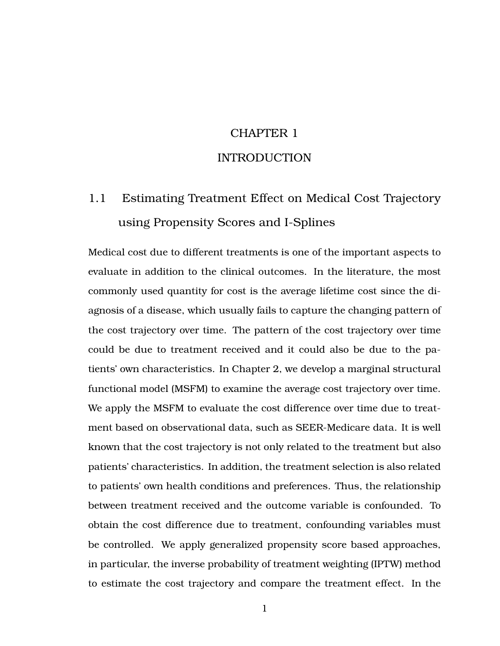# CHAPTER 1 INTRODUCTION

# <span id="page-12-1"></span><span id="page-12-0"></span>1.1 Estimating Treatment Effect on Medical Cost Trajectory using Propensity Scores and I-Splines

Medical cost due to different treatments is one of the important aspects to evaluate in addition to the clinical outcomes. In the literature, the most commonly used quantity for cost is the average lifetime cost since the diagnosis of a disease, which usually fails to capture the changing pattern of the cost trajectory over time. The pattern of the cost trajectory over time could be due to treatment received and it could also be due to the patients' own characteristics. In Chapter 2, we develop a marginal structural functional model (MSFM) to examine the average cost trajectory over time. We apply the MSFM to evaluate the cost difference over time due to treatment based on observational data, such as SEER-Medicare data. It is well known that the cost trajectory is not only related to the treatment but also patients' characteristics. In addition, the treatment selection is also related to patients' own health conditions and preferences. Thus, the relationship between treatment received and the outcome variable is confounded. To obtain the cost difference due to treatment, confounding variables must be controlled. We apply generalized propensity score based approaches, in particular, the inverse probability of treatment weighting (IPTW) method to estimate the cost trajectory and compare the treatment effect. In the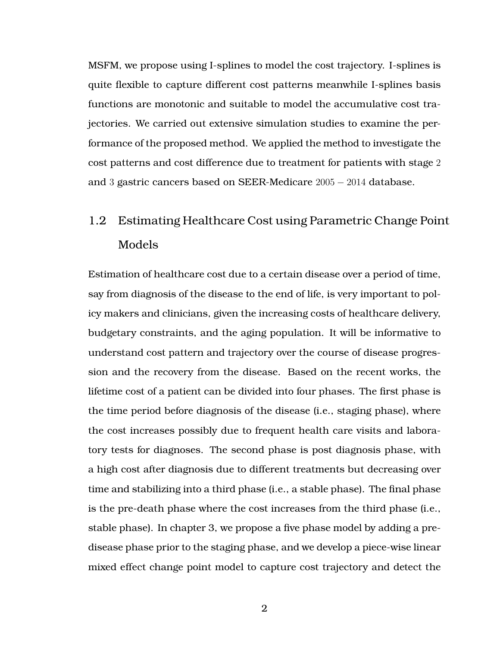MSFM, we propose using I-splines to model the cost trajectory. I-splines is quite flexible to capture different cost patterns meanwhile I-splines basis functions are monotonic and suitable to model the accumulative cost trajectories. We carried out extensive simulation studies to examine the performance of the proposed method. We applied the method to investigate the cost patterns and cost difference due to treatment for patients with stage 2 and 3 gastric cancers based on SEER-Medicare 2005 − 2014 database.

# <span id="page-13-0"></span>1.2 Estimating Healthcare Cost using Parametric Change Point Models

Estimation of healthcare cost due to a certain disease over a period of time, say from diagnosis of the disease to the end of life, is very important to policy makers and clinicians, given the increasing costs of healthcare delivery, budgetary constraints, and the aging population. It will be informative to understand cost pattern and trajectory over the course of disease progression and the recovery from the disease. Based on the recent works, the lifetime cost of a patient can be divided into four phases. The first phase is the time period before diagnosis of the disease (i.e., staging phase), where the cost increases possibly due to frequent health care visits and laboratory tests for diagnoses. The second phase is post diagnosis phase, with a high cost after diagnosis due to different treatments but decreasing over time and stabilizing into a third phase (i.e., a stable phase). The final phase is the pre-death phase where the cost increases from the third phase (i.e., stable phase). In chapter 3, we propose a five phase model by adding a predisease phase prior to the staging phase, and we develop a piece-wise linear mixed effect change point model to capture cost trajectory and detect the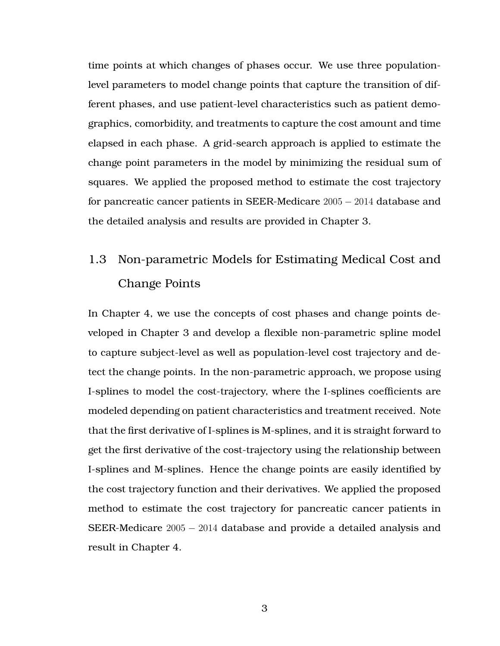time points at which changes of phases occur. We use three populationlevel parameters to model change points that capture the transition of different phases, and use patient-level characteristics such as patient demographics, comorbidity, and treatments to capture the cost amount and time elapsed in each phase. A grid-search approach is applied to estimate the change point parameters in the model by minimizing the residual sum of squares. We applied the proposed method to estimate the cost trajectory for pancreatic cancer patients in SEER-Medicare 2005 − 2014 database and the detailed analysis and results are provided in Chapter 3.

# <span id="page-14-0"></span>1.3 Non-parametric Models for Estimating Medical Cost and Change Points

<span id="page-14-1"></span>In Chapter 4, we use the concepts of cost phases and change points developed in Chapter 3 and develop a flexible non-parametric spline model to capture subject-level as well as population-level cost trajectory and detect the change points. In the non-parametric approach, we propose using I-splines to model the cost-trajectory, where the I-splines coefficients are modeled depending on patient characteristics and treatment received. Note that the first derivative of I-splines is M-splines, and it is straight forward to get the first derivative of the cost-trajectory using the relationship between I-splines and M-splines. Hence the change points are easily identified by the cost trajectory function and their derivatives. We applied the proposed method to estimate the cost trajectory for pancreatic cancer patients in SEER-Medicare 2005 − 2014 database and provide a detailed analysis and result in Chapter 4.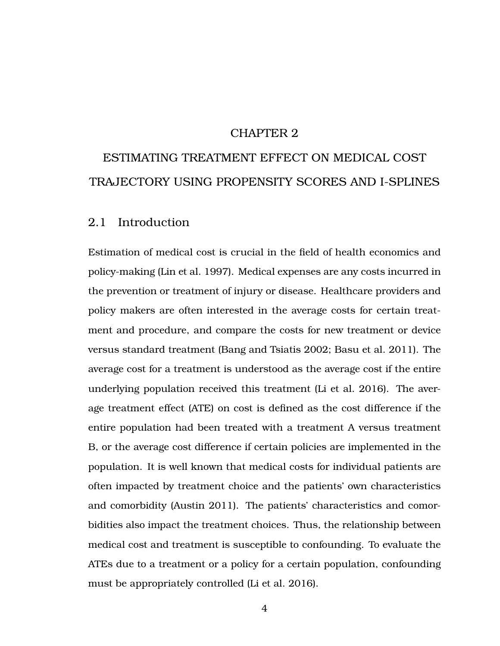### CHAPTER 2

# ESTIMATING TREATMENT EFFECT ON MEDICAL COST TRAJECTORY USING PROPENSITY SCORES AND I-SPLINES

### <span id="page-15-0"></span>2.1 Introduction

Estimation of medical cost is crucial in the field of health economics and policy-making (Lin et al. [1997\)](#page-73-0). Medical expenses are any costs incurred in the prevention or treatment of injury or disease. Healthcare providers and policy makers are often interested in the average costs for certain treatment and procedure, and compare the costs for new treatment or device versus standard treatment (Bang and Tsiatis [2002;](#page-72-1) Basu et al. [2011\)](#page-72-2). The average cost for a treatment is understood as the average cost if the entire underlying population received this treatment (Li et al. [2016\)](#page-73-1). The average treatment effect (ATE) on cost is defined as the cost difference if the entire population had been treated with a treatment A versus treatment B, or the average cost difference if certain policies are implemented in the population. It is well known that medical costs for individual patients are often impacted by treatment choice and the patients' own characteristics and comorbidity (Austin [2011\)](#page-72-3). The patients' characteristics and comorbidities also impact the treatment choices. Thus, the relationship between medical cost and treatment is susceptible to confounding. To evaluate the ATEs due to a treatment or a policy for a certain population, confounding must be appropriately controlled (Li et al. [2016\)](#page-73-1).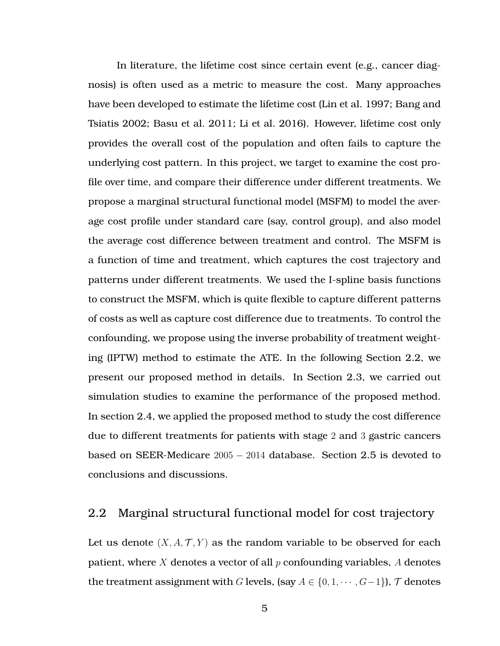In literature, the lifetime cost since certain event (e.g., cancer diagnosis) is often used as a metric to measure the cost. Many approaches have been developed to estimate the lifetime cost (Lin et al. [1997;](#page-73-0) Bang and Tsiatis [2002;](#page-72-1) Basu et al. [2011;](#page-72-2) Li et al. [2016\)](#page-73-1). However, lifetime cost only provides the overall cost of the population and often fails to capture the underlying cost pattern. In this project, we target to examine the cost profile over time, and compare their difference under different treatments. We propose a marginal structural functional model (MSFM) to model the average cost profile under standard care (say, control group), and also model the average cost difference between treatment and control. The MSFM is a function of time and treatment, which captures the cost trajectory and patterns under different treatments. We used the I-spline basis functions to construct the MSFM, which is quite flexible to capture different patterns of costs as well as capture cost difference due to treatments. To control the confounding, we propose using the inverse probability of treatment weighting (IPTW) method to estimate the ATE. In the following Section [2.2,](#page-16-0) we present our proposed method in details. In Section [2.3,](#page-23-1) we carried out simulation studies to examine the performance of the proposed method. In section [2.4,](#page-31-0) we applied the proposed method to study the cost difference due to different treatments for patients with stage 2 and 3 gastric cancers based on SEER-Medicare  $2005 - 2014$  database. Section [2.5](#page-39-0) is devoted to conclusions and discussions.

## <span id="page-16-0"></span>2.2 Marginal structural functional model for cost trajectory

Let us denote  $(X, A, \mathcal{T}, Y)$  as the random variable to be observed for each patient, where X denotes a vector of all  $p$  confounding variables, A denotes the treatment assignment with G levels, (say  $A \in \{0, 1, \dots, G-1\}$ ),  $\mathcal T$  denotes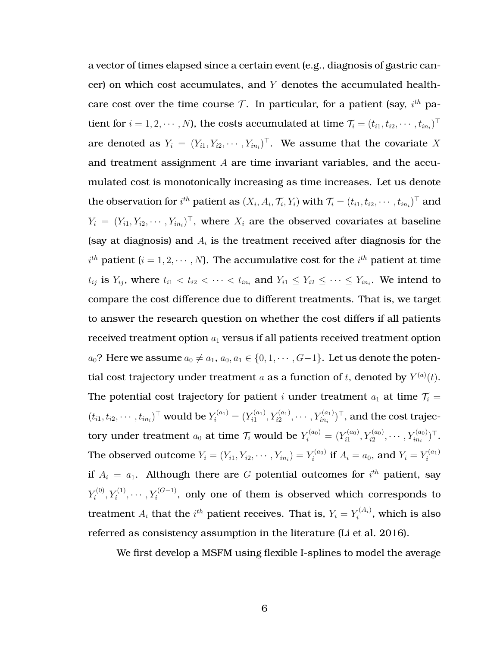a vector of times elapsed since a certain event (e.g., diagnosis of gastric cancer) on which cost accumulates, and Y denotes the accumulated healthcare cost over the time course  $\mathcal T$ . In particular, for a patient (say,  $i^{th}$  patient for  $i=1,2,\cdots,N$ ), the costs accumulated at time  $\mathcal{T}_i=(t_{i1},t_{i2},\cdots,t_{in_i})^\top$ are denoted as  $Y_i = (Y_{i1}, Y_{i2}, \cdots, Y_{in_i})^\top$ . We assume that the covariate X and treatment assignment  $A$  are time invariant variables, and the accumulated cost is monotonically increasing as time increases. Let us denote the observation for  $i^{th}$  patient as  $(X_i, A_i, \mathcal{T}_i, Y_i)$  with  $\mathcal{T}_i = (t_{i1}, t_{i2}, \cdots, t_{in_i})^\top$  and  $Y_i = (Y_{i1}, Y_{i2}, \cdots, Y_{in_i})^\top$ , where  $X_i$  are the observed covariates at baseline (say at diagnosis) and  $A_i$  is the treatment received after diagnosis for the  $i^{th}$  patient ( $i = 1, 2, \cdots, N$ ). The accumulative cost for the  $i^{th}$  patient at time  $t_{ij}$  is  $Y_{ij}$ , where  $t_{i1} < t_{i2} < \cdots < t_{in_i}$  and  $Y_{i1} \leq Y_{i2} \leq \cdots \leq Y_{in_i}$ . We intend to compare the cost difference due to different treatments. That is, we target to answer the research question on whether the cost differs if all patients received treatment option  $a_1$  versus if all patients received treatment option  $a_0$ ? Here we assume  $a_0 \neq a_1, a_0, a_1 \in \{0, 1, \cdots, G-1\}$ . Let us denote the potential cost trajectory under treatment a as a function of t, denoted by  $Y^{(a)}(t)$ . The potential cost trajectory for patient *i* under treatment  $a_1$  at time  $\mathcal{T}_i$  =  $(t_{i1}, t_{i2}, \dots, t_{in_i})^{\top}$  would be  $Y_i^{(a_1)} = (Y_{i1}^{(a_1)})^{\top}$  $(Y_{i1}^{(a_1)},Y_{i2}^{(a_1)},\cdots,Y_{in_i}^{(a_1)})^\top,$  and the cost trajectory under treatment  $a_0$  at time  $\mathcal{T}_i$  would be  $Y_i^{(a_0)} = (Y_{i1}^{(a_0)}\)$  $Y_{i1}^{(a_0)}, Y_{i2}^{(a_0)}, \cdots, Y_{in_i}^{(a_0)} )^{\top}.$ The observed outcome  $Y_i = (Y_{i1}, Y_{i2}, \cdots, Y_{in_i}) = Y_i^{(a_0)}$  $\tilde{r}^{(a_0)}_i$  if  $A_i=a_0$ , and  $Y_i=Y_i^{(a_1)}$ i if  $A_i = a_1$ . Although there are G potential outcomes for  $i^{th}$  patient, say  $Y_i^{(0)}$  $Y_i^{(0)}, Y_i^{(1)}, \cdots, Y_i^{(G-1)},$  only one of them is observed which corresponds to treatment  $A_i$  that the  $i^{th}$  patient receives. That is,  $Y_i = Y_i^{(A_i)}$  $i^{(Ai)}$ , which is also referred as consistency assumption in the literature (Li et al. [2016\)](#page-73-1).

We first develop a MSFM using flexible I-splines to model the average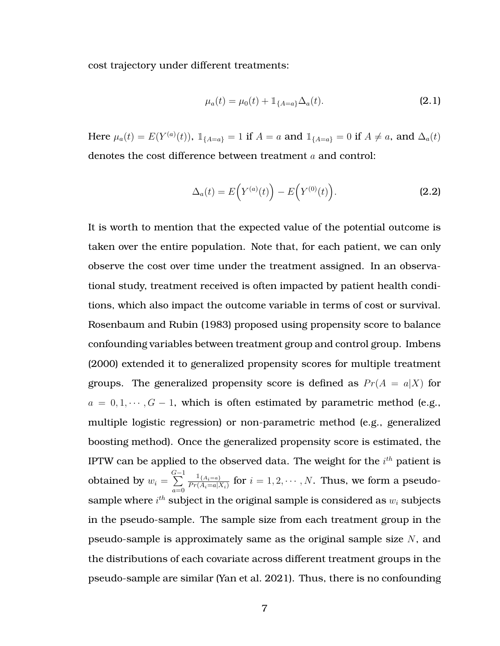cost trajectory under different treatments:

$$
\mu_a(t) = \mu_0(t) + \mathbb{1}_{\{A=a\}} \Delta_a(t). \tag{2.1}
$$

Here  $\mu_a(t) = E(Y^{(a)}(t))$ ,  $\mathbb{1}_{\{A=a\}} = 1$  if  $A = a$  and  $\mathbb{1}_{\{A=a\}} = 0$  if  $A \neq a$ , and  $\Delta_a(t)$ denotes the cost difference between treatment a and control:

$$
\Delta_a(t) = E(Y^{(a)}(t)) - E(Y^{(0)}(t)).
$$
\n(2.2)

It is worth to mention that the expected value of the potential outcome is taken over the entire population. Note that, for each patient, we can only observe the cost over time under the treatment assigned. In an observational study, treatment received is often impacted by patient health conditions, which also impact the outcome variable in terms of cost or survival. Rosenbaum and Rubin (1983) proposed using propensity score to balance confounding variables between treatment group and control group. Imbens (2000) extended it to generalized propensity scores for multiple treatment groups. The generalized propensity score is defined as  $Pr(A = a|X)$  for  $a = 0, 1, \dots, G - 1$ , which is often estimated by parametric method (e.g., multiple logistic regression) or non-parametric method (e.g., generalized boosting method). Once the generalized propensity score is estimated, the IPTW can be applied to the observed data. The weight for the  $i^{th}$  patient is obtained by  $w_i =$  $\sum_{ }^{G-1}$  $a=0$  $\mathbb{1}_{\{A_i=a\}}$  $\frac{1\{A_i=a\}}{Pr(A_i=a|X_i)}$  for  $i=1,2,\cdots,N$ . Thus, we form a pseudosample where  $i^{th}$  subject in the original sample is considered as  $w_i$  subjects in the pseudo-sample. The sample size from each treatment group in the pseudo-sample is approximately same as the original sample size N, and the distributions of each covariate across different treatment groups in the pseudo-sample are similar (Yan et al. [2021\)](#page-74-0). Thus, there is no confounding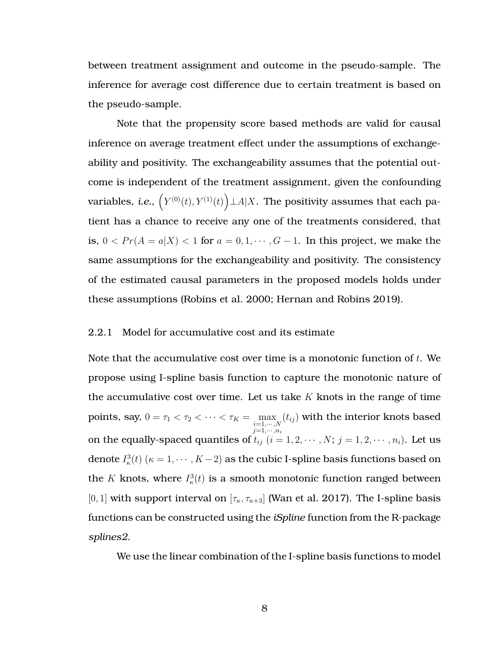between treatment assignment and outcome in the pseudo-sample. The inference for average cost difference due to certain treatment is based on the pseudo-sample.

Note that the propensity score based methods are valid for causal inference on average treatment effect under the assumptions of exchangeability and positivity. The exchangeability assumes that the potential outcome is independent of the treatment assignment, given the confounding variables, *i.e.*,  $\left(Y^{(0)}(t), Y^{(1)}(t)\right) \bot A | X.$  The positivity assumes that each patient has a chance to receive any one of the treatments considered, that is,  $0 < Pr(A = a|X) < 1$  for  $a = 0, 1, \dots, G-1$ . In this project, we make the same assumptions for the exchangeability and positivity. The consistency of the estimated causal parameters in the proposed models holds under these assumptions (Robins et al. [2000;](#page-73-2) Hernan and Robins [2019\)](#page-72-4).

#### <span id="page-19-0"></span>2.2.1 Model for accumulative cost and its estimate

Note that the accumulative cost over time is a monotonic function of  $t$ . We propose using I-spline basis function to capture the monotonic nature of the accumulative cost over time. Let us take  $K$  knots in the range of time points, say,  $0 = \tau_1 < \tau_2 < \cdots < \tau_K = \max_{\substack{i=1,\cdots,N\\j=1,\cdots,n_i}}$  $(t_{ij})$  with the interior knots based on the equally-spaced quantiles of  $t_{ij}$   $(i = 1, 2, \cdots, N; j = 1, 2, \cdots, n_i)$ . Let us denote  $I_{\kappa}^{3}(t)$   $(\kappa = 1, \cdots, K-2)$  as the cubic I-spline basis functions based on the K knots, where  $I_{\kappa}^{3}(t)$  is a smooth monotonic function ranged between [0, 1] with support interval on  $[\tau_{\kappa}, \tau_{\kappa+3}]$  (Wan et al. [2017\)](#page-74-1). The I-spline basis functions can be constructed using the *iSpline* function from the R-package *splines2*.

We use the linear combination of the I-spline basis functions to model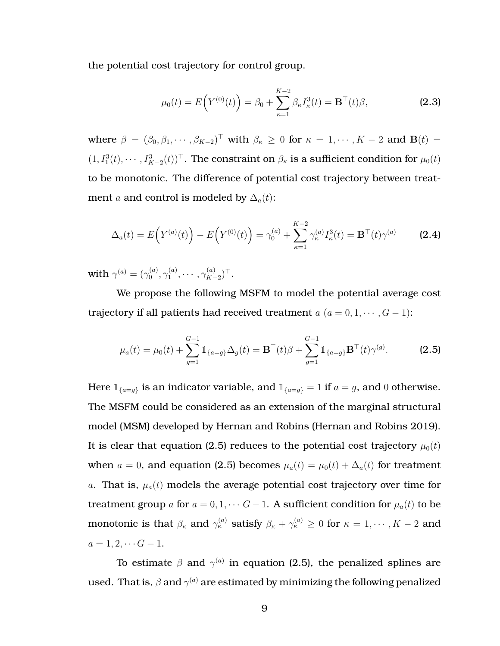the potential cost trajectory for control group.

<span id="page-20-1"></span>
$$
\mu_0(t) = E(Y^{(0)}(t)) = \beta_0 + \sum_{\kappa=1}^{K-2} \beta_{\kappa} I_{\kappa}^3(t) = \mathbf{B}^{\top}(t)\beta,
$$
 (2.3)

where  $\beta = (\beta_0, \beta_1, \cdots, \beta_{K-2})^{\top}$  with  $\beta_{\kappa} \ge 0$  for  $\kappa = 1, \cdots, K-2$  and  $\mathbf{B}(t) =$  $(1, I_1^3(t), \cdots, I_{K-2}^3(t))^{\top}$ . The constraint on  $\beta_{\kappa}$  is a sufficient condition for  $\mu_0(t)$ to be monotonic. The difference of potential cost trajectory between treatment *a* and control is modeled by  $\Delta_a(t)$ :

$$
\Delta_a(t) = E\Big(Y^{(a)}(t)\Big) - E\Big(Y^{(0)}(t)\Big) = \gamma_0^{(a)} + \sum_{\kappa=1}^{K-2} \gamma_\kappa^{(a)} I_\kappa^3(t) = \mathbf{B}^\top(t)\gamma^{(a)} \tag{2.4}
$$

with  $\gamma^{(a)}=(\gamma^{(a)}_0)$  $\overset{(a)}{0},\overset{(a)}{\gamma_1^{(a)}}$  $\gamma_1^{(a)},\cdots,\gamma_{K-}^{(a)}$  $_{K-2}^{(a)}$ )  $^{\top}$ .

We propose the following MSFM to model the potential average cost trajectory if all patients had received treatment  $a$   $(a = 0, 1, \dots, G - 1)$ :

<span id="page-20-0"></span>
$$
\mu_a(t) = \mu_0(t) + \sum_{g=1}^{G-1} \mathbb{1}_{\{a=g\}} \Delta_g(t) = \mathbf{B}^\top(t)\beta + \sum_{g=1}^{G-1} \mathbb{1}_{\{a=g\}} \mathbf{B}^\top(t)\gamma^{(g)}.
$$
 (2.5)

Here  $\mathbb{1}_{\{a=g\}}$  is an indicator variable, and  $\mathbb{1}_{\{a=g\}} = 1$  if  $a = g$ , and 0 otherwise. The MSFM could be considered as an extension of the marginal structural model (MSM) developed by Hernan and Robins (Hernan and Robins [2019\)](#page-72-4). It is clear that equation [\(2.5\)](#page-20-0) reduces to the potential cost trajectory  $\mu_0(t)$ when  $a = 0$ , and equation [\(2.5\)](#page-20-0) becomes  $\mu_a(t) = \mu_0(t) + \Delta_a(t)$  for treatment a. That is,  $\mu_a(t)$  models the average potential cost trajectory over time for treatment group a for  $a = 0, 1, \cdots G-1$ . A sufficient condition for  $\mu_a(t)$  to be monotonic is that  $\beta_\kappa$  and  $\gamma^{(a)}_\kappa$  satisfy  $\beta_\kappa+\gamma^{(a)}_\kappa\geq 0$  for  $\kappa=1,\cdots,K-2$  and  $a = 1, 2, \cdots G - 1.$ 

To estimate  $\beta$  and  $\gamma^{(a)}$  in equation [\(2.5\)](#page-20-0), the penalized splines are used. That is,  $\beta$  and  $\gamma^{(a)}$  are estimated by minimizing the following penalized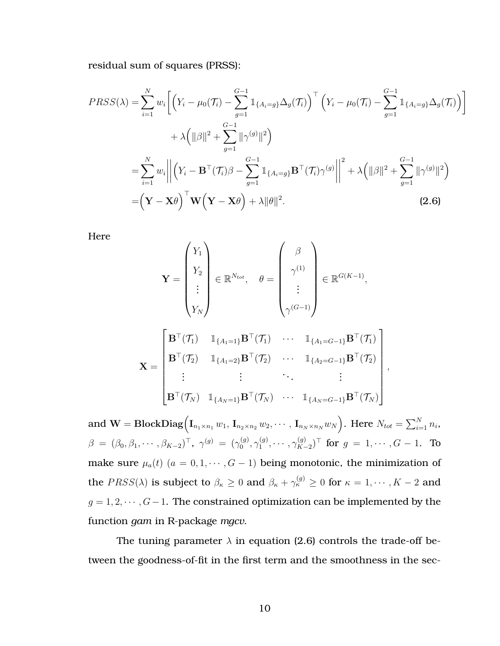residual sum of squares (PRSS):

$$
PRSS(\lambda) = \sum_{i=1}^{N} w_i \Bigg[ \Big( Y_i - \mu_0(\mathcal{T}_i) - \sum_{g=1}^{G-1} \mathbb{1}_{\{A_i = g\}} \Delta_g(\mathcal{T}_i) \Big)^\top \Big( Y_i - \mu_0(\mathcal{T}_i) - \sum_{g=1}^{G-1} \mathbb{1}_{\{A_i = g\}} \Delta_g(\mathcal{T}_i) \Big) \Bigg] + \lambda \Big( \|\beta\|^2 + \sum_{g=1}^{G-1} \|\gamma^{(g)}\|^2 \Big) = \sum_{i=1}^{N} w_i \Bigg| \Bigg| \Big( Y_i - \mathbf{B}^\top (\mathcal{T}_i) \beta - \sum_{g=1}^{G-1} \mathbb{1}_{\{A_i = g\}} \mathbf{B}^\top (\mathcal{T}_i) \gamma^{(g)} \Bigg| \Bigg|^2 + \lambda \Big( \|\beta\|^2 + \sum_{g=1}^{G-1} \|\gamma^{(g)}\|^2 \Big) = \Big( \mathbf{Y} - \mathbf{X}\theta \Big)^\top \mathbf{W} \Big( \mathbf{Y} - \mathbf{X}\theta \Big) + \lambda \|\theta\|^2.
$$
 (2.6)

Here

<span id="page-21-0"></span>
$$
\mathbf{Y} = \begin{pmatrix} Y_1 \\ Y_2 \\ \vdots \\ Y_N \end{pmatrix} \in \mathbb{R}^{N_{tot}}, \quad \theta = \begin{pmatrix} \beta \\ \gamma^{(1)} \\ \vdots \\ \gamma^{(G-1)} \end{pmatrix} \in \mathbb{R}^{G(K-1)},
$$

$$
\mathbf{X} = \begin{bmatrix} \mathbf{B}^\top(\mathcal{T}_1) & \mathbb{I}_{\{A_1=1\}} \mathbf{B}^\top(\mathcal{T}_1) & \cdots & \mathbb{I}_{\{A_1=G-1\}} \mathbf{B}^\top(\mathcal{T}_1) \\ \vdots & \vdots & \ddots & \vdots \\ \mathbf{B}^\top(\mathcal{T}_N) & \mathbb{I}_{\{A_N=1\}} \mathbf{B}^\top(\mathcal{T}_N) & \cdots & \mathbb{I}_{\{A_N=G-1\}} \mathbf{B}^\top(\mathcal{T}_N) \end{bmatrix},
$$

 $\quad \textbf{and} \, \, \mathbf{W} = \textbf{BlockDiag}\Big(\mathbf{I}_{n_1 \times n_1}\, w_1, \, \mathbf{I}_{n_2 \times n_2}\, w_2, \cdots, \, \mathbf{I}_{n_N \times n_N}w_N\Big). \, \, \text{Here} \, \, N_{tot} = \sum_{i=1}^N n_i,$  $\beta \; = \; (\beta_0, \beta_1, \cdots, \beta_{K-2})^{\top}, \; \gamma^{(g)} \; = \; (\gamma_0^{(g)}$  $\overset{(g)}{_{0}},\gamma_{1}^{(g)}$  $\gamma_1^{(g)},\cdots,\gamma_{K-}^{(g)}$  $\lim_{K-2}$ )<sup>⊤</sup> for  $g = 1, \cdots, G - 1$ . To make sure  $\mu_a(t)$   $(a = 0, 1, \dots, G - 1)$  being monotonic, the minimization of the  $PRSS(\lambda)$  is subject to  $\beta_\kappa \geq 0$  and  $\beta_\kappa + \gamma^{(g)}_\kappa \geq 0$  for  $\kappa = 1, \cdots, K-2$  and  $g = 1, 2, \dots, G-1$ . The constrained optimization can be implemented by the function *gam* in R-package *mgcv*.

The tuning parameter  $\lambda$  in equation [\(2.6\)](#page-21-0) controls the trade-off between the goodness-of-fit in the first term and the smoothness in the sec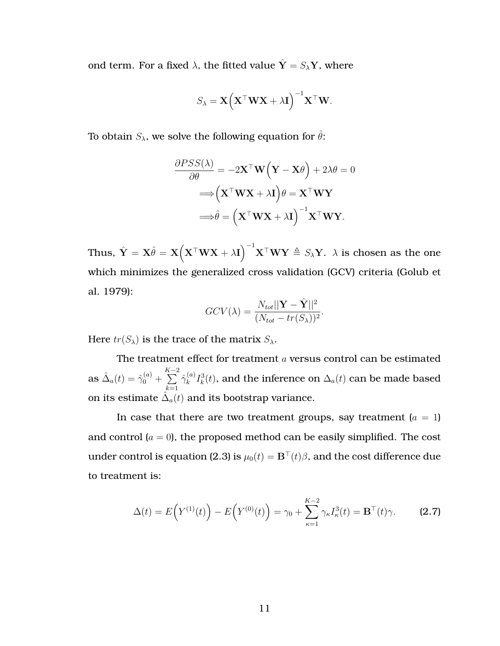ond term. For a fixed  $\lambda$ , the fitted value  $\hat{\mathbf{Y}} = S_{\lambda} \mathbf{Y}$ , where

$$
S_{\lambda} = \mathbf{X} (\mathbf{X}^{\top} \mathbf{W} \mathbf{X} + \lambda \mathbf{I})^{-1} \mathbf{X}^{\top} \mathbf{W}.
$$

To obtain  $S_{\lambda}$ , we solve the following equation for  $\hat{\theta}$ :

$$
\frac{\partial PSS(\lambda)}{\partial \theta} = -2\mathbf{X}^{\top}\mathbf{W}\left(\mathbf{Y} - \mathbf{X}\theta\right) + 2\lambda\theta = 0
$$

$$
\Longrightarrow \left(\mathbf{X}^{\top}\mathbf{W}\mathbf{X} + \lambda\mathbf{I}\right)\theta = \mathbf{X}^{\top}\mathbf{W}\mathbf{Y}
$$

$$
\Longrightarrow \hat{\theta} = \left(\mathbf{X}^{\top}\mathbf{W}\mathbf{X} + \lambda\mathbf{I}\right)^{-1}\mathbf{X}^{\top}\mathbf{W}\mathbf{Y}.
$$

Thus,  $\hat{\mathbf{Y}} = \mathbf{X}\hat{\theta} = \mathbf{X}\Big(\mathbf{X}^\top\mathbf{W}\mathbf{X}+\lambda\mathbf{I}\Big)^{-1}\mathbf{X}^\top\mathbf{W}\mathbf{Y}\triangleq S_{\lambda}\mathbf{Y}.$   $\lambda$  is chosen as the one which minimizes the generalized cross validation (GCV) criteria (Golub et al. [1979\)](#page-72-5):

$$
GCV(\lambda) = \frac{N_{tot}||\mathbf{Y} - \hat{\mathbf{Y}}||^2}{(N_{tot} - tr(S_{\lambda}))^2}.
$$

Here  $tr(S_\lambda)$  is the trace of the matrix  $S_\lambda$ .

The treatment effect for treatment  $a$  versus control can be estimated  $\text{as}\ \hat{\Delta}_a(t)=\hat{\gamma}_0^{(a)}+$  $\sum_{ }^{K-2}$  $k=1$  $\hat{\gamma}^{(a)}_k$  $\lambda_k^{(a)} I_k^3(t),$  and the inference on  $\Delta_a(t)$  can be made based on its estimate  $\hat{\Delta}_a(t)$  and its bootstrap variance.

In case that there are two treatment groups, say treatment  $(a = 1)$ and control  $(a = 0)$ , the proposed method can be easily simplified. The cost under control is equation [\(2.3\)](#page-20-1) is  $\mu_0(t) = \mathbf{B}^\top(t)\beta$ , and the cost difference due to treatment is:

$$
\Delta(t) = E(Y^{(1)}(t)) - E(Y^{(0)}(t)) = \gamma_0 + \sum_{\kappa=1}^{K-2} \gamma_{\kappa} I_{\kappa}^3(t) = \mathbf{B}^{\top}(t)\gamma.
$$
 (2.7)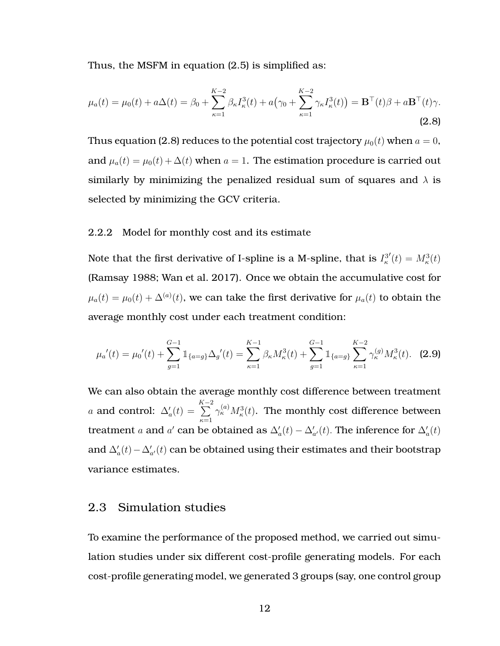<span id="page-23-2"></span>Thus, the MSFM in equation [\(2.5\)](#page-20-0) is simplified as:

$$
\mu_a(t) = \mu_0(t) + a\Delta(t) = \beta_0 + \sum_{\kappa=1}^{K-2} \beta_\kappa I_\kappa^3(t) + a(\gamma_0 + \sum_{\kappa=1}^{K-2} \gamma_\kappa I_\kappa^3(t)) = \mathbf{B}^\top(t)\beta + a\mathbf{B}^\top(t)\gamma.
$$
\n(2.8)

Thus equation [\(2.8\)](#page-23-2) reduces to the potential cost trajectory  $\mu_0(t)$  when  $a = 0$ , and  $\mu_a(t) = \mu_0(t) + \Delta(t)$  when  $a = 1$ . The estimation procedure is carried out similarly by minimizing the penalized residual sum of squares and  $\lambda$  is selected by minimizing the GCV criteria.

#### <span id="page-23-0"></span>2.2.2 Model for monthly cost and its estimate

Note that the first derivative of I-spline is a M-spline, that is  $I_\kappa^3$  $'(t) = M_{\kappa}^{3}(t)$ (Ramsay [1988;](#page-73-3) Wan et al. [2017\)](#page-74-1). Once we obtain the accumulative cost for  $\mu_a(t)=\mu_0(t)+\Delta^{(a)}(t),$  we can take the first derivative for  $\mu_a(t)$  to obtain the average monthly cost under each treatment condition:

$$
\mu_a'(t) = \mu_0'(t) + \sum_{g=1}^{G-1} \mathbb{1}_{\{a=g\}} \Delta_g'(t) = \sum_{\kappa=1}^{K-1} \beta_\kappa M_\kappa^3(t) + \sum_{g=1}^{G-1} \mathbb{1}_{\{a=g\}} \sum_{\kappa=1}^{K-2} \gamma_\kappa^{(g)} M_\kappa^3(t). \tag{2.9}
$$

We can also obtain the average monthly cost difference between treatment a and control:  $\Delta'_a(t)$  =  $\sum_{ }^{K-2}$  $\kappa=1$  $\gamma^{(a)}_\kappa M^3_\kappa(t)$ . The monthly cost difference between treatment a and a' can be obtained as  $\Delta_a'(t) - \Delta_{a'}'(t)$ . The inference for  $\Delta_a'(t)$ and  $\Delta'_a(t) - \Delta'_{a'}(t)$  can be obtained using their estimates and their bootstrap variance estimates.

### <span id="page-23-1"></span>2.3 Simulation studies

To examine the performance of the proposed method, we carried out simulation studies under six different cost-profile generating models. For each cost-profile generating model, we generated 3 groups (say, one control group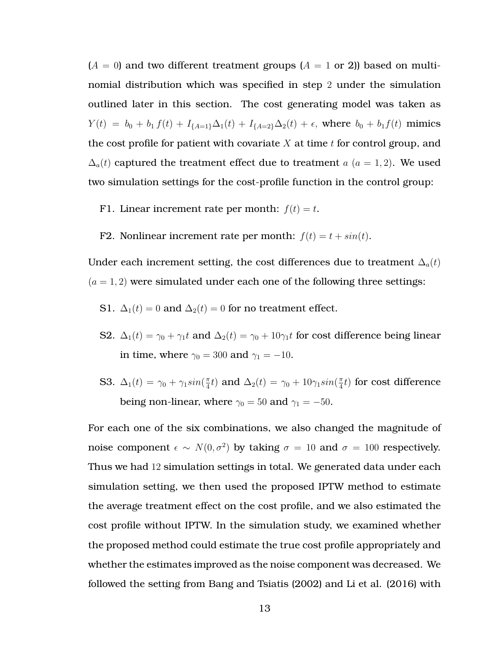$(A = 0)$  and two different treatment groups  $(A = 1 \text{ or } 2)$ ) based on multinomial distribution which was specified in step 2 under the simulation outlined later in this section. The cost generating model was taken as  $Y(t) = b_0 + b_1 f(t) + I_{\{A=1\}} \Delta_1(t) + I_{\{A=2\}} \Delta_2(t) + \epsilon$ , where  $b_0 + b_1 f(t)$  mimics the cost profile for patient with covariate  $X$  at time  $t$  for control group, and  $\Delta_a(t)$  captured the treatment effect due to treatment a  $(a = 1, 2)$ . We used two simulation settings for the cost-profile function in the control group:

- F1. Linear increment rate per month:  $f(t) = t$ .
- F2. Nonlinear increment rate per month:  $f(t) = t + sin(t)$ .

Under each increment setting, the cost differences due to treatment  $\Delta_a(t)$  $(a = 1, 2)$  were simulated under each one of the following three settings:

- S1.  $\Delta_1(t) = 0$  and  $\Delta_2(t) = 0$  for no treatment effect.
- S2.  $\Delta_1(t) = \gamma_0 + \gamma_1 t$  and  $\Delta_2(t) = \gamma_0 + 10\gamma_1 t$  for cost difference being linear in time, where  $\gamma_0 = 300$  and  $\gamma_1 = -10$ .
- **S3.**  $\Delta_1(t) = \gamma_0 + \gamma_1 sin(\frac{\pi}{4})$  $\frac{\pi}{4}t$ ) and  $\Delta_2(t) = \gamma_0 + 10\gamma_1 sin(\frac{\pi}{4})$  $\frac{\pi}{4} t)$  for cost difference being non-linear, where  $\gamma_0 = 50$  and  $\gamma_1 = -50$ .

For each one of the six combinations, we also changed the magnitude of noise component  $\epsilon \sim N(0, \sigma^2)$  by taking  $\sigma = 10$  and  $\sigma = 100$  respectively. Thus we had 12 simulation settings in total. We generated data under each simulation setting, we then used the proposed IPTW method to estimate the average treatment effect on the cost profile, and we also estimated the cost profile without IPTW. In the simulation study, we examined whether the proposed method could estimate the true cost profile appropriately and whether the estimates improved as the noise component was decreased. We followed the setting from Bang and Tsiatis (2002) and Li et al. (2016) with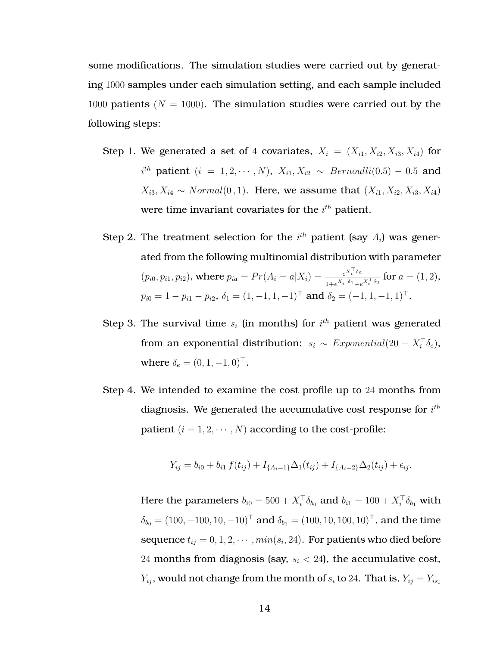some modifications. The simulation studies were carried out by generating 1000 samples under each simulation setting, and each sample included 1000 patients ( $N = 1000$ ). The simulation studies were carried out by the following steps:

- Step 1. We generated a set of 4 covariates,  $X_i = (X_{i1}, X_{i2}, X_{i3}, X_{i4})$  for  $i^{th}$  patient  $(i = 1, 2, \cdots, N)$ ,  $X_{i1}, X_{i2} \sim \text{Bernoulli}(0.5) - 0.5$  and  $X_{i3}, X_{i4} \sim Normal(0, 1)$ . Here, we assume that  $(X_{i1}, X_{i2}, X_{i3}, X_{i4})$ were time invariant covariates for the  $i^{th}$  patient.
- Step 2. The treatment selection for the  $i^{th}$  patient (say  $A_i$ ) was generated from the following multinomial distribution with parameter  $(p_{i0}, p_{i1}, p_{i2})$ , where  $p_{ia} = Pr(A_i = a | X_i) = \frac{e^{X_i^T \delta_a}}{e^{X_i^T \delta_a}}$  $\frac{e^{\alpha_i \sigma_a}}{1+e^{X_i^\top \delta_1}+e^{X_i^\top \delta_2}}$  for  $a=(1,2)$ ,  $p_{i0} = 1 - p_{i1} - p_{i2}, \delta_1 = (1, -1, 1, -1)^\top$  and  $\delta_2 = (-1, 1, -1, 1)^\top$ .
- Step 3. The survival time  $s_i$  (in months) for  $i^{th}$  patient was generated from an exponential distribution:  $s_i \sim Exponential(20 + X_i^{\top} \delta_e)$ , where  $\delta_e = (0, 1, -1, 0)^\top$ .
- Step 4. We intended to examine the cost profile up to 24 months from diagnosis. We generated the accumulative cost response for  $i^{th}$ patient  $(i = 1, 2, \dots, N)$  according to the cost-profile:

$$
Y_{ij} = b_{i0} + b_{i1} f(t_{ij}) + I_{\{A_i=1\}} \Delta_1(t_{ij}) + I_{\{A_i=2\}} \Delta_2(t_{ij}) + \epsilon_{ij}.
$$

Here the parameters  $b_{i0} = 500 + X_i^{\top} \delta_{b_0}$  and  $b_{i1} = 100 + X_i^{\top} \delta_{b_1}$  with  $\delta_{b_0} = (100, -100, 10, -10)^{\top}$  and  $\delta_{b_1} = (100, 10, 100, 10)^{\top}$ , and the time sequence  $t_{ij} = 0, 1, 2, \cdots, min(s_i, 24)$ . For patients who died before 24 months from diagnosis (say,  $s_i < 24$ ), the accumulative cost,  $Y_{ij}$ , would not change from the month of  $s_i$  to 24. That is,  $Y_{ij} = Y_{is_i}$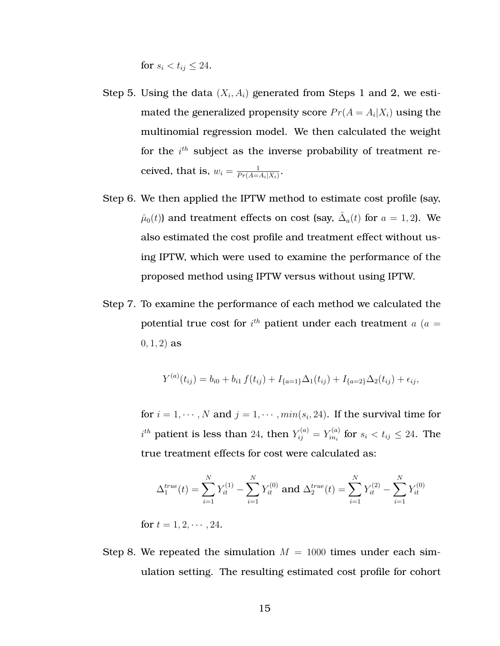for  $s_i < t_{ii} \leq 24$ .

- Step 5. Using the data  $(X_i, A_i)$  generated from Steps 1 and 2, we estimated the generalized propensity score  $Pr(A = A_i | X_i)$  using the multinomial regression model. We then calculated the weight for the  $i^{th}$  subject as the inverse probability of treatment received, that is,  $w_i = \frac{1}{Pr(A_i)}$  $\frac{1}{Pr(A=A_i|X_i)}$ .
- Step 6. We then applied the IPTW method to estimate cost profile (say,  $\hat{\mu}_0(t)$ ) and treatment effects on cost (say,  $\hat{\Delta}_a(t)$  for  $a=1,2$ ). We also estimated the cost profile and treatment effect without using IPTW, which were used to examine the performance of the proposed method using IPTW versus without using IPTW.
- Step 7. To examine the performance of each method we calculated the potential true cost for  $i^{th}$  patient under each treatment  $a$  ( $a=$  $(0, 1, 2)$  as

$$
Y^{(a)}(t_{ij}) = b_{i0} + b_{i1} f(t_{ij}) + I_{\{a=1\}} \Delta_1(t_{ij}) + I_{\{a=2\}} \Delta_2(t_{ij}) + \epsilon_{ij},
$$

for  $i = 1, \cdots, N$  and  $j = 1, \cdots, min(s_i, 24)$ . If the survival time for  $i^{th}$  patient is less than 24, then  $Y_{ij}^{(a)}=Y_{in_{i}}^{(a)}$  $\zeta_{in_i}^{(a)}$  for  $s_i < t_{ij} \leq 24$ . The true treatment effects for cost were calculated as:

$$
\Delta_1^{true}(t) = \sum_{i=1}^N Y_{it}^{(1)} - \sum_{i=1}^N Y_{it}^{(0)} \text{ and } \Delta_2^{true}(t) = \sum_{i=1}^N Y_{it}^{(2)} - \sum_{i=1}^N Y_{it}^{(0)}
$$

for  $t = 1, 2, \cdots, 24$ .

Step 8. We repeated the simulation  $M = 1000$  times under each simulation setting. The resulting estimated cost profile for cohort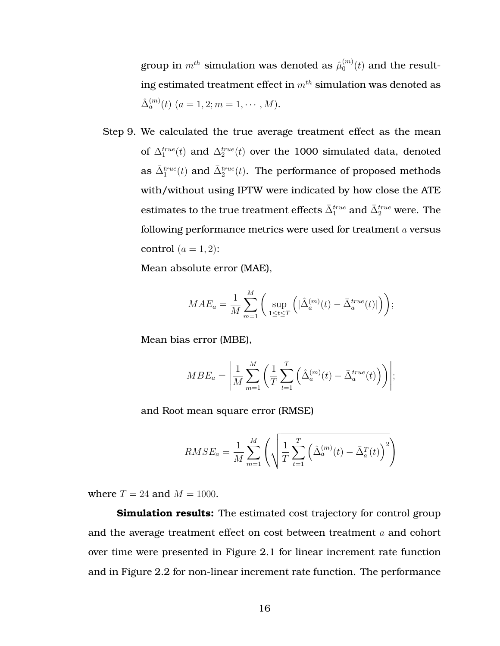group in  $m^{th}$  simulation was denoted as  $\hat{\mu}^{(m)}_0$  $_0^{(m)}(t)$  and the resulting estimated treatment effect in  $m^{th}$  simulation was denoted as  $\hat{\Delta}_a^{(m)}(t)$   $(a = 1, 2; m = 1, \cdots, M).$ 

Step 9. We calculated the true average treatment effect as the mean of  $\Delta_1^{true}(t)$  and  $\Delta_2^{true}(t)$  over the 1000 simulated data, denoted as  $\bar{\Delta}_1^{true}(t)$  and  $\bar{\Delta}_2^{true}(t)$ . The performance of proposed methods with/without using IPTW were indicated by how close the ATE estimates to the true treatment effects  $\bar{\Delta}_1^{true}$  and  $\bar{\Delta}_2^{true}$  were. The following performance metrics were used for treatment a versus control  $(a = 1, 2)$ :

Mean absolute error (MAE),

$$
MAE_a = \frac{1}{M} \sum_{m=1}^{M} \left( \sup_{1 \le t \le T} \left( |\hat{\Delta}_a^{(m)}(t) - \bar{\Delta}_a^{true}(t)| \right) \right);
$$

Mean bias error (MBE),

$$
MBE_a = \left| \frac{1}{M} \sum_{m=1}^{M} \left( \frac{1}{T} \sum_{t=1}^{T} \left( \hat{\Delta}_a^{(m)}(t) - \bar{\Delta}_a^{true}(t) \right) \right) \right|;
$$

and Root mean square error (RMSE)

$$
RMSE_a = \frac{1}{M} \sum_{m=1}^{M} \left( \sqrt{\frac{1}{T} \sum_{t=1}^{T} \left( \hat{\Delta}_a^{(m)}(t) - \bar{\Delta}_a^{T}(t) \right)^2} \right)
$$

where  $T = 24$  and  $M = 1000$ .

**Simulation results:** The estimated cost trajectory for control group and the average treatment effect on cost between treatment a and cohort over time were presented in Figure [2.1](#page-29-0) for linear increment rate function and in Figure [2.2](#page-29-0) for non-linear increment rate function. The performance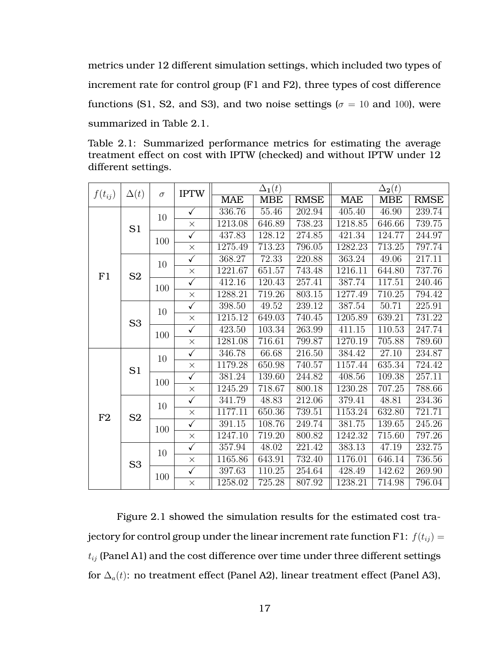metrics under 12 different simulation settings, which included two types of increment rate for control group (F1 and F2), three types of cost difference functions (S1, S2, and S3), and two noise settings ( $\sigma = 10$  and 100), were summarized in Table [2.1.](#page-28-0)

<span id="page-28-0"></span>Table 2.1: Summarized performance metrics for estimating the average treatment effect on cost with IPTW (checked) and without IPTW under 12 different settings.

| $f(t_{ij})$ | $\Delta(t)$    | $\sigma$ | <b>IPTW</b>             | $\Delta_{1}(t)$ |            |             | $\Delta_2(t)$ |                     |             |
|-------------|----------------|----------|-------------------------|-----------------|------------|-------------|---------------|---------------------|-------------|
|             |                |          |                         | <b>MAE</b>      | <b>MBE</b> | <b>RMSE</b> | <b>MAE</b>    | <b>MBE</b>          | <b>RMSE</b> |
|             | S1             | 10       | $\checkmark$            | 336.76          | 55.46      | 202.94      | 405.40        | 46.90               | 239.74      |
|             |                |          | $\times$                | 1213.08         | 646.89     | 738.23      | 1218.85       | 646.66              | 739.75      |
|             |                | 100      | $\checkmark$            | 437.83          | 128.12     | 274.85      | 421.34        | 124.77              | 244.97      |
|             |                |          | $\times$                | 1275.49         | 713.23     | 796.05      | 1282.23       | 713.25              | 797.74      |
|             | S <sub>2</sub> | 10       | $\checkmark$            | 368.27          | 72.33      | 220.88      | 363.24        | 49.06               | 217.11      |
| F1          |                |          | $\times$                | 1221.67         | 651.57     | 743.48      | 1216.11       | 644.80              | 737.76      |
|             |                | 100      | $\overline{\checkmark}$ | 412.16          | 120.43     | 257.41      | 387.74        | 117.51              | 240.46      |
|             |                |          | $\times$                | 1288.21         | 719.26     | $803.15\,$  | 1277.49       | 710.25              | 794.42      |
|             | S <sub>3</sub> | 10       | $\overline{\checkmark}$ | 398.50          | 49.52      | 239.12      | 387.54        | 50.71               | 225.91      |
|             |                |          | $\times$                | 1215.12         | 649.03     | 740.45      | 1205.89       | 639.21              | 731.22      |
|             |                | 100      | $\checkmark$            | 423.50          | 103.34     | 263.99      | 411.15        | $\overline{110.53}$ | 247.74      |
|             |                |          | $\times$                | 1281.08         | 716.61     | 799.87      | 1270.19       | 705.88              | 789.60      |
|             | S1             | 10       | ✓                       | 346.78          | 66.68      | 216.50      | 384.42        | $\overline{27.10}$  | 234.87      |
|             |                |          | $\times$                | 1179.28         | 650.98     | 740.57      | 1157.44       | 635.34              | 724.42      |
|             |                | 100      | $\checkmark$            | 381.24          | 139.60     | 244.82      | 408.56        | 109.38              | 257.11      |
|             |                |          | $\times$                | 1245.29         | 718.67     | 800.18      | 1230.28       | 707.25              | 788.66      |
|             | S <sub>2</sub> | 10       | $\checkmark$            | 341.79          | 48.83      | 212.06      | 379.41        | 48.81               | 234.36      |
| F2          |                |          | $\times$                | 1177.11         | 650.36     | 739.51      | 1153.24       | 632.80              | 721.71      |
|             |                | 100      | $\checkmark$            | 391.15          | 108.76     | 249.74      | 381.75        | 139.65              | 245.26      |
|             |                |          | $\times$                | 1247.10         | 719.20     | 800.82      | 1242.32       | 715.60              | 797.26      |
|             | S <sub>3</sub> | 10       | $\checkmark$            | 357.94          | 48.02      | 221.42      | 383.13        | 47.19               | 232.75      |
|             |                |          | $\times$                | 1165.86         | 643.91     | 732.40      | 1176.01       | 646.14              | 736.56      |
|             |                | 100      | $\checkmark$            | 397.63          | 110.25     | 254.64      | 428.49        | 142.62              | 269.90      |
|             |                |          | $\times$                | 1258.02         | 725.28     | 807.92      | 1238.21       | 714.98              | 796.04      |

Figure [2.1](#page-29-0) showed the simulation results for the estimated cost trajectory for control group under the linear increment rate function F1:  $f(t_{ij}) =$  $t_{ij}$  (Panel A1) and the cost difference over time under three different settings for  $\Delta_a(t)$ : no treatment effect (Panel A2), linear treatment effect (Panel A3),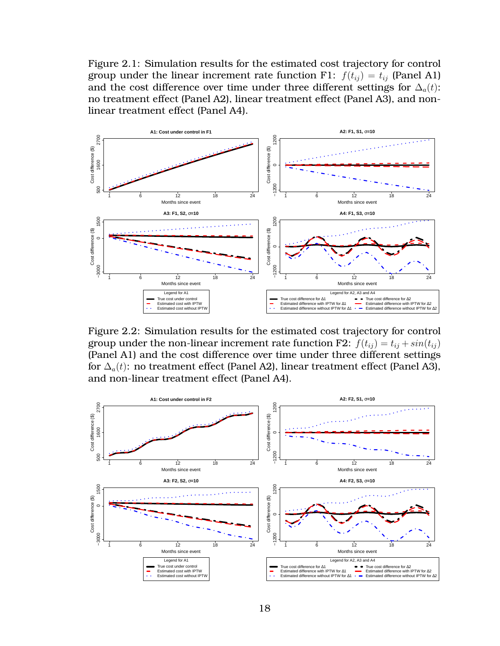<span id="page-29-0"></span>Figure 2.1: Simulation results for the estimated cost trajectory for control group under the linear increment rate function F1:  $f(t_{ij}) = t_{ij}$  (Panel A1) and the cost difference over time under three different settings for  $\Delta_a(t)$ : no treatment effect (Panel A2), linear treatment effect (Panel A3), and nonlinear treatment effect (Panel A4).



Figure 2.2: Simulation results for the estimated cost trajectory for control group under the non-linear increment rate function F2:  $f(t_{ij}) = t_{ij} + sin(t_{ij})$ (Panel A1) and the cost difference over time under three different settings for  $\Delta_a(t)$ : no treatment effect (Panel A2), linear treatment effect (Panel A3), and non-linear treatment effect (Panel A4).

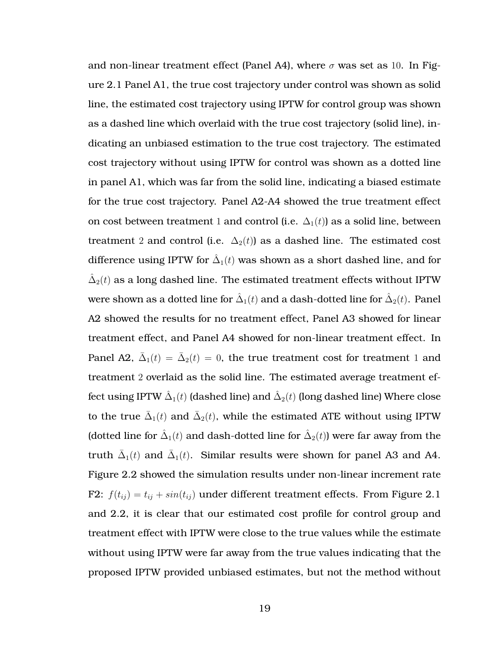and non-linear treatment effect (Panel A4), where  $\sigma$  was set as 10. In Figure [2.1](#page-29-0) Panel A1, the true cost trajectory under control was shown as solid line, the estimated cost trajectory using IPTW for control group was shown as a dashed line which overlaid with the true cost trajectory (solid line), indicating an unbiased estimation to the true cost trajectory. The estimated cost trajectory without using IPTW for control was shown as a dotted line in panel A1, which was far from the solid line, indicating a biased estimate for the true cost trajectory. Panel A2-A4 showed the true treatment effect on cost between treatment 1 and control (i.e.  $\Delta_1(t)$ ) as a solid line, between treatment 2 and control (i.e.  $\Delta_2(t)$ ) as a dashed line. The estimated cost difference using IPTW for  $\hat{\Delta}_1(t)$  was shown as a short dashed line, and for  $\hat{\Delta}_2(t)$  as a long dashed line. The estimated treatment effects without IPTW were shown as a dotted line for  $\hat{\Delta}_1(t)$  and a dash-dotted line for  $\hat{\Delta}_2(t)$ . Panel A2 showed the results for no treatment effect, Panel A3 showed for linear treatment effect, and Panel A4 showed for non-linear treatment effect. In Panel A2,  $\bar{\Delta}_1(t) = \bar{\Delta}_2(t) = 0$ , the true treatment cost for treatment 1 and treatment 2 overlaid as the solid line. The estimated average treatment effect using IPTW  $\hat{\Delta}_1(t)$  (dashed line) and  $\hat{\Delta}_2(t)$  (long dashed line) Where close to the true  $\bar{\Delta}_1(t)$  and  $\bar{\Delta}_2(t)$ , while the estimated ATE without using IPTW (dotted line for  $\hat{\Delta}_1(t)$  and dash-dotted line for  $\hat{\Delta}_2(t)$ ) were far away from the truth  $\bar{\Delta}_1(t)$  and  $\bar{\Delta}_1(t)$ . Similar results were shown for panel A3 and A4. Figure [2.2](#page-29-0) showed the simulation results under non-linear increment rate F2:  $f(t_{ij}) = t_{ij} + \sin(t_{ij})$  under different treatment effects. From Figure [2.1](#page-29-0) and [2.2,](#page-29-0) it is clear that our estimated cost profile for control group and treatment effect with IPTW were close to the true values while the estimate without using IPTW were far away from the true values indicating that the proposed IPTW provided unbiased estimates, but not the method without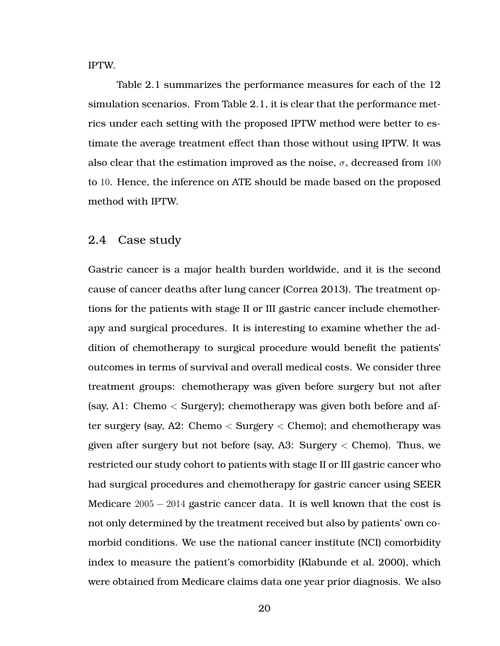IPTW.

Table [2.1](#page-28-0) summarizes the performance measures for each of the 12 simulation scenarios. From Table [2.1,](#page-28-0) it is clear that the performance metrics under each setting with the proposed IPTW method were better to estimate the average treatment effect than those without using IPTW. It was also clear that the estimation improved as the noise,  $\sigma$ , decreased from 100 to 10. Hence, the inference on ATE should be made based on the proposed method with IPTW.

#### <span id="page-31-0"></span>2.4 Case study

Gastric cancer is a major health burden worldwide, and it is the second cause of cancer deaths after lung cancer (Correa [2013\)](#page-72-6). The treatment options for the patients with stage II or III gastric cancer include chemotherapy and surgical procedures. It is interesting to examine whether the addition of chemotherapy to surgical procedure would benefit the patients' outcomes in terms of survival and overall medical costs. We consider three treatment groups: chemotherapy was given before surgery but not after (say, A1: Chemo < Surgery); chemotherapy was given both before and after surgery (say, A2: Chemo < Surgery < Chemo); and chemotherapy was given after surgery but not before (say, A3: Surgery  $\lt$  Chemo). Thus, we restricted our study cohort to patients with stage II or III gastric cancer who had surgical procedures and chemotherapy for gastric cancer using SEER Medicare  $2005 - 2014$  gastric cancer data. It is well known that the cost is not only determined by the treatment received but also by patients' own comorbid conditions. We use the national cancer institute (NCI) comorbidity index to measure the patient's comorbidity (Klabunde et al. [2000\)](#page-73-4), which were obtained from Medicare claims data one year prior diagnosis. We also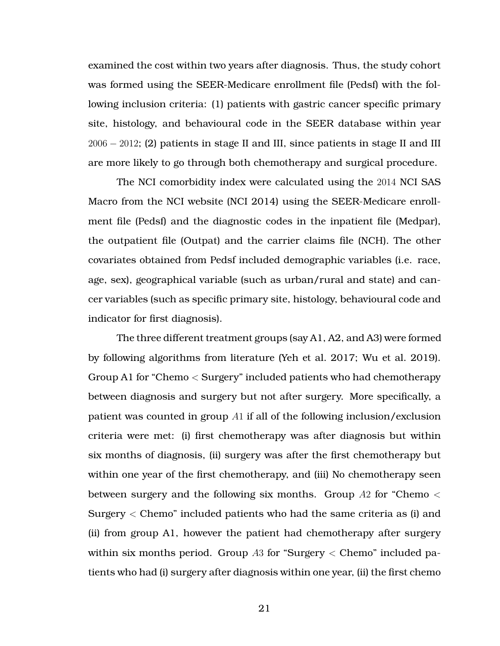examined the cost within two years after diagnosis. Thus, the study cohort was formed using the SEER-Medicare enrollment file (Pedsf) with the following inclusion criteria: (1) patients with gastric cancer specific primary site, histology, and behavioural code in the SEER database within year 2006 − 2012; (2) patients in stage II and III, since patients in stage II and III are more likely to go through both chemotherapy and surgical procedure.

The NCI comorbidity index were calculated using the 2014 NCI SAS Macro from the NCI website (NCI [2014\)](#page-73-5) using the SEER-Medicare enrollment file (Pedsf) and the diagnostic codes in the inpatient file (Medpar), the outpatient file (Outpat) and the carrier claims file (NCH). The other covariates obtained from Pedsf included demographic variables (i.e. race, age, sex), geographical variable (such as urban/rural and state) and cancer variables (such as specific primary site, histology, behavioural code and indicator for first diagnosis).

The three different treatment groups (say A1, A2, and A3) were formed by following algorithms from literature (Yeh et al. [2017;](#page-74-2) Wu et al. [2019\)](#page-74-3). Group A1 for "Chemo < Surgery" included patients who had chemotherapy between diagnosis and surgery but not after surgery. More specifically, a patient was counted in group A1 if all of the following inclusion/exclusion criteria were met: (i) first chemotherapy was after diagnosis but within six months of diagnosis, (ii) surgery was after the first chemotherapy but within one year of the first chemotherapy, and (iii) No chemotherapy seen between surgery and the following six months. Group  $A2$  for "Chemo  $\lt$ Surgery < Chemo" included patients who had the same criteria as (i) and (ii) from group A1, however the patient had chemotherapy after surgery within six months period. Group  $A3$  for "Surgery  $\lt$  Chemo" included patients who had (i) surgery after diagnosis within one year, (ii) the first chemo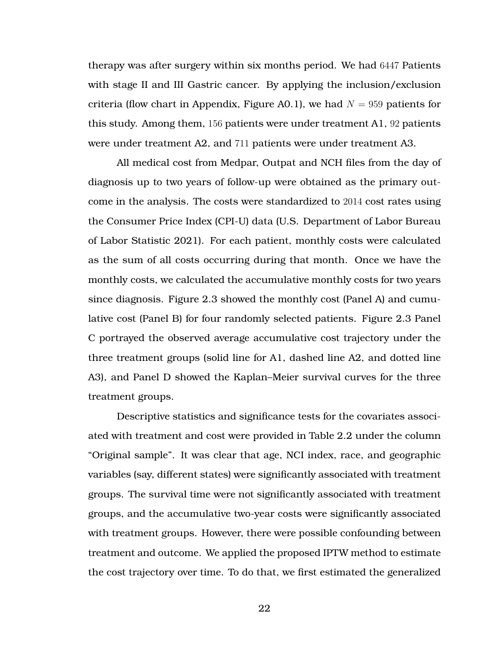therapy was after surgery within six months period. We had 6447 Patients with stage II and III Gastric cancer. By applying the inclusion/exclusion criteria (flow chart in Appendix, Figure [A0.1\)](#page-77-0), we had  $N = 959$  patients for this study. Among them, 156 patients were under treatment A1, 92 patients were under treatment A2, and 711 patients were under treatment A3.

All medical cost from Medpar, Outpat and NCH files from the day of diagnosis up to two years of follow-up were obtained as the primary outcome in the analysis. The costs were standardized to 2014 cost rates using the Consumer Price Index (CPI-U) data (U.S. Department of Labor Bureau of Labor Statistic [2021\)](#page-74-4). For each patient, monthly costs were calculated as the sum of all costs occurring during that month. Once we have the monthly costs, we calculated the accumulative monthly costs for two years since diagnosis. Figure [2.3](#page-34-0) showed the monthly cost (Panel A) and cumulative cost (Panel B) for four randomly selected patients. Figure [2.3](#page-34-0) Panel C portrayed the observed average accumulative cost trajectory under the three treatment groups (solid line for A1, dashed line A2, and dotted line A3), and Panel D showed the Kaplan–Meier survival curves for the three treatment groups.

Descriptive statistics and significance tests for the covariates associated with treatment and cost were provided in Table [2.2](#page-38-0) under the column "Original sample". It was clear that age, NCI index, race, and geographic variables (say, different states) were significantly associated with treatment groups. The survival time were not significantly associated with treatment groups, and the accumulative two-year costs were significantly associated with treatment groups. However, there were possible confounding between treatment and outcome. We applied the proposed IPTW method to estimate the cost trajectory over time. To do that, we first estimated the generalized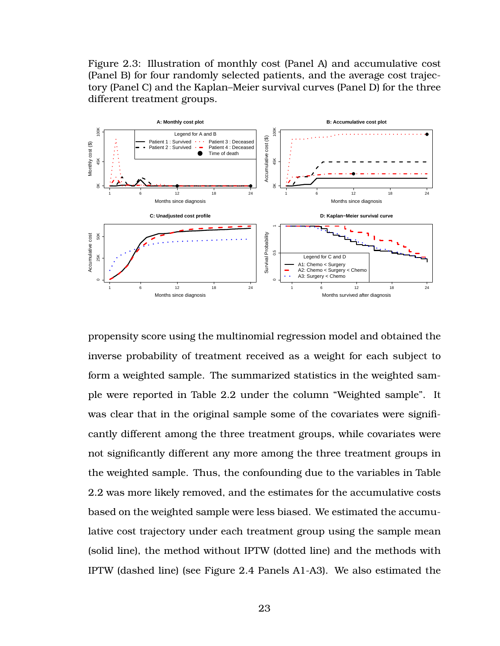<span id="page-34-0"></span>Figure 2.3: Illustration of monthly cost (Panel A) and accumulative cost (Panel B) for four randomly selected patients, and the average cost trajectory (Panel C) and the Kaplan–Meier survival curves (Panel D) for the three different treatment groups.



propensity score using the multinomial regression model and obtained the inverse probability of treatment received as a weight for each subject to form a weighted sample. The summarized statistics in the weighted sample were reported in Table [2.2](#page-38-0) under the column "Weighted sample". It was clear that in the original sample some of the covariates were significantly different among the three treatment groups, while covariates were not significantly different any more among the three treatment groups in the weighted sample. Thus, the confounding due to the variables in Table [2.2](#page-38-0) was more likely removed, and the estimates for the accumulative costs based on the weighted sample were less biased. We estimated the accumulative cost trajectory under each treatment group using the sample mean (solid line), the method without IPTW (dotted line) and the methods with IPTW (dashed line) (see Figure [2.4](#page-37-0) Panels A1-A3). We also estimated the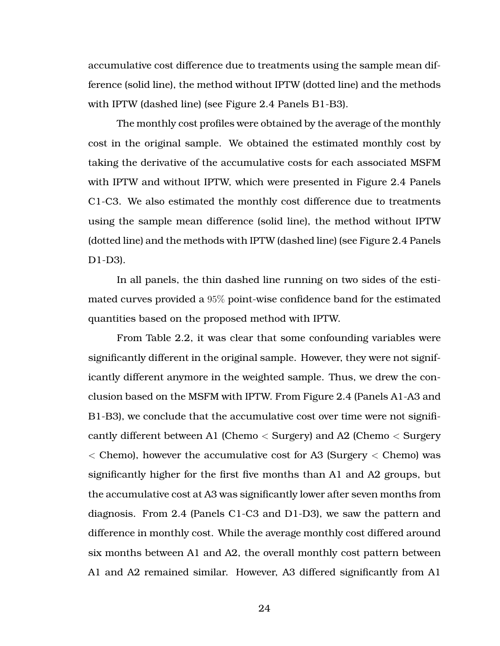accumulative cost difference due to treatments using the sample mean difference (solid line), the method without IPTW (dotted line) and the methods with IPTW (dashed line) (see Figure [2.4](#page-37-0) Panels B1-B3).

The monthly cost profiles were obtained by the average of the monthly cost in the original sample. We obtained the estimated monthly cost by taking the derivative of the accumulative costs for each associated MSFM with IPTW and without IPTW, which were presented in Figure [2.4](#page-37-0) Panels C1-C3. We also estimated the monthly cost difference due to treatments using the sample mean difference (solid line), the method without IPTW (dotted line) and the methods with IPTW (dashed line) (see Figure [2.4](#page-37-0) Panels D1-D3).

In all panels, the thin dashed line running on two sides of the estimated curves provided a 95% point-wise confidence band for the estimated quantities based on the proposed method with IPTW.

From Table [2.2,](#page-38-0) it was clear that some confounding variables were significantly different in the original sample. However, they were not significantly different anymore in the weighted sample. Thus, we drew the conclusion based on the MSFM with IPTW. From Figure [2.4](#page-37-0) (Panels A1-A3 and B1-B3), we conclude that the accumulative cost over time were not significantly different between A1 (Chemo < Surgery) and A2 (Chemo < Surgery  $\langle$  Chemo), however the accumulative cost for A3 (Surgery  $\langle$  Chemo) was significantly higher for the first five months than A1 and A2 groups, but the accumulative cost at A3 was significantly lower after seven months from diagnosis. From [2.4](#page-37-0) (Panels C1-C3 and D1-D3), we saw the pattern and difference in monthly cost. While the average monthly cost differed around six months between A1 and A2, the overall monthly cost pattern between A1 and A2 remained similar. However, A3 differed significantly from A1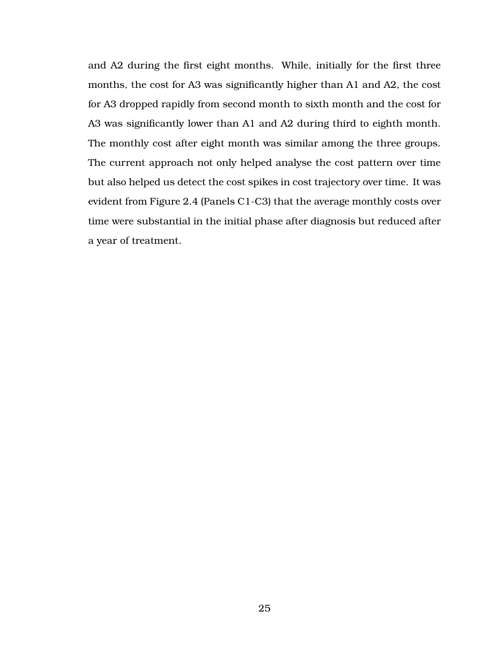and A2 during the first eight months. While, initially for the first three months, the cost for A3 was significantly higher than A1 and A2, the cost for A3 dropped rapidly from second month to sixth month and the cost for A3 was significantly lower than A1 and A2 during third to eighth month. The monthly cost after eight month was similar among the three groups. The current approach not only helped analyse the cost pattern over time but also helped us detect the cost spikes in cost trajectory over time. It was evident from Figure [2.4](#page-37-0) (Panels C1-C3) that the average monthly costs over time were substantial in the initial phase after diagnosis but reduced after a year of treatment.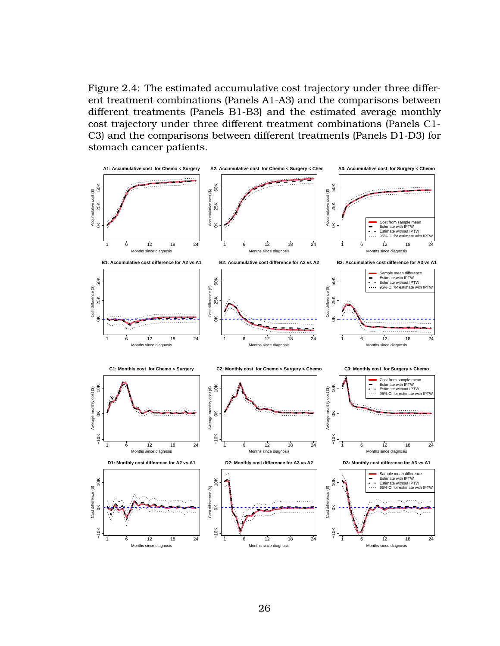<span id="page-37-0"></span>Figure 2.4: The estimated accumulative cost trajectory under three different treatment combinations (Panels A1-A3) and the comparisons between different treatments (Panels B1-B3) and the estimated average monthly cost trajectory under three different treatment combinations (Panels C1- C3) and the comparisons between different treatments (Panels D1-D3) for stomach cancer patients.

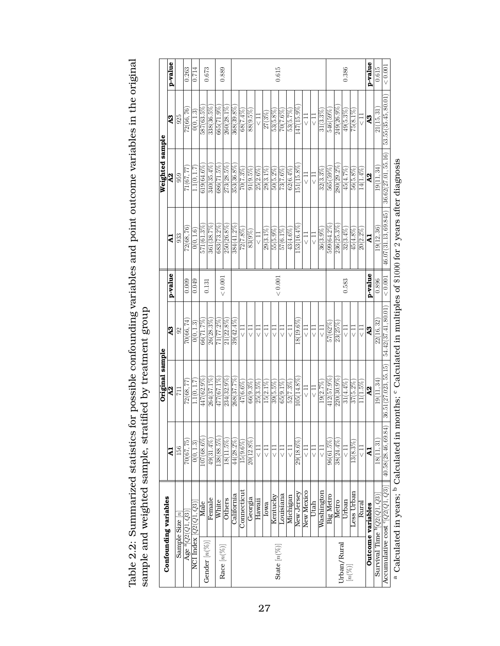|                                             |                                                                                       |                        | Original sample                                                                                                                      |                     |         |                      | Weighted sample     |                     |         |
|---------------------------------------------|---------------------------------------------------------------------------------------|------------------------|--------------------------------------------------------------------------------------------------------------------------------------|---------------------|---------|----------------------|---------------------|---------------------|---------|
|                                             | Confounding variables                                                                 | $\mathbf{z}$           | ą                                                                                                                                    | A <sub>3</sub>      | p-value | 5                    | 2                   | $\boldsymbol{A}$ 3  | p-value |
| Sample Size $[n]$                           |                                                                                       | 156                    | 711                                                                                                                                  | $\mathfrak{S}$      |         | 933                  | 959                 | 925                 |         |
| Age $^{\mathrm{a}}[Q2(Q1,Q3)]$              |                                                                                       | 70(67, 75)             | 72(68,77                                                                                                                             | 70(66.74)           | 0.009   | 72(68,76)            | 71(67, 77)          | 72(66,76)           | 0.263   |
| NCI Index $[Q2(\overline{Q1},Q3)]$          |                                                                                       | 0(0, 1.3)              | 1.1(0, 1.7                                                                                                                           | 0(0, 1.3)           | 0.049   | 0(0, 1.6)            | 1.1(0, 1.7)         | 0(0, 1.3)           | 0.714   |
|                                             | Male                                                                                  | $107(68.6\%)$          | 447(62.9%)                                                                                                                           | 66(71.7%)           | 0.131   | 571 (61.3%           | $619(64.6\%)$       | 587(63.5%)          | 0.673   |
| Gender $[n(\%)]$                            | Female                                                                                | 49(31.4%               | 264(37.1%                                                                                                                            | 26(28.3%            |         | 361(38.7%            | 340(35.4%           | 338(36.5%           |         |
| Race $\left[n(\%) \right]$                  | White                                                                                 | 138(88.5%              | 477 (67.1%)                                                                                                                          | $71(77.2\%$         | < 0.001 | 683 (73.2%)          | 686(71.5%)          | $665(71.9\%)$       | 0.889   |
|                                             | <b>Others</b>                                                                         | $18(11.5\%)$           | 234(32.9%)                                                                                                                           | $21(22.8\%)$        |         | $250(26.8\%)$        | $273(28.5\%)$       | 260(28.1%)          |         |
|                                             | California                                                                            | $44(28.2\%$            | 268(37.7%                                                                                                                            | $39(42.4\%$         |         | 384(41.2%            | 353(36.8%           | 368(39.8%           |         |
|                                             | Connecticut                                                                           | $15(9.6\%)$            | $47(6.6\%)$                                                                                                                          | $\frac{11}{2}$      |         | $72(7.8\%)$          | $70(7.3\%)$         | 68(7.4%)            |         |
|                                             | Georgia                                                                               | 20(12.8%)              | $66(9.3\%)$                                                                                                                          | $\frac{11}{2}$      |         | 83(9%                | $91(9.5\%)$         | 88(9.5%)            |         |
|                                             | Hawaii                                                                                | コ<br>V                 | $25(3.5\%)$                                                                                                                          |                     |         | $\frac{11}{2}$       | $25(2.6\%)$         | コマ                  |         |
|                                             | Iowa                                                                                  | $\frac{11}{5}$         | $15(2.1\%)$                                                                                                                          | コ<br>∨              |         | $29(3.1\%$           | $29(3.1\%)$         | $27 (3\%)$          |         |
|                                             | Kentucky                                                                              | $\frac{11}{2}$         | $39(5.5\%)$                                                                                                                          |                     |         | 55(5.9%)             | $50(5.2\%)$         | $53(5.8\%)$         | 0.615   |
| State $\lfloor n(\%) \rfloor$               | Louisiana                                                                             |                        | $65(9.1\%)$                                                                                                                          |                     | < 0.001 | $57(6.1\%)$          | 73(7.6%             | 70(7.6%             |         |
|                                             | Michigan                                                                              | $\frac{11}{5}$         | $52(7.3\%)$                                                                                                                          | コマ                  |         | $43(4.6\%)$          | $62(6.4\%)$         | 53(5.7%)            |         |
|                                             | New Jersey                                                                            | 29(18.6%)              | 05(14.8%)                                                                                                                            | 18(19.6%            |         | 53(16.4%             | 51(15.8%            | 47(15.9%            |         |
|                                             | New Mexico                                                                            | ロン                     |                                                                                                                                      |                     |         |                      |                     | $\Xi$               |         |
|                                             | Utah                                                                                  | $\frac{11}{5}$         | $\frac{1}{\sqrt{2}}$                                                                                                                 | $\frac{11}{5}$      |         | $\frac{11}{5}$       | $\frac{11}{2}$      | $\frac{11}{5}$      |         |
|                                             | Washington                                                                            | $\frac{1}{2}$          | 19(2.7%                                                                                                                              | $\frac{11}{2}$      |         | 36(3.9%              | $32(3.3\%)$         | $31(3.3\%)$         |         |
|                                             | Big Metro                                                                             | 96(61.5%               | 412(57.9%)                                                                                                                           | 57(62%              |         | 599 (64.2%           | 565(59%)            | 546(59%)            |         |
| Urban/Rural                                 | Metro                                                                                 | $38(24.4\%$            | $220(30.9\%$                                                                                                                         | 23(25%              |         | 236 (25.3%           | 280(29.2%           | 249(26.9%)          |         |
|                                             | Urban                                                                                 | ;<br>⊃                 | $31(4.4\%)$                                                                                                                          |                     | 0.583   | $32(3.4\%)$          | 45(4.7%)            | 49(5.3%             | 0.386   |
| $\left[n(\%)\right]$                        | Less Urban                                                                            | $13(8.3\%)$            | $37(5.2\%)$                                                                                                                          | $\frac{11}{5}$      |         | 45(4.8%)             | $56(5.8\%)$         | $75(8.1\%)$         |         |
|                                             | Rural                                                                                 | $\frac{1}{\sqrt{2}}$   | $(1.5\%)$                                                                                                                            | $\frac{11}{2}$      |         | $20(2.2\%)$          | $14(1.4\%)$         | コマ                  |         |
|                                             | Outcome variables                                                                     | 41                     | $\overline{a}$                                                                                                                       | $\overline{AB}$     | p-value | 국                    | $\overline{A2}$     | 23                  | p-value |
|                                             | Survival Time $\left. \begin{matrix} 9 & 2(21, 23) \ 0 & 0 & 0 \end{matrix} \right\}$ | $\overline{18}(11,31)$ | 19(11, 34)                                                                                                                           | 22(16, 32)          | 0.896   | 19(12, 36)           | 19(11, 34)          | 21(15, 31)          | 0.615   |
| Accumulative cost $\lceil Q2(Q1,Q3) \rceil$ |                                                                                       | 40.58(28.46, 69.84)    | 36.51(27.023, 55.15)                                                                                                                 | 54.42(37.41, 80.01) | < 0.001 | 46.07(31.13, 69.845) | 36.62(27.01, 55.16) | 53.55(35.45, 80.01) | < 0.001 |
|                                             |                                                                                       |                        | a Calculated in years; <sup>b</sup> Calculated in months; <sup>c</sup> Calculated in multiples of \$1000 for 2 years after diagnosis |                     |         |                      |                     |                     |         |

Table 2.2: Summarized statistics for possible confounding variables and point outcome variables in the original Table 2.2: Summarized statistics for possible confounding variables and point outcome variables in the original sample and weighted sample, stratified by treatment group sample and weighted sample, stratified by treatment group

27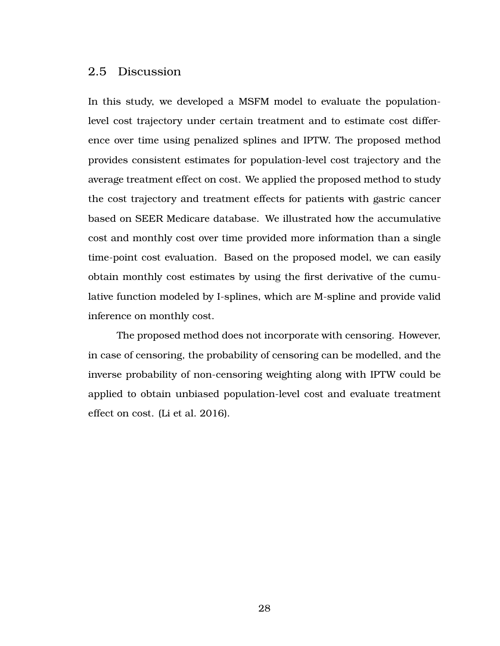### 2.5 Discussion

In this study, we developed a MSFM model to evaluate the populationlevel cost trajectory under certain treatment and to estimate cost difference over time using penalized splines and IPTW. The proposed method provides consistent estimates for population-level cost trajectory and the average treatment effect on cost. We applied the proposed method to study the cost trajectory and treatment effects for patients with gastric cancer based on SEER Medicare database. We illustrated how the accumulative cost and monthly cost over time provided more information than a single time-point cost evaluation. Based on the proposed model, we can easily obtain monthly cost estimates by using the first derivative of the cumulative function modeled by I-splines, which are M-spline and provide valid inference on monthly cost.

The proposed method does not incorporate with censoring. However, in case of censoring, the probability of censoring can be modelled, and the inverse probability of non-censoring weighting along with IPTW could be applied to obtain unbiased population-level cost and evaluate treatment effect on cost. (Li et al. [2016\)](#page-73-0).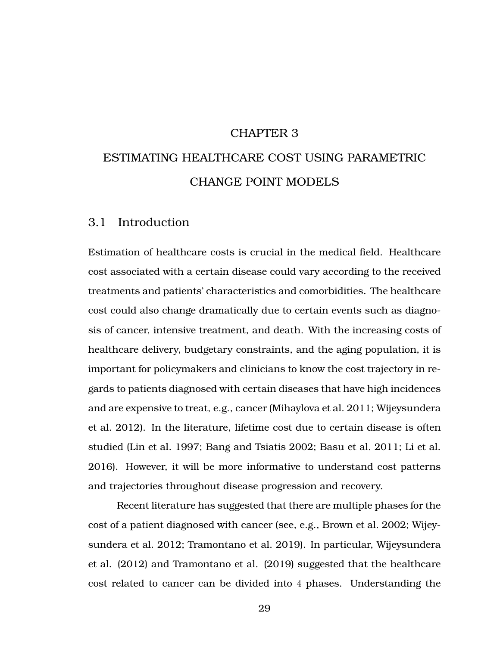#### CHAPTER 3

# ESTIMATING HEALTHCARE COST USING PARAMETRIC CHANGE POINT MODELS

## 3.1 Introduction

Estimation of healthcare costs is crucial in the medical field. Healthcare cost associated with a certain disease could vary according to the received treatments and patients' characteristics and comorbidities. The healthcare cost could also change dramatically due to certain events such as diagnosis of cancer, intensive treatment, and death. With the increasing costs of healthcare delivery, budgetary constraints, and the aging population, it is important for policymakers and clinicians to know the cost trajectory in regards to patients diagnosed with certain diseases that have high incidences and are expensive to treat, e.g., cancer (Mihaylova et al. [2011;](#page-73-1) Wijeysundera et al. [2012\)](#page-74-0). In the literature, lifetime cost due to certain disease is often studied (Lin et al. [1997;](#page-73-2) Bang and Tsiatis [2002;](#page-72-0) Basu et al. [2011;](#page-72-1) Li et al. [2016\)](#page-73-0). However, it will be more informative to understand cost patterns and trajectories throughout disease progression and recovery.

Recent literature has suggested that there are multiple phases for the cost of a patient diagnosed with cancer (see, e.g., Brown et al. [2002;](#page-72-2) Wijeysundera et al. [2012;](#page-74-0) Tramontano et al. [2019\)](#page-74-1). In particular, Wijeysundera et al. (2012) and Tramontano et al. (2019) suggested that the healthcare cost related to cancer can be divided into 4 phases. Understanding the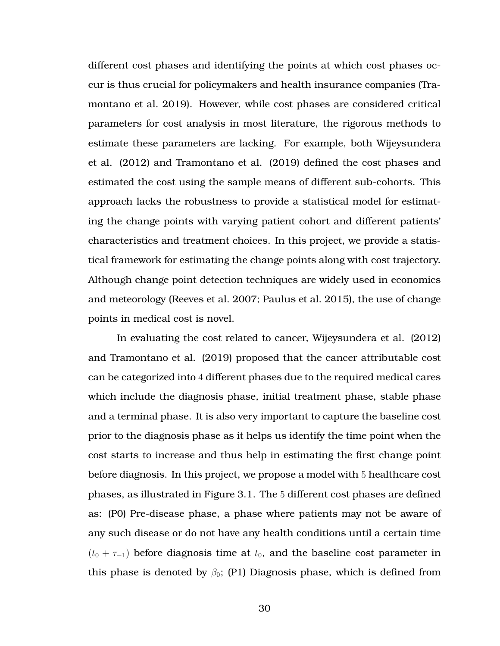different cost phases and identifying the points at which cost phases occur is thus crucial for policymakers and health insurance companies (Tramontano et al. [2019\)](#page-74-1). However, while cost phases are considered critical parameters for cost analysis in most literature, the rigorous methods to estimate these parameters are lacking. For example, both Wijeysundera et al. (2012) and Tramontano et al. (2019) defined the cost phases and estimated the cost using the sample means of different sub-cohorts. This approach lacks the robustness to provide a statistical model for estimating the change points with varying patient cohort and different patients' characteristics and treatment choices. In this project, we provide a statistical framework for estimating the change points along with cost trajectory. Although change point detection techniques are widely used in economics and meteorology (Reeves et al. [2007;](#page-73-3) Paulus et al. [2015\)](#page-73-4), the use of change points in medical cost is novel.

In evaluating the cost related to cancer, Wijeysundera et al. (2012) and Tramontano et al. (2019) proposed that the cancer attributable cost can be categorized into 4 different phases due to the required medical cares which include the diagnosis phase, initial treatment phase, stable phase and a terminal phase. It is also very important to capture the baseline cost prior to the diagnosis phase as it helps us identify the time point when the cost starts to increase and thus help in estimating the first change point before diagnosis. In this project, we propose a model with 5 healthcare cost phases, as illustrated in Figure [3.1.](#page-42-0) The 5 different cost phases are defined as: (P0) Pre-disease phase, a phase where patients may not be aware of any such disease or do not have any health conditions until a certain time  $(t_0 + \tau_{-1})$  before diagnosis time at  $t_0$ , and the baseline cost parameter in this phase is denoted by  $\beta_0$ ; (P1) Diagnosis phase, which is defined from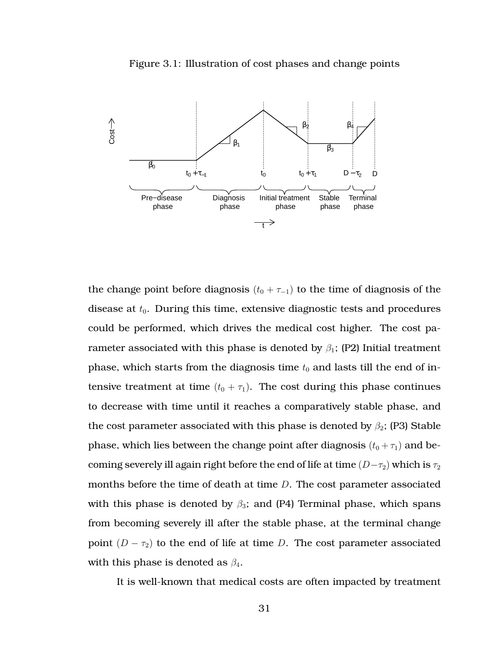<span id="page-42-0"></span>



the change point before diagnosis  $(t_0 + \tau_{-1})$  to the time of diagnosis of the disease at  $t_0$ . During this time, extensive diagnostic tests and procedures could be performed, which drives the medical cost higher. The cost parameter associated with this phase is denoted by  $\beta_1$ ; (P2) Initial treatment phase, which starts from the diagnosis time  $t_0$  and lasts till the end of intensive treatment at time  $(t_0 + \tau_1)$ . The cost during this phase continues to decrease with time until it reaches a comparatively stable phase, and the cost parameter associated with this phase is denoted by  $\beta_2$ ; (P3) Stable phase, which lies between the change point after diagnosis  $(t_0 + \tau_1)$  and becoming severely ill again right before the end of life at time  $(D-\tau_2)$  which is  $\tau_2$ months before the time of death at time  $D$ . The cost parameter associated with this phase is denoted by  $\beta_3$ ; and (P4) Terminal phase, which spans from becoming severely ill after the stable phase, at the terminal change point  $(D - \tau_2)$  to the end of life at time D. The cost parameter associated with this phase is denoted as  $\beta_4$ .

It is well-known that medical costs are often impacted by treatment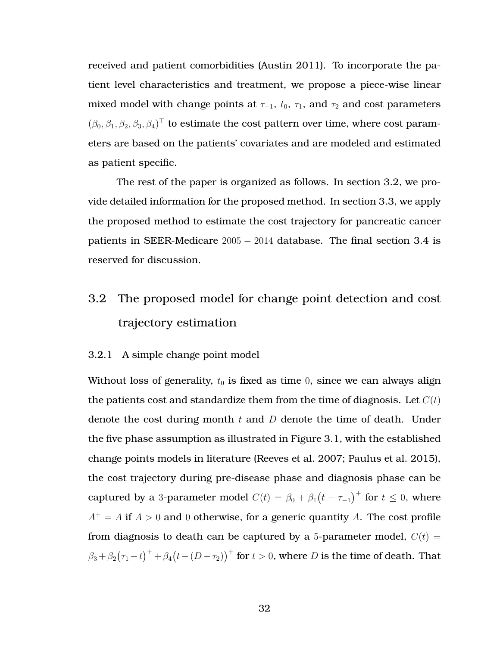received and patient comorbidities (Austin [2011\)](#page-72-3). To incorporate the patient level characteristics and treatment, we propose a piece-wise linear mixed model with change points at  $\tau_{-1}$ ,  $t_0$ ,  $\tau_1$ , and  $\tau_2$  and cost parameters  $(\beta_0, \beta_1, \beta_2, \beta_3, \beta_4)^{\top}$  to estimate the cost pattern over time, where cost parameters are based on the patients' covariates and are modeled and estimated as patient specific.

The rest of the paper is organized as follows. In section [3.2,](#page-43-0) we provide detailed information for the proposed method. In section [3.3,](#page-48-0) we apply the proposed method to estimate the cost trajectory for pancreatic cancer patients in SEER-Medicare 2005 − 2014 database. The final section [3.4](#page-55-0) is reserved for discussion.

## <span id="page-43-0"></span>3.2 The proposed model for change point detection and cost trajectory estimation

#### 3.2.1 A simple change point model

Without loss of generality,  $t_0$  is fixed as time 0, since we can always align the patients cost and standardize them from the time of diagnosis. Let  $C(t)$ denote the cost during month  $t$  and  $D$  denote the time of death. Under the five phase assumption as illustrated in Figure [3.1,](#page-42-0) with the established change points models in literature (Reeves et al. [2007;](#page-73-3) Paulus et al. [2015\)](#page-73-4), the cost trajectory during pre-disease phase and diagnosis phase can be captured by a 3-parameter model  $C(t) = \beta_0 + \beta_1(t - \tau_{-1})^+$  for  $t \le 0$ , where  $A^+ = A$  if  $A > 0$  and 0 otherwise, for a generic quantity A. The cost profile from diagnosis to death can be captured by a 5-parameter model,  $C(t)$  =  $\beta_3+\beta_2(\tau_1-t)^++\beta_4\big(t-(D-\tau_2)\big)^+$  for  $t>0,$  where  $D$  is the time of death. That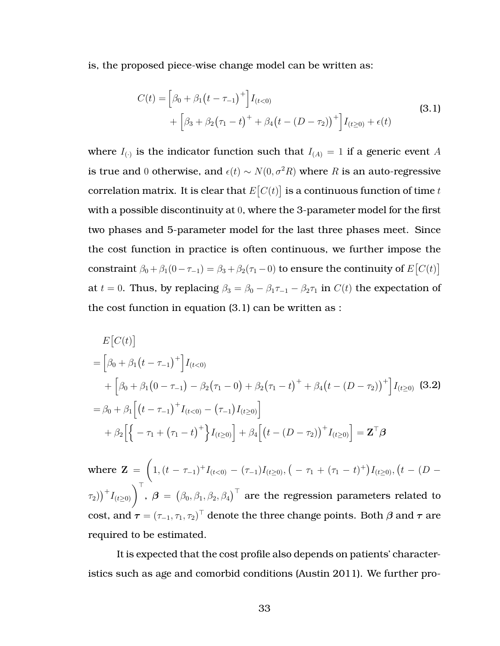is, the proposed piece-wise change model can be written as:

<span id="page-44-0"></span>
$$
C(t) = \left[\beta_0 + \beta_1 (t - \tau_{-1})^+\right] I_{(t<0)} + \left[\beta_3 + \beta_2 (\tau_1 - t)^+ + \beta_4 (t - (D - \tau_2))^+\right] I_{(t\geq 0)} + \epsilon(t)
$$
\n(3.1)

where  $I_{(\cdot)}$  is the indicator function such that  $I_{(A)} = 1$  if a generic event A is true and 0 otherwise, and  $\epsilon(t) \sim N(0, \sigma^2 R)$  where R is an auto-regressive correlation matrix. It is clear that  $E\big[C(t)\big]$  is a continuous function of time  $t$ with a possible discontinuity at 0, where the 3-parameter model for the first two phases and 5-parameter model for the last three phases meet. Since the cost function in practice is often continuous, we further impose the constraint  $\beta_0 + \beta_1(0 - \tau_{-1}) = \beta_3 + \beta_2(\tau_1 - 0)$  to ensure the continuity of  $E[C(t)]$ at  $t = 0$ . Thus, by replacing  $\beta_3 = \beta_0 - \beta_1 \tau_{-1} - \beta_2 \tau_1$  in  $C(t)$  the expectation of the cost function in equation [\(3.1\)](#page-44-0) can be written as :

<span id="page-44-1"></span>
$$
E[C(t)]
$$
  
=  $\left[\beta_0 + \beta_1(t - \tau_{-1})^+\right]I_{(t<0)}$   
+  $\left[\beta_0 + \beta_1(0 - \tau_{-1}) - \beta_2(\tau_1 - 0) + \beta_2(\tau_1 - t)^+ + \beta_4(t - (D - \tau_2))^+\right]I_{(t\ge0)}$  (3.2)  
=  $\beta_0 + \beta_1\left[\left(t - \tau_{-1}\right)^+I_{(t<0)} - \left(\tau_{-1}\right)I_{(t\ge0)}\right]$   
+  $\beta_2\left[\left\{-\tau_1 + \left(\tau_1 - t\right)^+\right\}I_{(t\ge0)}\right] + \beta_4\left[\left(t - (D - \tau_2)\right)^+I_{(t\ge0)}\right] = \mathbf{Z}^\top \boldsymbol{\beta}$ 

where  $Z =$  $\sqrt{ }$ 1,  $(t - \tau_{-1})+ I_{(t<0)} - (\tau_{-1})I_{(t\geq0)},$   $(-\tau_1 + (\tau_1 - t)^+)I_{(t\geq0)},$   $(t - (D \left(\tau_1\right)^+I_{(t\geq0)}\bigg)^{\top},~\bm{\beta}~=~\left(\beta_0,\beta_1,\beta_2,\beta_4\right)^{\top}$  are the regression parameters related to cost, and  $\boldsymbol{\tau} = (\tau_{-1}, \tau_1, \tau_2)^\top$  denote the three change points. Both  $\boldsymbol{\beta}$  and  $\boldsymbol{\tau}$  are required to be estimated.

It is expected that the cost profile also depends on patients' characteristics such as age and comorbid conditions (Austin [2011\)](#page-72-3). We further pro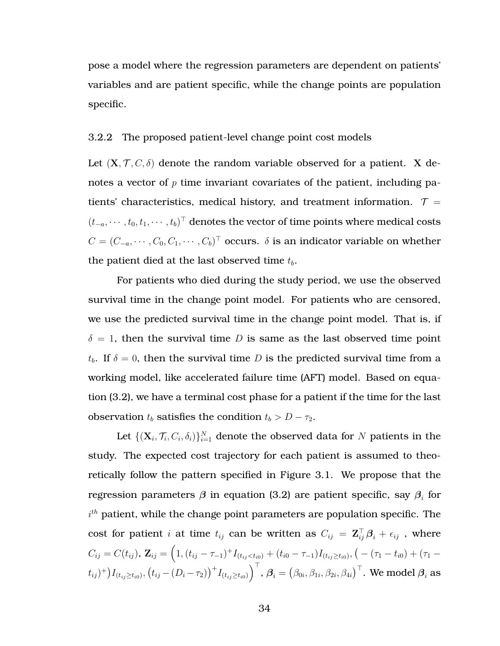pose a model where the regression parameters are dependent on patients' variables and are patient specific, while the change points are population specific.

#### 3.2.2 The proposed patient-level change point cost models

Let  $(X, \mathcal{T}, C, \delta)$  denote the random variable observed for a patient. X denotes a vector of  $p$  time invariant covariates of the patient, including patients' characteristics, medical history, and treatment information.  $\tau =$  $(t_{-a}, \cdots, t_0, t_1, \cdots, t_b)^\top$  denotes the vector of time points where medical costs  $C = (C_{-a}, \cdots, C_0, C_1, \cdots, C_b)^{\top}$  occurs.  $\delta$  is an indicator variable on whether the patient died at the last observed time  $t_b$ .

For patients who died during the study period, we use the observed survival time in the change point model. For patients who are censored, we use the predicted survival time in the change point model. That is, if  $\delta = 1$ , then the survival time D is same as the last observed time point  $t_b$ . If  $\delta = 0$ , then the survival time D is the predicted survival time from a working model, like accelerated failure time (AFT) model. Based on equation [\(3.2\)](#page-44-1), we have a terminal cost phase for a patient if the time for the last observation  $t_b$  satisfies the condition  $t_b > D - \tau_2$ .

Let  $\{(\mathbf{X}_i,\mathcal{T}_i,C_i,\delta_i)\}_{i=1}^N$  denote the observed data for  $N$  patients in the study. The expected cost trajectory for each patient is assumed to theoretically follow the pattern specified in Figure [3.1.](#page-42-0) We propose that the regression parameters  $\beta$  in equation [\(3.2\)](#page-44-1) are patient specific, say  $\beta_i$  for  $i^{th}$  patient, while the change point parameters are population specific. The cost for patient i at time  $t_{ij}$  can be written as  $C_{ij} = \mathbf{Z}_{ij}^{\top} \boldsymbol{\beta}_i + \epsilon_{ij}$  , where  $C_{ij}=C(t_{ij})$ ,  $\mathbf{Z}_{ij}=\Big(1,(t_{ij}-\tau_{-1})^+I_{(t_{ij}$  $(t_{ij})^+)I_{(t_{ij}\geq t_{i0})}, \left(t_{ij}-(D_i-\tau_2)\right)^+I_{(t_{ij}\geq t_{i0})}\Bigr)^{\top},$   $\boldsymbol{\beta}_i=\left(\beta_{0i},\beta_{1i},\beta_{2i},\beta_{4i}\right)^{\top}.$  We model  $\boldsymbol{\beta}_i$  as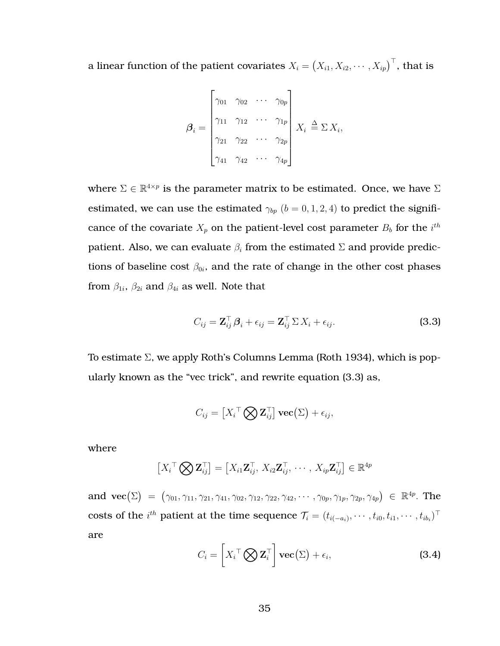a linear function of the patient covariates  $X_i = \left(X_{i1}, X_{i2}, \cdots, X_{ip}\right)^\top$ , that is

$$
\boldsymbol{\beta}_i = \begin{bmatrix} \gamma_{01} & \gamma_{02} & \cdots & \gamma_{0p} \\ \gamma_{11} & \gamma_{12} & \cdots & \gamma_{1p} \\ \gamma_{21} & \gamma_{22} & \cdots & \gamma_{2p} \\ \gamma_{41} & \gamma_{42} & \cdots & \gamma_{4p} \end{bmatrix} X_i \triangleq \Sigma X_i,
$$

where  $\Sigma \in \mathbb{R}^{4 \times p}$  is the parameter matrix to be estimated. Once, we have  $\Sigma$ estimated, we can use the estimated  $\gamma_{bp}$  ( $b = 0, 1, 2, 4$ ) to predict the significance of the covariate  $X_p$  on the patient-level cost parameter  $B_b$  for the  $i^{th}$ patient. Also, we can evaluate  $\beta_i$  from the estimated  $\Sigma$  and provide predictions of baseline cost  $\beta_{0i}$ , and the rate of change in the other cost phases from  $\beta_{1i}$ ,  $\beta_{2i}$  and  $\beta_{4i}$  as well. Note that

<span id="page-46-0"></span>
$$
C_{ij} = \mathbf{Z}_{ij}^{\top} \boldsymbol{\beta}_i + \epsilon_{ij} = \mathbf{Z}_{ij}^{\top} \Sigma X_i + \epsilon_{ij}.
$$
 (3.3)

To estimate Σ, we apply Roth's Columns Lemma (Roth [1934\)](#page-74-2), which is popularly known as the "vec trick", and rewrite equation [\(3.3\)](#page-46-0) as,

$$
C_{ij} = \left[X_i^\top \bigotimes \mathbf{Z}_{ij}^\top\right] \mathbf{vec}(\Sigma) + \epsilon_{ij},
$$

where

$$
\left[X_i^\top \bigotimes \mathbf{Z}_{ij}^\top\right] = \left[X_{i1} \mathbf{Z}_{ij}^\top, X_{i2} \mathbf{Z}_{ij}^\top, \cdots, X_{ip} \mathbf{Z}_{ij}^\top\right] \in \mathbb{R}^{4p}
$$

<span id="page-46-1"></span>and  $\text{vec}(\Sigma) = (\gamma_{01}, \gamma_{11}, \gamma_{21}, \gamma_{41}, \gamma_{02}, \gamma_{12}, \gamma_{22}, \gamma_{42}, \cdots, \gamma_{0p}, \gamma_{1p}, \gamma_{2p}, \gamma_{4p}) \in \mathbb{R}^{4p}$ . The costs of the  $i^{th}$  patient at the time sequence  $\mathcal{T}_i = (t_{i(-a_i)}, \cdots, t_{i0}, t_{i1}, \cdots, t_{ib_i})^\top$ are

$$
C_i = \left[ X_i^\top \bigotimes \mathbf{Z}_i^\top \right] \mathbf{vec}(\Sigma) + \epsilon_i,
$$
 (3.4)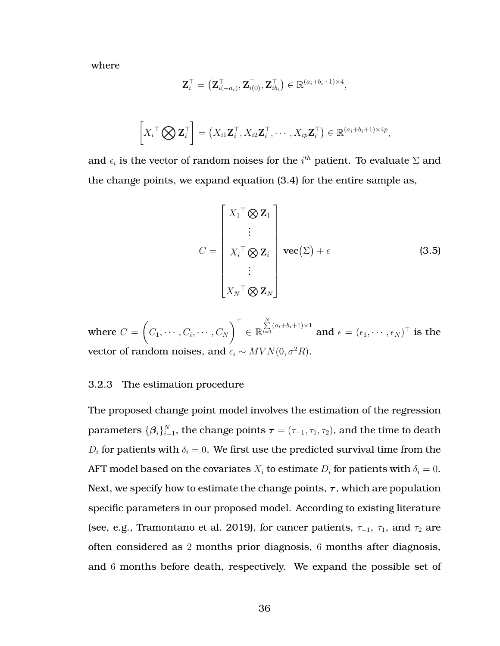where

$$
\mathbf{Z}_i^\top = \left(\mathbf{Z}_{i(-a_i)}^\top, \mathbf{Z}_{i(0)}^\top, \mathbf{Z}_{ib_i}^\top\right) \in \mathbb{R}^{(a_i+b_i+1) \times 4},
$$

$$
\left[X_i^\top \bigotimes \mathbf{Z}_i^\top\right] = \left(X_{i1}\mathbf{Z}_i^\top, X_{i2}\mathbf{Z}_i^\top, \cdots, X_{ip}\mathbf{Z}_i^\top\right) \in \mathbb{R}^{(a_i+b_i+1)\times 4p},
$$

and  $\epsilon_i$  is the vector of random noises for the  $i^{th}$  patient. To evaluate  $\Sigma$  and the change points, we expand equation [\(3.4\)](#page-46-1) for the entire sample as,

<span id="page-47-0"></span>
$$
C = \begin{bmatrix} X_1^{\top} \otimes \mathbf{Z}_1 \\ \vdots \\ X_i^{\top} \otimes \mathbf{Z}_i \\ \vdots \\ X_N^{\top} \otimes \mathbf{Z}_N \end{bmatrix} \mathbf{vec}(\Sigma) + \epsilon
$$
 (3.5)

where  $C=$  $\sqrt{ }$  $C_1, \cdots, C_i, \cdots, C_N$  $\lambda^{\top}$ ∈ R  $\sum\limits_{i=1}^N(a_i+b_i+1)\times 1$  and  $\epsilon=(\epsilon_1,\cdots,\epsilon_N)^\top$  is the vector of random noises, and  $\epsilon_i \sim MVN(0, \sigma^2R)$ .

#### 3.2.3 The estimation procedure

The proposed change point model involves the estimation of the regression parameters  $\{\boldsymbol{\beta}_i\}_{i=1}^N$ , the change points  $\boldsymbol{\tau} = (\tau_{-1}, \tau_1, \tau_2)$ , and the time to death  $D_i$  for patients with  $\delta_i = 0$ . We first use the predicted survival time from the AFT model based on the covariates  $X_i$  to estimate  $D_i$  for patients with  $\delta_i = 0$ . Next, we specify how to estimate the change points,  $\tau$ , which are population specific parameters in our proposed model. According to existing literature (see, e.g., Tramontano et al. [2019\)](#page-74-1), for cancer patients,  $\tau_{-1}$ ,  $\tau_1$ , and  $\tau_2$  are often considered as 2 months prior diagnosis, 6 months after diagnosis, and 6 months before death, respectively. We expand the possible set of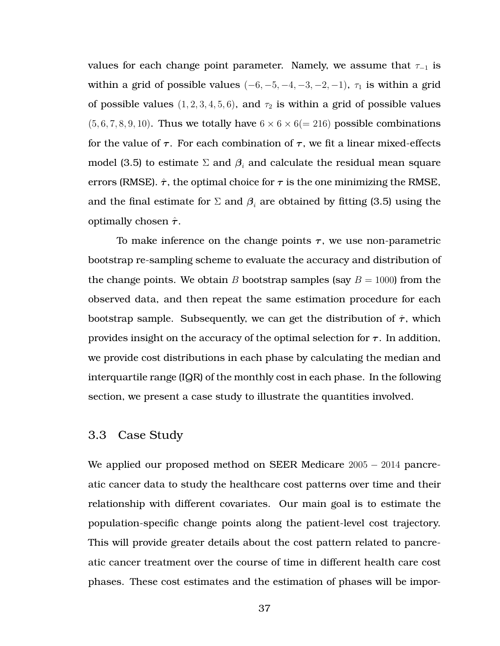values for each change point parameter. Namely, we assume that  $\tau_{-1}$  is within a grid of possible values  $(-6, -5, -4, -3, -2, -1)$ ,  $\tau_1$  is within a grid of possible values  $(1, 2, 3, 4, 5, 6)$ , and  $\tau_2$  is within a grid of possible values  $(5, 6, 7, 8, 9, 10)$ . Thus we totally have  $6 \times 6 \times 6(=216)$  possible combinations for the value of  $\tau$ . For each combination of  $\tau$ , we fit a linear mixed-effects model [\(3.5\)](#page-47-0) to estimate  $\Sigma$  and  $\beta_i$  and calculate the residual mean square errors (RMSE).  $\hat{\tau}$ , the optimal choice for  $\tau$  is the one minimizing the RMSE, and the final estimate for  $\Sigma$  and  $\beta_i$  are obtained by fitting [\(3.5\)](#page-47-0) using the optimally chosen  $\hat{\tau}$ .

To make inference on the change points  $\tau$ , we use non-parametric bootstrap re-sampling scheme to evaluate the accuracy and distribution of the change points. We obtain B bootstrap samples (say  $B = 1000$ ) from the observed data, and then repeat the same estimation procedure for each bootstrap sample. Subsequently, we can get the distribution of  $\hat{\tau}$ , which provides insight on the accuracy of the optimal selection for  $\tau$ . In addition, we provide cost distributions in each phase by calculating the median and interquartile range (IQR) of the monthly cost in each phase. In the following section, we present a case study to illustrate the quantities involved.

## <span id="page-48-0"></span>3.3 Case Study

We applied our proposed method on SEER Medicare 2005 − 2014 pancreatic cancer data to study the healthcare cost patterns over time and their relationship with different covariates. Our main goal is to estimate the population-specific change points along the patient-level cost trajectory. This will provide greater details about the cost pattern related to pancreatic cancer treatment over the course of time in different health care cost phases. These cost estimates and the estimation of phases will be impor-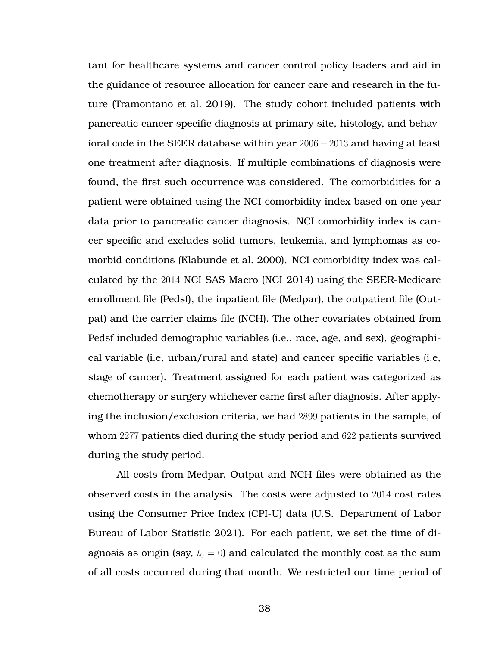tant for healthcare systems and cancer control policy leaders and aid in the guidance of resource allocation for cancer care and research in the future (Tramontano et al. [2019\)](#page-74-1). The study cohort included patients with pancreatic cancer specific diagnosis at primary site, histology, and behavioral code in the SEER database within year 2006 − 2013 and having at least one treatment after diagnosis. If multiple combinations of diagnosis were found, the first such occurrence was considered. The comorbidities for a patient were obtained using the NCI comorbidity index based on one year data prior to pancreatic cancer diagnosis. NCI comorbidity index is cancer specific and excludes solid tumors, leukemia, and lymphomas as comorbid conditions (Klabunde et al. [2000\)](#page-73-5). NCI comorbidity index was calculated by the 2014 NCI SAS Macro (NCI [2014\)](#page-73-6) using the SEER-Medicare enrollment file (Pedsf), the inpatient file (Medpar), the outpatient file (Outpat) and the carrier claims file (NCH). The other covariates obtained from Pedsf included demographic variables (i.e., race, age, and sex), geographical variable (i.e, urban/rural and state) and cancer specific variables (i.e, stage of cancer). Treatment assigned for each patient was categorized as chemotherapy or surgery whichever came first after diagnosis. After applying the inclusion/exclusion criteria, we had 2899 patients in the sample, of whom 2277 patients died during the study period and 622 patients survived during the study period.

All costs from Medpar, Outpat and NCH files were obtained as the observed costs in the analysis. The costs were adjusted to 2014 cost rates using the Consumer Price Index (CPI-U) data (U.S. Department of Labor Bureau of Labor Statistic [2021\)](#page-74-3). For each patient, we set the time of diagnosis as origin (say,  $t_0 = 0$ ) and calculated the monthly cost as the sum of all costs occurred during that month. We restricted our time period of

38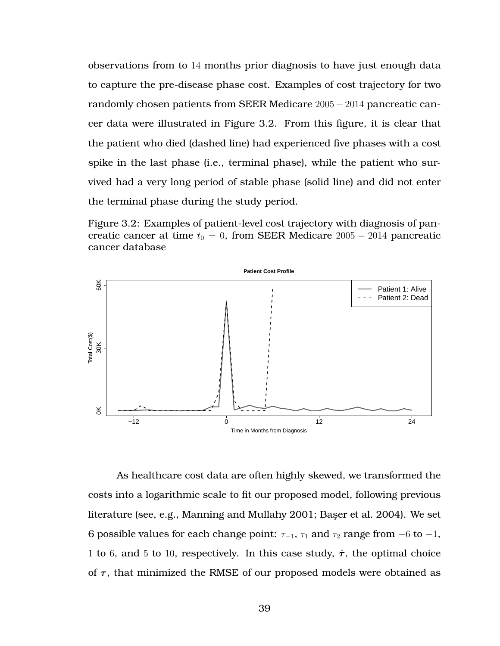observations from to 14 months prior diagnosis to have just enough data to capture the pre-disease phase cost. Examples of cost trajectory for two randomly chosen patients from SEER Medicare 2005 − 2014 pancreatic cancer data were illustrated in Figure [3.2.](#page-50-0) From this figure, it is clear that the patient who died (dashed line) had experienced five phases with a cost spike in the last phase (i.e., terminal phase), while the patient who survived had a very long period of stable phase (solid line) and did not enter the terminal phase during the study period.

<span id="page-50-0"></span>Figure 3.2: Examples of patient-level cost trajectory with diagnosis of pancreatic cancer at time  $t_0 = 0$ , from SEER Medicare 2005 – 2014 pancreatic cancer database



As healthcare cost data are often highly skewed, we transformed the costs into a logarithmic scale to fit our proposed model, following previous literature (see, e.g., Manning and Mullahy [2001;](#page-73-7) Başer et al. [2004\)](#page-72-4). We set 6 possible values for each change point:  $\tau_{-1}$ ,  $\tau_1$  and  $\tau_2$  range from  $-6$  to  $-1$ , 1 to 6, and 5 to 10, respectively. In this case study,  $\hat{\tau}$ , the optimal choice of  $\tau$ , that minimized the RMSE of our proposed models were obtained as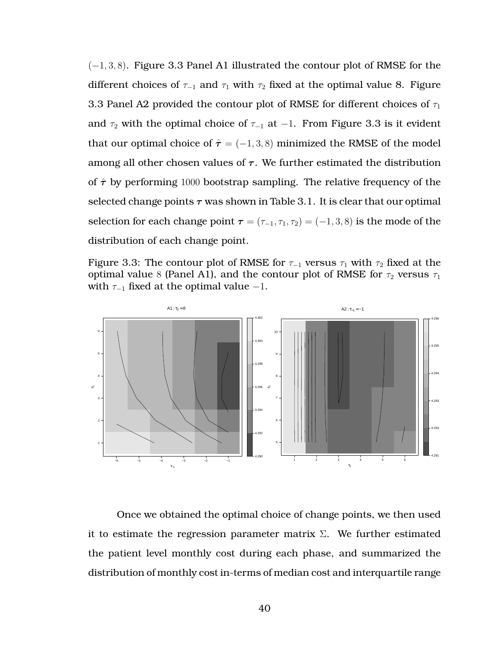(−1, 3, 8). Figure [3.3](#page-51-0) Panel A1 illustrated the contour plot of RMSE for the different choices of  $\tau_{-1}$  and  $\tau_1$  with  $\tau_2$  fixed at the optimal value 8. Figure [3.3](#page-51-0) Panel A2 provided the contour plot of RMSE for different choices of  $\tau_1$ and  $\tau_2$  with the optimal choice of  $\tau_{-1}$  at  $-1$ . From Figure [3.3](#page-51-0) is it evident that our optimal choice of  $\hat{\tau} = (-1, 3, 8)$  minimized the RMSE of the model among all other chosen values of  $\tau$ . We further estimated the distribution of  $\hat{\tau}$  by performing 1000 bootstrap sampling. The relative frequency of the selected change points  $\tau$  was shown in Table [3.1.](#page-52-0) It is clear that our optimal selection for each change point  $\tau = (\tau_{-1}, \tau_1, \tau_2) = (-1, 3, 8)$  is the mode of the distribution of each change point.

<span id="page-51-0"></span>Figure 3.3: The contour plot of RMSE for  $\tau_{-1}$  versus  $\tau_1$  with  $\tau_2$  fixed at the optimal value 8 (Panel A1), and the contour plot of RMSE for  $\tau_2$  versus  $\tau_1$ with  $\tau_{-1}$  fixed at the optimal value  $-1$ .



Once we obtained the optimal choice of change points, we then used it to estimate the regression parameter matrix  $\Sigma$ . We further estimated the patient level monthly cost during each phase, and summarized the distribution of monthly cost in-terms of median cost and interquartile range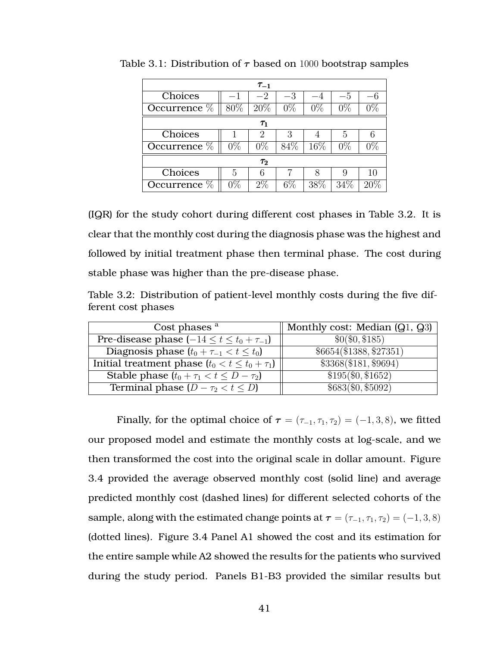|                | $\tau_{-1}$ |       |       |       |        |       |
|----------------|-------------|-------|-------|-------|--------|-------|
| Choices        |             | $-2$  | $-3$  |       | $-5$   |       |
| Occurrence %   | 80%         | 20%   | $0\%$ | $0\%$ | $0\%$  | $0\%$ |
| $\tau_1$       |             |       |       |       |        |       |
| Choices        |             | 2     | 3     |       | 5      | 6     |
| Occurrence %   | $0\%$       | $0\%$ | 84%   | 16\%  | $0\%$  | $0\%$ |
| $\tau_2$       |             |       |       |       |        |       |
| Choices        | 5           | 6     |       | 8     | 9      | 10    |
| Occurrence $%$ | $0\%$       | $2\%$ | $6\%$ | 38%   | $34\%$ |       |

<span id="page-52-0"></span>Table 3.1: Distribution of  $\tau$  based on 1000 bootstrap samples

(IQR) for the study cohort during different cost phases in Table [3.2.](#page-52-1) It is clear that the monthly cost during the diagnosis phase was the highest and followed by initial treatment phase then terminal phase. The cost during stable phase was higher than the pre-disease phase.

<span id="page-52-1"></span>Table 3.2: Distribution of patient-level monthly costs during the five different cost phases

| Cost phases <sup>a</sup>                              | Monthly cost: Median $(Q_1, Q_3)$ |
|-------------------------------------------------------|-----------------------------------|
| Pre-disease phase $(-14 \le t \le t_0 + \tau_{-1})$   | \$0 (\$0, \$185)                  |
| Diagnosis phase $(t_0 + \tau_{-1} < t \leq t_0)$      | \$6654 (\$1388, \$27351)          |
| Initial treatment phase $(t_0 < t \leq t_0 + \tau_1)$ | \$3368 (\$181, \$9694)            |
| Stable phase $(t_0 + \tau_1 < t \leq D - \tau_2)$     | $$195(\$0, $1652)$                |
| Terminal phase $(D - \tau_2 < t \leq D)$              | \$683(\$0, \$5092)                |

Finally, for the optimal choice of  $\tau = (\tau_{-1}, \tau_1, \tau_2) = (-1, 3, 8)$ , we fitted our proposed model and estimate the monthly costs at log-scale, and we then transformed the cost into the original scale in dollar amount. Figure [3.4](#page-54-0) provided the average observed monthly cost (solid line) and average predicted monthly cost (dashed lines) for different selected cohorts of the sample, along with the estimated change points at  $\tau = (\tau_{-1}, \tau_1, \tau_2) = (-1, 3, 8)$ (dotted lines). Figure [3.4](#page-54-0) Panel A1 showed the cost and its estimation for the entire sample while A2 showed the results for the patients who survived during the study period. Panels B1-B3 provided the similar results but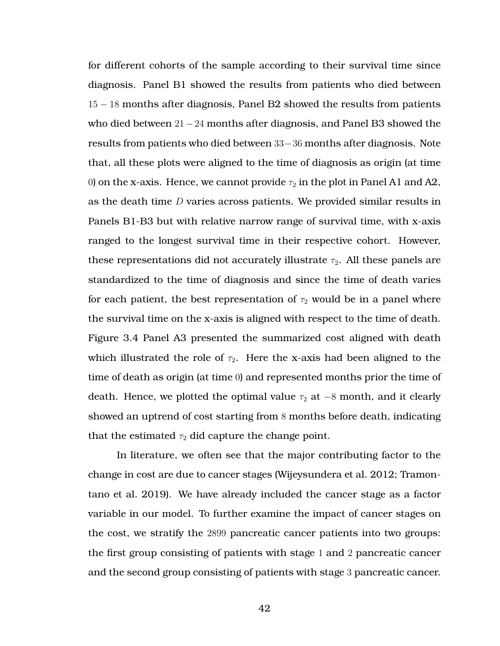for different cohorts of the sample according to their survival time since diagnosis. Panel B1 showed the results from patients who died between 15 − 18 months after diagnosis, Panel B2 showed the results from patients who died between 21−24 months after diagnosis, and Panel B3 showed the results from patients who died between 33−36 months after diagnosis. Note that, all these plots were aligned to the time of diagnosis as origin (at time 0) on the x-axis. Hence, we cannot provide  $\tau_2$  in the plot in Panel A1 and A2, as the death time  $D$  varies across patients. We provided similar results in Panels B1-B3 but with relative narrow range of survival time, with x-axis ranged to the longest survival time in their respective cohort. However, these representations did not accurately illustrate  $\tau_2$ . All these panels are standardized to the time of diagnosis and since the time of death varies for each patient, the best representation of  $\tau_2$  would be in a panel where the survival time on the x-axis is aligned with respect to the time of death. Figure [3.4](#page-54-0) Panel A3 presented the summarized cost aligned with death which illustrated the role of  $\tau_2$ . Here the x-axis had been aligned to the time of death as origin (at time 0) and represented months prior the time of death. Hence, we plotted the optimal value  $\tau_2$  at −8 month, and it clearly showed an uptrend of cost starting from 8 months before death, indicating that the estimated  $\tau_2$  did capture the change point.

In literature, we often see that the major contributing factor to the change in cost are due to cancer stages (Wijeysundera et al. [2012;](#page-74-0) Tramontano et al. [2019\)](#page-74-1). We have already included the cancer stage as a factor variable in our model. To further examine the impact of cancer stages on the cost, we stratify the 2899 pancreatic cancer patients into two groups: the first group consisting of patients with stage 1 and 2 pancreatic cancer and the second group consisting of patients with stage 3 pancreatic cancer.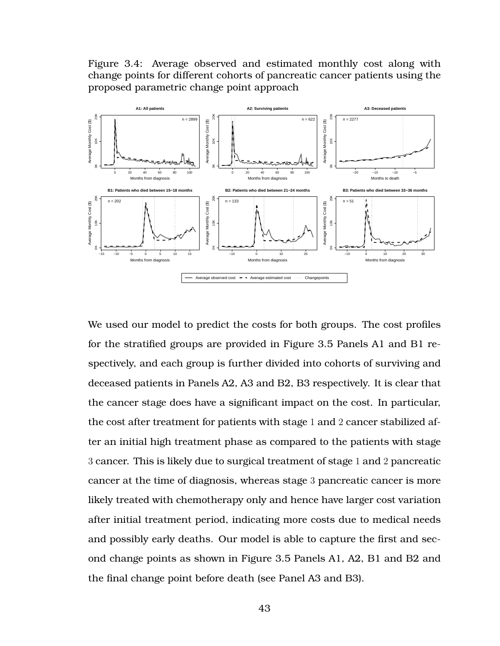<span id="page-54-0"></span>Figure 3.4: Average observed and estimated monthly cost along with change points for different cohorts of pancreatic cancer patients using the proposed parametric change point approach



We used our model to predict the costs for both groups. The cost profiles for the stratified groups are provided in Figure [3.5](#page-55-1) Panels A1 and B1 respectively, and each group is further divided into cohorts of surviving and deceased patients in Panels A2, A3 and B2, B3 respectively. It is clear that the cancer stage does have a significant impact on the cost. In particular, the cost after treatment for patients with stage 1 and 2 cancer stabilized after an initial high treatment phase as compared to the patients with stage 3 cancer. This is likely due to surgical treatment of stage 1 and 2 pancreatic cancer at the time of diagnosis, whereas stage 3 pancreatic cancer is more likely treated with chemotherapy only and hence have larger cost variation after initial treatment period, indicating more costs due to medical needs and possibly early deaths. Our model is able to capture the first and second change points as shown in Figure [3.5](#page-55-1) Panels A1, A2, B1 and B2 and the final change point before death (see Panel A3 and B3).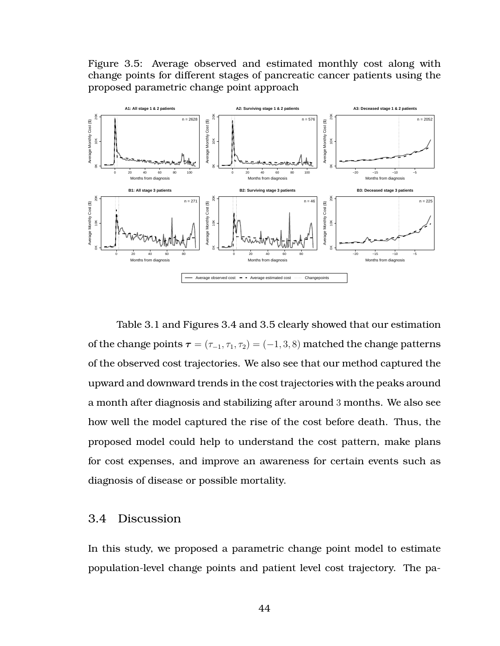<span id="page-55-1"></span>Figure 3.5: Average observed and estimated monthly cost along with change points for different stages of pancreatic cancer patients using the proposed parametric change point approach



Table [3.1](#page-52-0) and Figures [3.4](#page-54-0) and [3.5](#page-55-1) clearly showed that our estimation of the change points  $\tau = (\tau_{-1}, \tau_1, \tau_2) = (-1, 3, 8)$  matched the change patterns of the observed cost trajectories. We also see that our method captured the upward and downward trends in the cost trajectories with the peaks around a month after diagnosis and stabilizing after around 3 months. We also see how well the model captured the rise of the cost before death. Thus, the proposed model could help to understand the cost pattern, make plans for cost expenses, and improve an awareness for certain events such as diagnosis of disease or possible mortality.

#### <span id="page-55-0"></span>3.4 Discussion

In this study, we proposed a parametric change point model to estimate population-level change points and patient level cost trajectory. The pa-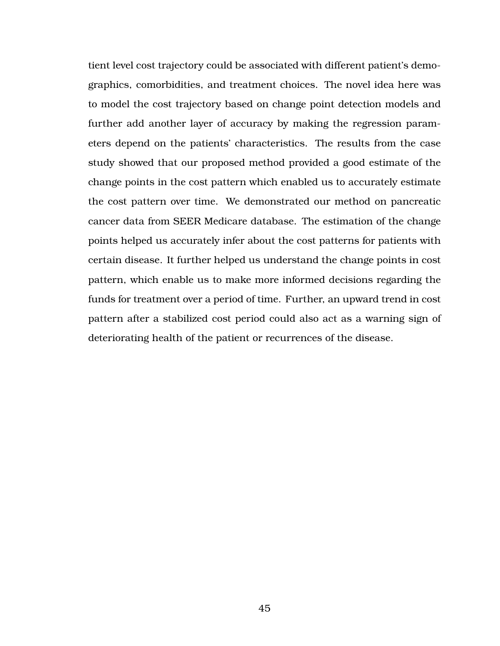tient level cost trajectory could be associated with different patient's demographics, comorbidities, and treatment choices. The novel idea here was to model the cost trajectory based on change point detection models and further add another layer of accuracy by making the regression parameters depend on the patients' characteristics. The results from the case study showed that our proposed method provided a good estimate of the change points in the cost pattern which enabled us to accurately estimate the cost pattern over time. We demonstrated our method on pancreatic cancer data from SEER Medicare database. The estimation of the change points helped us accurately infer about the cost patterns for patients with certain disease. It further helped us understand the change points in cost pattern, which enable us to make more informed decisions regarding the funds for treatment over a period of time. Further, an upward trend in cost pattern after a stabilized cost period could also act as a warning sign of deteriorating health of the patient or recurrences of the disease.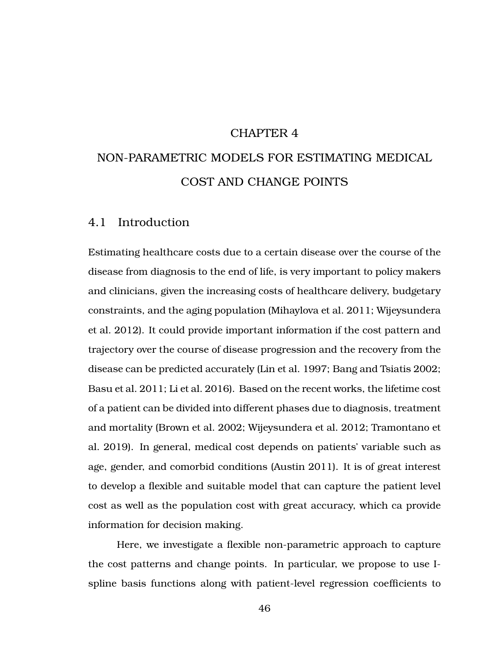#### CHAPTER 4

# NON-PARAMETRIC MODELS FOR ESTIMATING MEDICAL COST AND CHANGE POINTS

## 4.1 Introduction

Estimating healthcare costs due to a certain disease over the course of the disease from diagnosis to the end of life, is very important to policy makers and clinicians, given the increasing costs of healthcare delivery, budgetary constraints, and the aging population (Mihaylova et al. [2011;](#page-73-1) Wijeysundera et al. [2012\)](#page-74-0). It could provide important information if the cost pattern and trajectory over the course of disease progression and the recovery from the disease can be predicted accurately (Lin et al. [1997;](#page-73-2) Bang and Tsiatis [2002;](#page-72-0) Basu et al. [2011;](#page-72-1) Li et al. [2016\)](#page-73-0). Based on the recent works, the lifetime cost of a patient can be divided into different phases due to diagnosis, treatment and mortality (Brown et al. [2002;](#page-72-2) Wijeysundera et al. [2012;](#page-74-0) Tramontano et al. [2019\)](#page-74-1). In general, medical cost depends on patients' variable such as age, gender, and comorbid conditions (Austin [2011\)](#page-72-3). It is of great interest to develop a flexible and suitable model that can capture the patient level cost as well as the population cost with great accuracy, which ca provide information for decision making.

Here, we investigate a flexible non-parametric approach to capture the cost patterns and change points. In particular, we propose to use Ispline basis functions along with patient-level regression coefficients to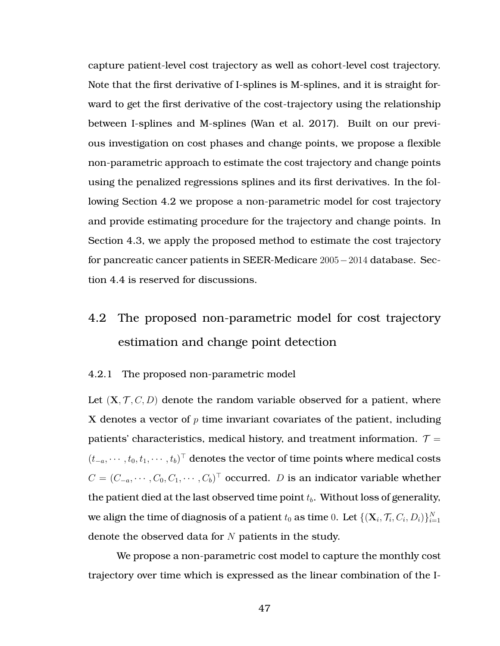capture patient-level cost trajectory as well as cohort-level cost trajectory. Note that the first derivative of I-splines is M-splines, and it is straight forward to get the first derivative of the cost-trajectory using the relationship between I-splines and M-splines (Wan et al. [2017\)](#page-74-4). Built on our previous investigation on cost phases and change points, we propose a flexible non-parametric approach to estimate the cost trajectory and change points using the penalized regressions splines and its first derivatives. In the following Section [4.2](#page-58-0) we propose a non-parametric model for cost trajectory and provide estimating procedure for the trajectory and change points. In Section [4.3,](#page-64-0) we apply the proposed method to estimate the cost trajectory for pancreatic cancer patients in SEER-Medicare 2005−2014 database. Section [4.4](#page-71-0) is reserved for discussions.

## <span id="page-58-0"></span>4.2 The proposed non-parametric model for cost trajectory estimation and change point detection

#### 4.2.1 The proposed non-parametric model

Let  $(X, \mathcal{T}, C, D)$  denote the random variable observed for a patient, where X denotes a vector of  $p$  time invariant covariates of the patient, including patients' characteristics, medical history, and treatment information.  $\mathcal{T} =$  $(t_{-a}, \cdots, t_0, t_1, \cdots, t_b)^\top$  denotes the vector of time points where medical costs  $C = (C_{-a}, \cdots, C_0, C_1, \cdots, C_b)^{\top}$  occurred. D is an indicator variable whether the patient died at the last observed time point  $t<sub>b</sub>$ . Without loss of generality, we align the time of diagnosis of a patient  $t_0$  as time  $0.$  Let  $\{(\mathbf{X}_i, \mathcal{T}_i, C_i, D_i)\}_{i=1}^N$ denote the observed data for  $N$  patients in the study.

We propose a non-parametric cost model to capture the monthly cost trajectory over time which is expressed as the linear combination of the I-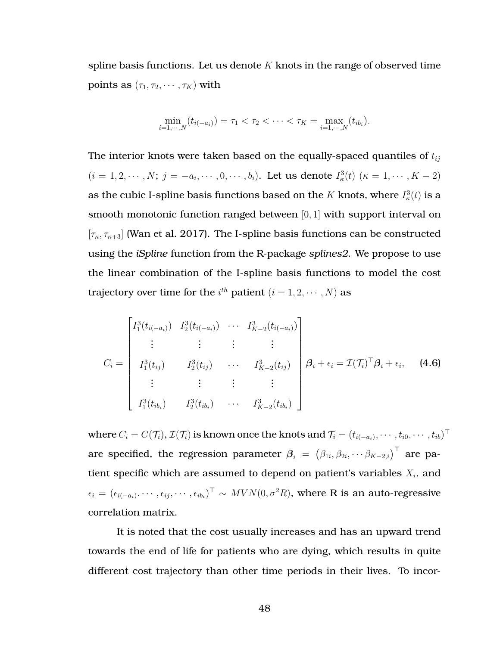spline basis functions. Let us denote  $K$  knots in the range of observed time points as  $(\tau_1, \tau_2, \cdots, \tau_K)$  with

$$
\min_{i=1,\dots,N}(t_{i(-a_i)})=\tau_1<\tau_2<\dots<\tau_K=\max_{i=1,\dots,N}(t_{ib_i}).
$$

The interior knots were taken based on the equally-spaced quantiles of  $t_{ij}$  $(i = 1, 2, \dots, N; j = -a_i, \dots, 0, \dots, b_i)$ . Let us denote  $I^3_{\kappa}(t)$   $(\kappa = 1, \dots, K - 2)$ as the cubic I-spline basis functions based on the  $K$  knots, where  $I_\kappa^3(t)$  is a smooth monotonic function ranged between  $[0, 1]$  with support interval on  $[\tau_{\kappa}, \tau_{\kappa+3}]$  (Wan et al. [2017\)](#page-74-4). The I-spline basis functions can be constructed using the *iSpline* function from the R-package *splines2*. We propose to use the linear combination of the I-spline basis functions to model the cost trajectory over time for the  $i^{th}$  patient  $(i = 1, 2, \cdots, N)$  as

$$
C_{i} = \begin{bmatrix} I_{1}^{3}(t_{i(-a_{i})}) & I_{2}^{3}(t_{i(-a_{i})}) & \cdots & I_{K-2}^{3}(t_{i(-a_{i})}) \\ \vdots & \vdots & \vdots & \vdots \\ I_{1}^{3}(t_{ij}) & I_{2}^{3}(t_{ij}) & \cdots & I_{K-2}^{3}(t_{ij}) \\ \vdots & \vdots & \vdots & \vdots \\ I_{1}^{3}(t_{ib_{i}}) & I_{2}^{3}(t_{ib_{i}}) & \cdots & I_{K-2}^{3}(t_{ib_{i}}) \end{bmatrix} \beta_{i} + \epsilon_{i} = \mathcal{I}(\mathcal{T}_{i})^{\top} \beta_{i} + \epsilon_{i}, \quad (4.6)
$$

where  $C_i=C(\mathcal{T}_i)$ ,  $\mathcal{I}(\mathcal{T}_i)$  is known once the knots and  $\mathcal{T}_i=(t_{i(-a_i)},\cdots,t_{i0},\cdots,t_{ib})^\top$ are specified, the regression parameter  $\bm{\beta}_i~=~\left(\beta_{1i}, \beta_{2i}, \cdots \beta_{K-2, i}\right)^{\top}$  are patient specific which are assumed to depend on patient's variables  $X_i$ , and  $\epsilon_i = (\epsilon_{i(-a_i)}.\cdots,\epsilon_{ij},\cdots,\epsilon_{ib_i})^\top \sim MVN(0,\sigma^2 R)$ , where R is an auto-regressive correlation matrix.

It is noted that the cost usually increases and has an upward trend towards the end of life for patients who are dying, which results in quite different cost trajectory than other time periods in their lives. To incor-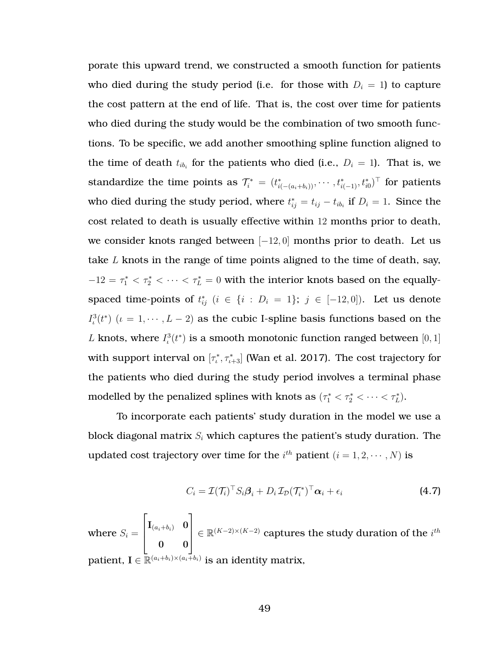porate this upward trend, we constructed a smooth function for patients who died during the study period (i.e. for those with  $D_i = 1$ ) to capture the cost pattern at the end of life. That is, the cost over time for patients who died during the study would be the combination of two smooth functions. To be specific, we add another smoothing spline function aligned to the time of death  $t_{ib_i}$  for the patients who died (i.e.,  $D_i = 1$ ). That is, we standardize the time points as  $\mathcal{T}^*_i\ =\ (t^*_{i(-(a_i+b_i))}, \cdots, t^*_{i(-1)}, t^*_{i0})^\top$  for patients who died during the study period, where  $t_{ij}^* = t_{ij} - t_{ib_i}$  if  $D_i = 1$ . Since the cost related to death is usually effective within 12 months prior to death, we consider knots ranged between  $[-12, 0]$  months prior to death. Let us take  $L$  knots in the range of time points aligned to the time of death, say,  $-12 = \tau_1^* < \tau_2^* < \cdots < \tau_L^* = 0$  with the interior knots based on the equallyspaced time-points of  $t_{ij}^*$   $(i \in \{i : D_i = 1\}; j \in [-12,0])$ . Let us denote  $I_t^3(t^*)$  ( $\iota = 1, \cdots, L-2$ ) as the cubic I-spline basis functions based on the L knots, where  $I^3_\iota(t^*)$  is a smooth monotonic function ranged between  $[0,1]$ with support interval on  $[\tau_\iota^*,\tau_{\iota+3}^*]$  (Wan et al. [2017\)](#page-74-4). The cost trajectory for the patients who died during the study period involves a terminal phase modelled by the penalized splines with knots as  $(\tau_1^* < \tau_2^* < \cdots < \tau_L^*).$ 

To incorporate each patients' study duration in the model we use a block diagonal matrix  $S_i$  which captures the patient's study duration. The updated cost trajectory over time for the  $i^{th}$  patient  $(i = 1, 2, \cdots, N)$  is

<span id="page-60-0"></span>
$$
C_i = \mathcal{I}(\mathcal{T}_i)^{\top} S_i \boldsymbol{\beta}_i + D_i \mathcal{I}_{\mathcal{D}}(\mathcal{T}_i^*)^{\top} \boldsymbol{\alpha}_i + \epsilon_i
$$
\n(4.7)

where  $S_i =$  $\sqrt{ }$  $\overline{\phantom{a}}$  ${\bf I}_{(a_i+b_i)}$  0 0 0 1  $\vert$ ∈  $\mathbb{R}^{(K-2)\times (K-2)}$  captures the study duration of the  $i^{th}$ patient,  $\mathbf{I} \in \mathbb{\bar{R}}^{(a_i+b_i)\times(a_i\bar+b_i)}$  is an identity matrix,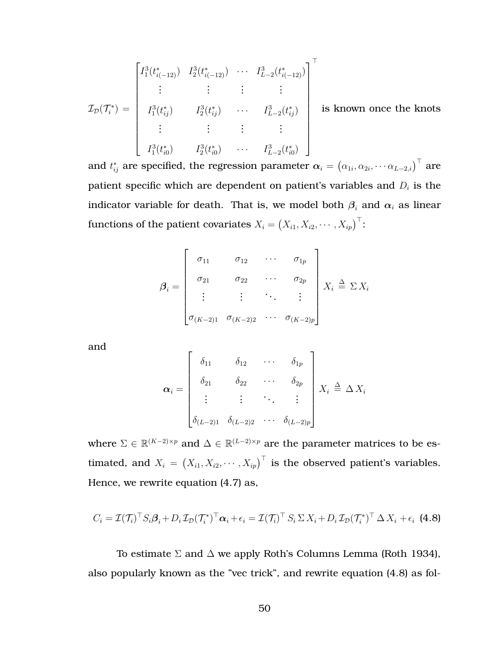$$
\mathcal{I}_{\mathcal{D}}(\mathcal{T}_{i}^{*}) = \begin{bmatrix} I_{1}^{3}(t_{i(-12)}^{*}) & I_{2}^{3}(t_{i(-12)}^{*}) & \cdots & I_{L-2}^{3}(t_{i(-12)}^{*}) \\ \vdots & \vdots & \vdots & \vdots \\ I_{1}^{3}(t_{ij}^{*}) & I_{2}^{3}(t_{ij}^{*}) & \cdots & I_{L-2}^{3}(t_{ij}^{*}) \\ \vdots & \vdots & \vdots & \vdots \\ I_{1}^{3}(t_{i0}^{*}) & I_{2}^{3}(t_{i0}^{*}) & \cdots & I_{L-2}^{3}(t_{i0}^{*}) \end{bmatrix}^{\top}
$$
 is known once the knots

and  $t_{ij}^*$  are specified, the regression parameter  $\bm{\alpha}_i=\left(\alpha_{1i},\alpha_{2i},\cdots \alpha_{L-2,i}\right)^\top$  are patient specific which are dependent on patient's variables and  $D_i$  is the indicator variable for death. That is, we model both  $\beta_i$  and  $\alpha_i$  as linear functions of the patient covariates  $X_i = \left(X_{i1}, X_{i2}, \cdots, X_{ip}\right)^\top$ :

$$
\boldsymbol{\beta}_i = \begin{bmatrix} \sigma_{11} & \sigma_{12} & \cdots & \sigma_{1p} \\ \sigma_{21} & \sigma_{22} & \cdots & \sigma_{2p} \\ \vdots & \vdots & \ddots & \vdots \\ \sigma_{(K-2)1} & \sigma_{(K-2)2} & \cdots & \sigma_{(K-2)p} \end{bmatrix} X_i \triangleq \Sigma X_i
$$

and

<span id="page-61-0"></span>
$$
\boldsymbol{\alpha}_{i} = \begin{bmatrix} \delta_{11} & \delta_{12} & \cdots & \delta_{1p} \\ \delta_{21} & \delta_{22} & \cdots & \delta_{2p} \\ \vdots & \vdots & \ddots & \vdots \\ \delta_{(L-2)1} & \delta_{(L-2)2} & \cdots & \delta_{(L-2)p} \end{bmatrix} X_{i} \triangleq \Delta X_{i}
$$

where  $\Sigma \in \mathbb{R}^{(K-2)\times p}$  and  $\Delta \in \mathbb{R}^{(L-2)\times p}$  are the parameter matrices to be estimated, and  $X_i = (X_{i1}, X_{i2}, \cdots, X_{ip})^\top$  is the observed patient's variables. Hence, we rewrite equation [\(4.7\)](#page-60-0) as,

$$
C_i = \mathcal{I}(\mathcal{T}_i)^{\top} S_i \beta_i + D_i \mathcal{I}_D(\mathcal{T}_i^*)^{\top} \alpha_i + \epsilon_i = \mathcal{I}(\mathcal{T}_i)^{\top} S_i \Sigma X_i + D_i \mathcal{I}_D(\mathcal{T}_i^*)^{\top} \Delta X_i + \epsilon_i
$$
(4.8)

To estimate  $\Sigma$  and  $\Delta$  we apply Roth's Columns Lemma (Roth [1934\)](#page-74-2), also popularly known as the "vec trick", and rewrite equation [\(4.8\)](#page-61-0) as fol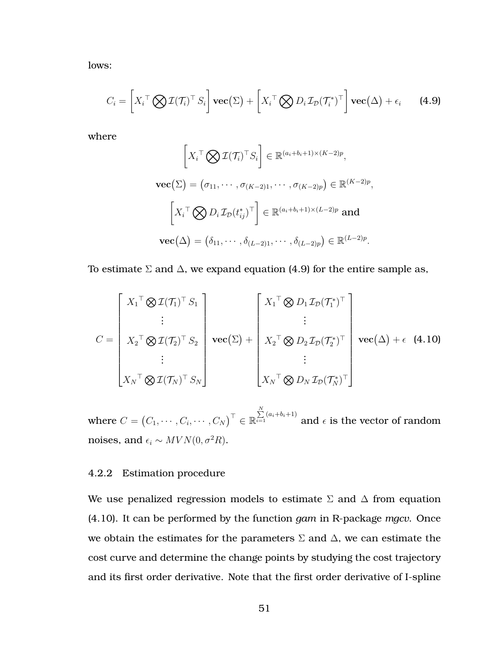<span id="page-62-0"></span>lows:

$$
C_i = \left[ X_i^\top \bigotimes \mathcal{I}(\mathcal{T}_i)^\top S_i \right] \mathbf{vec}(\Sigma) + \left[ X_i^\top \bigotimes D_i \mathcal{I}_\mathcal{D}(\mathcal{T}_i^*)^\top \right] \mathbf{vec}(\Delta) + \epsilon_i \qquad \text{(4.9)}
$$

where

<span id="page-62-1"></span>
$$
\left[X_i^\top \bigotimes \mathcal{I}(\mathcal{T}_i)^\top S_i\right] \in \mathbb{R}^{(a_i+b_i+1)\times (K-2)p},
$$
  
\n
$$
\mathbf{vec}(\Sigma) = (\sigma_{11}, \cdots, \sigma_{(K-2)1}, \cdots, \sigma_{(K-2)p}) \in \mathbb{R}^{(K-2)p},
$$
  
\n
$$
\left[X_i^\top \bigotimes D_i \mathcal{I}_D(t_{ij}^*)^\top\right] \in \mathbb{R}^{(a_i+b_i+1)\times (L-2)p} \text{ and}
$$
  
\n
$$
\mathbf{vec}(\Delta) = (\delta_{11}, \cdots, \delta_{(L-2)1}, \cdots, \delta_{(L-2)p}) \in \mathbb{R}^{(L-2)p}.
$$

To estimate  $\Sigma$  and  $\Delta$ , we expand equation [\(4.9\)](#page-62-0) for the entire sample as,

$$
C = \begin{bmatrix} X_1^{\top} \otimes \mathcal{I}(\mathcal{T}_1)^{\top} S_1 \\ \vdots \\ X_2^{\top} \otimes \mathcal{I}(\mathcal{T}_2)^{\top} S_2 \\ \vdots \\ X_N^{\top} \otimes \mathcal{I}(\mathcal{T}_N)^{\top} S_N \end{bmatrix} \mathbf{vec}(\Sigma) + \begin{bmatrix} X_1^{\top} \otimes D_1 \mathcal{I}_D(\mathcal{T}_1^*)^{\top} \\ \vdots \\ X_2^{\top} \otimes D_2 \mathcal{I}_D(\mathcal{T}_2^*)^{\top} \\ \vdots \\ X_N^{\top} \otimes D_N \mathcal{I}_D(\mathcal{T}_N^*)^{\top} \end{bmatrix} \mathbf{vec}(\Delta) + \epsilon \quad (4.10)
$$

where  $C=\begin{pmatrix}C_1,\cdots,C_i,\cdots,C_N\end{pmatrix}^\top\in\mathbb{R}$  $\sum\limits_{i=1}^N(a_i+b_i+1)$  and  $\epsilon$  is the vector of random noises, and  $\epsilon_i \sim MVN(0, \sigma^2R)$ .

### 4.2.2 Estimation procedure

We use penalized regression models to estimate  $\Sigma$  and  $\Delta$  from equation [\(4.10\)](#page-62-1). It can be performed by the function *gam* in R-package *mgcv*. Once we obtain the estimates for the parameters  $\Sigma$  and  $\Delta$ , we can estimate the cost curve and determine the change points by studying the cost trajectory and its first order derivative. Note that the first order derivative of I-spline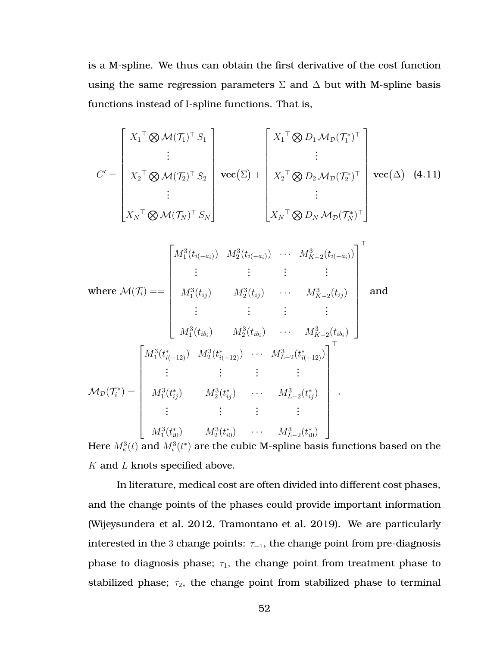is a M-spline. We thus can obtain the first derivative of the cost function using the same regression parameters  $\Sigma$  and  $\Delta$  but with M-spline basis functions instead of I-spline functions. That is,

$$
C' = \begin{bmatrix} X_{1}^{\top} \otimes M(\mathcal{T}_{1})^{\top} S_{1} \\ \vdots \\ X_{2}^{\top} \otimes M(\mathcal{T}_{2})^{\top} S_{2} \\ \vdots \\ X_{N}^{\top} \otimes M(\mathcal{T}_{N})^{\top} S_{N} \end{bmatrix} \operatorname{vec}(\Sigma) + \begin{bmatrix} X_{1}^{\top} \otimes D_{1} M_{\mathcal{D}}(\mathcal{T}_{1}^{*})^{\top} \\ \vdots \\ X_{2}^{\top} \otimes D_{2} M_{\mathcal{D}}(\mathcal{T}_{2}^{*})^{\top} \\ \vdots \\ X_{N}^{\top} \otimes D_{N} M_{\mathcal{D}}(\mathcal{T}_{N}^{*})^{\top} \end{bmatrix} \operatorname{vec}(\Delta) \quad (4.11)
$$
  
\n
$$
\vdots \\ \operatorname{where} M(\mathcal{T}_{i}) = \begin{bmatrix} M_{1}^{3}(t_{i(-a_{i})}) & M_{2}^{3}(t_{i(-a_{i})}) & \cdots & M_{K-2}^{3}(t_{i(-a_{i})}) \\ \vdots & \vdots & \vdots & \vdots \\ M_{1}^{3}(t_{ij}) & M_{2}^{3}(t_{ij}) & \cdots & M_{K-2}^{3}(t_{ij}) \\ \vdots & \vdots & \vdots & \vdots \\ M_{1}^{3}(t_{ik}) & M_{2}^{3}(t_{ik}) & \cdots & M_{K-2}^{3}(t_{ik_{i}}) \end{bmatrix} \text{ and}
$$
  
\n
$$
M_{\mathcal{D}}(\mathcal{T}_{i}^{*}) = \begin{bmatrix} M_{1}^{3}(t_{i(-12)}^{*}) & M_{2}^{3}(t_{i(-12)}^{*}) & \cdots & M_{L-2}^{3}(t_{i(-12)}^{*}) \\ \vdots & \vdots & \vdots & \vdots \\ M_{1}^{3}(t_{i(2)}^{*}) & M_{2}^{3}(t_{i(2)}^{*}) & \cdots & M_{L-2}^{3}(t_{i(2)}^{*}) \\ \vdots & \vdots & \vdots & \vdots \\ M_{1}^{3}(t_{i(2)}^{*}) & M_{2}^{3}(t_{i(2)}^{*}) & \cdots & M_{L-2}^{3}(t_{i(2)}^{*}) \end{bmatrix}.
$$

Here  $M^3_\kappa(t)$  and  $M^3_\iota(t^*)$  are the cubic M-spline basis functions based on the  $K$  and  $L$  knots specified above.

In literature, medical cost are often divided into different cost phases, and the change points of the phases could provide important information (Wijeysundera et al. [2012,](#page-74-0) Tramontano et al. [2019\)](#page-74-1). We are particularly interested in the 3 change points:  $\tau_{-1}$ , the change point from pre-diagnosis phase to diagnosis phase;  $\tau_1$ , the change point from treatment phase to stabilized phase;  $\tau_2$ , the change point from stabilized phase to terminal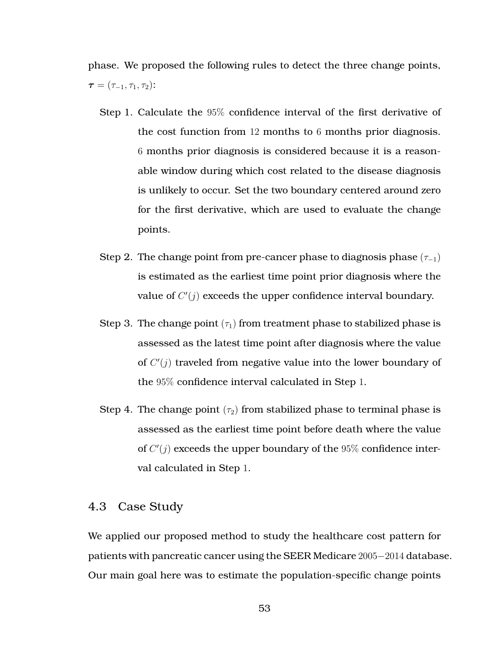phase. We proposed the following rules to detect the three change points,  $\bm{\tau} = (\tau_{-1}, \tau_1, \tau_2)$ :

- Step 1. Calculate the 95% confidence interval of the first derivative of the cost function from 12 months to 6 months prior diagnosis. 6 months prior diagnosis is considered because it is a reasonable window during which cost related to the disease diagnosis is unlikely to occur. Set the two boundary centered around zero for the first derivative, which are used to evaluate the change points.
- Step 2. The change point from pre-cancer phase to diagnosis phase  $(\tau_{-1})$ is estimated as the earliest time point prior diagnosis where the value of  $C'(j)$  exceeds the upper confidence interval boundary.
- Step 3. The change point  $(\tau_1)$  from treatment phase to stabilized phase is assessed as the latest time point after diagnosis where the value of  $C'(j)$  traveled from negative value into the lower boundary of the 95% confidence interval calculated in Step 1.
- Step 4. The change point  $(\tau_2)$  from stabilized phase to terminal phase is assessed as the earliest time point before death where the value of  $C'(j)$  exceeds the upper boundary of the  $95\%$  confidence interval calculated in Step 1.

## <span id="page-64-0"></span>4.3 Case Study

We applied our proposed method to study the healthcare cost pattern for patients with pancreatic cancer using the SEER Medicare 2005−2014 database. Our main goal here was to estimate the population-specific change points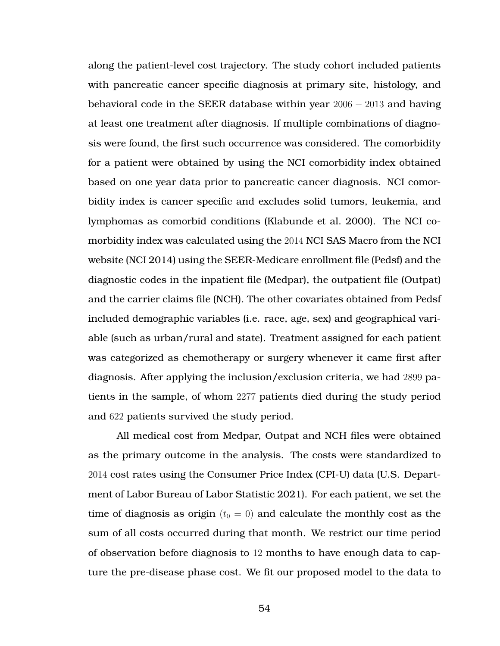along the patient-level cost trajectory. The study cohort included patients with pancreatic cancer specific diagnosis at primary site, histology, and behavioral code in the SEER database within year 2006 − 2013 and having at least one treatment after diagnosis. If multiple combinations of diagnosis were found, the first such occurrence was considered. The comorbidity for a patient were obtained by using the NCI comorbidity index obtained based on one year data prior to pancreatic cancer diagnosis. NCI comorbidity index is cancer specific and excludes solid tumors, leukemia, and lymphomas as comorbid conditions (Klabunde et al. [2000\)](#page-73-5). The NCI comorbidity index was calculated using the 2014 NCI SAS Macro from the NCI website (NCI [2014\)](#page-73-6) using the SEER-Medicare enrollment file (Pedsf) and the diagnostic codes in the inpatient file (Medpar), the outpatient file (Outpat) and the carrier claims file (NCH). The other covariates obtained from Pedsf included demographic variables (i.e. race, age, sex) and geographical variable (such as urban/rural and state). Treatment assigned for each patient was categorized as chemotherapy or surgery whenever it came first after diagnosis. After applying the inclusion/exclusion criteria, we had 2899 patients in the sample, of whom 2277 patients died during the study period and 622 patients survived the study period.

All medical cost from Medpar, Outpat and NCH files were obtained as the primary outcome in the analysis. The costs were standardized to 2014 cost rates using the Consumer Price Index (CPI-U) data (U.S. Department of Labor Bureau of Labor Statistic [2021\)](#page-74-3). For each patient, we set the time of diagnosis as origin  $(t_0 = 0)$  and calculate the monthly cost as the sum of all costs occurred during that month. We restrict our time period of observation before diagnosis to 12 months to have enough data to capture the pre-disease phase cost. We fit our proposed model to the data to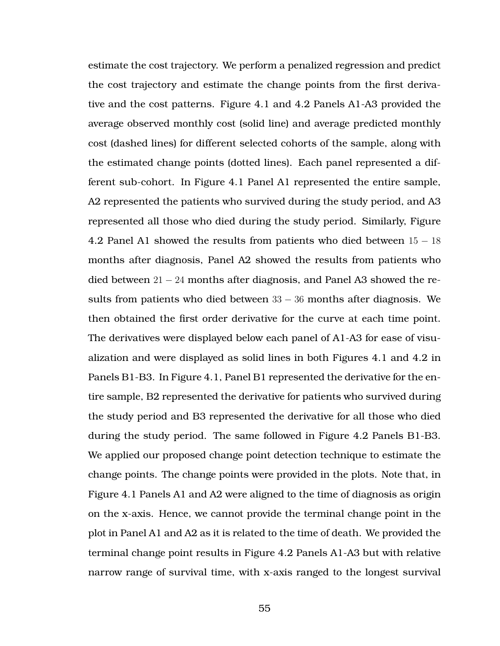estimate the cost trajectory. We perform a penalized regression and predict the cost trajectory and estimate the change points from the first derivative and the cost patterns. Figure [4.1](#page-67-0) and [4.2](#page-68-0) Panels A1-A3 provided the average observed monthly cost (solid line) and average predicted monthly cost (dashed lines) for different selected cohorts of the sample, along with the estimated change points (dotted lines). Each panel represented a different sub-cohort. In Figure [4.1](#page-67-0) Panel A1 represented the entire sample, A2 represented the patients who survived during the study period, and A3 represented all those who died during the study period. Similarly, Figure [4.2](#page-68-0) Panel A1 showed the results from patients who died between  $15 - 18$ months after diagnosis, Panel A2 showed the results from patients who died between  $21 - 24$  months after diagnosis, and Panel A3 showed the results from patients who died between  $33 - 36$  months after diagnosis. We then obtained the first order derivative for the curve at each time point. The derivatives were displayed below each panel of A1-A3 for ease of visualization and were displayed as solid lines in both Figures [4.1](#page-67-0) and [4.2](#page-68-0) in Panels B1-B3. In Figure [4.1,](#page-67-0) Panel B1 represented the derivative for the entire sample, B2 represented the derivative for patients who survived during the study period and B3 represented the derivative for all those who died during the study period. The same followed in Figure [4.2](#page-68-0) Panels B1-B3. We applied our proposed change point detection technique to estimate the change points. The change points were provided in the plots. Note that, in Figure [4.1](#page-67-0) Panels A1 and A2 were aligned to the time of diagnosis as origin on the x-axis. Hence, we cannot provide the terminal change point in the plot in Panel A1 and A2 as it is related to the time of death. We provided the terminal change point results in Figure [4.2](#page-68-0) Panels A1-A3 but with relative narrow range of survival time, with x-axis ranged to the longest survival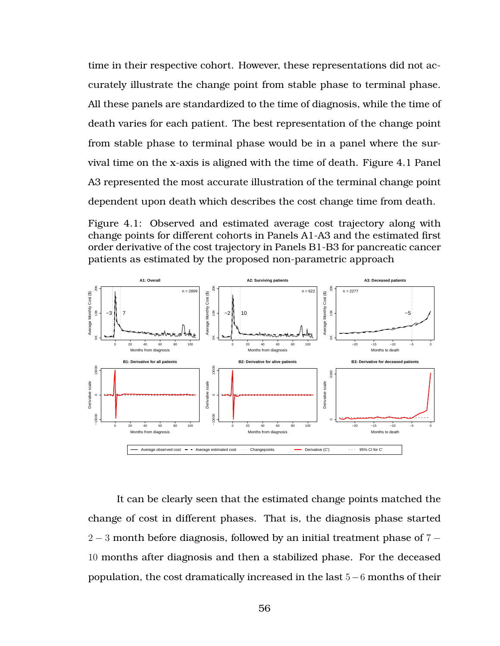time in their respective cohort. However, these representations did not accurately illustrate the change point from stable phase to terminal phase. All these panels are standardized to the time of diagnosis, while the time of death varies for each patient. The best representation of the change point from stable phase to terminal phase would be in a panel where the survival time on the x-axis is aligned with the time of death. Figure [4.1](#page-67-0) Panel A3 represented the most accurate illustration of the terminal change point dependent upon death which describes the cost change time from death.

<span id="page-67-0"></span>Figure 4.1: Observed and estimated average cost trajectory along with change points for different cohorts in Panels A1-A3 and the estimated first order derivative of the cost trajectory in Panels B1-B3 for pancreatic cancer patients as estimated by the proposed non-parametric approach



It can be clearly seen that the estimated change points matched the change of cost in different phases. That is, the diagnosis phase started 2 − 3 month before diagnosis, followed by an initial treatment phase of 7 − 10 months after diagnosis and then a stabilized phase. For the deceased population, the cost dramatically increased in the last 5−6 months of their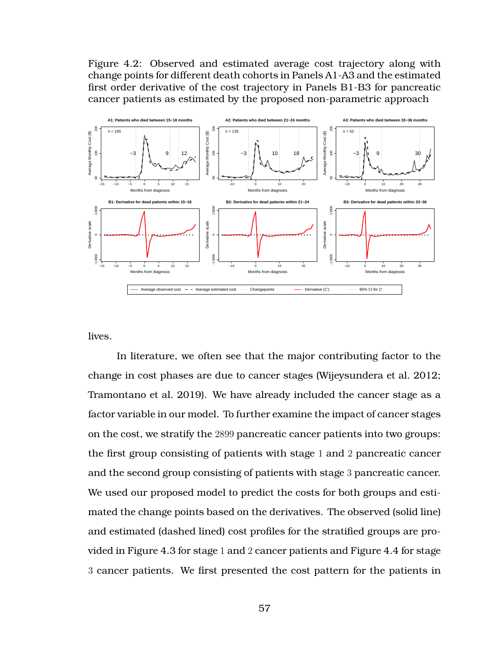<span id="page-68-0"></span>Figure 4.2: Observed and estimated average cost trajectory along with change points for different death cohorts in Panels A1-A3 and the estimated first order derivative of the cost trajectory in Panels B1-B3 for pancreatic cancer patients as estimated by the proposed non-parametric approach



lives.

In literature, we often see that the major contributing factor to the change in cost phases are due to cancer stages (Wijeysundera et al. [2012;](#page-74-0) Tramontano et al. [2019\)](#page-74-1). We have already included the cancer stage as a factor variable in our model. To further examine the impact of cancer stages on the cost, we stratify the 2899 pancreatic cancer patients into two groups: the first group consisting of patients with stage 1 and 2 pancreatic cancer and the second group consisting of patients with stage 3 pancreatic cancer. We used our proposed model to predict the costs for both groups and estimated the change points based on the derivatives. The observed (solid line) and estimated (dashed lined) cost profiles for the stratified groups are provided in Figure [4.3](#page-70-0) for stage 1 and 2 cancer patients and Figure [4.4](#page-70-0) for stage 3 cancer patients. We first presented the cost pattern for the patients in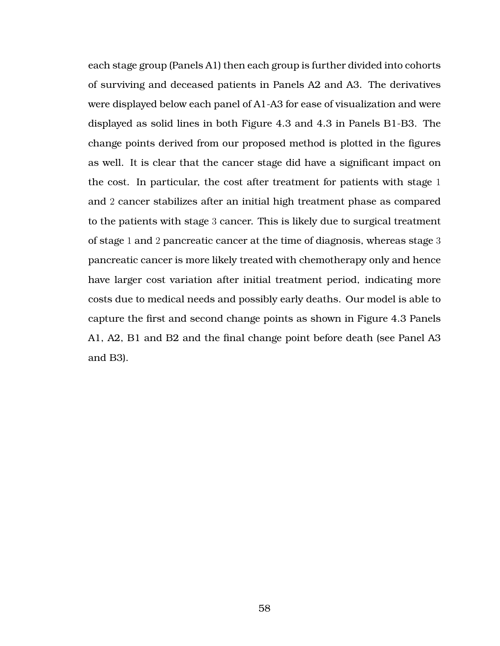each stage group (Panels A1) then each group is further divided into cohorts of surviving and deceased patients in Panels A2 and A3. The derivatives were displayed below each panel of A1-A3 for ease of visualization and were displayed as solid lines in both Figure [4.3](#page-70-0) and [4.3](#page-70-0) in Panels B1-B3. The change points derived from our proposed method is plotted in the figures as well. It is clear that the cancer stage did have a significant impact on the cost. In particular, the cost after treatment for patients with stage 1 and 2 cancer stabilizes after an initial high treatment phase as compared to the patients with stage 3 cancer. This is likely due to surgical treatment of stage 1 and 2 pancreatic cancer at the time of diagnosis, whereas stage 3 pancreatic cancer is more likely treated with chemotherapy only and hence have larger cost variation after initial treatment period, indicating more costs due to medical needs and possibly early deaths. Our model is able to capture the first and second change points as shown in Figure [4.3](#page-70-0) Panels A1, A2, B1 and B2 and the final change point before death (see Panel A3 and B3).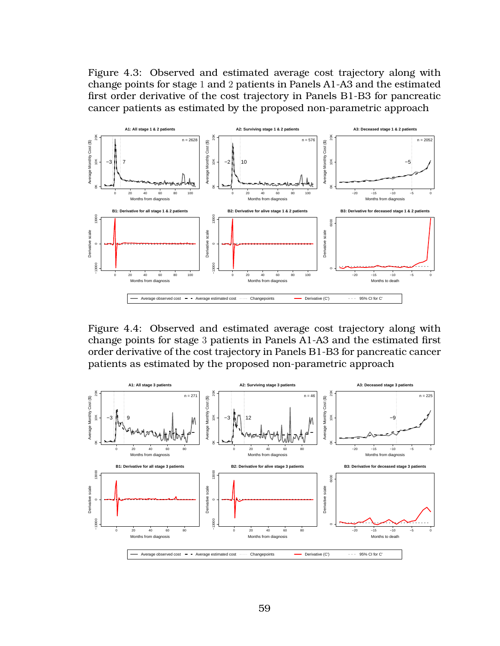<span id="page-70-0"></span>Figure 4.3: Observed and estimated average cost trajectory along with change points for stage 1 and 2 patients in Panels A1-A3 and the estimated first order derivative of the cost trajectory in Panels B1-B3 for pancreatic cancer patients as estimated by the proposed non-parametric approach



Figure 4.4: Observed and estimated average cost trajectory along with change points for stage 3 patients in Panels A1-A3 and the estimated first order derivative of the cost trajectory in Panels B1-B3 for pancreatic cancer patients as estimated by the proposed non-parametric approach

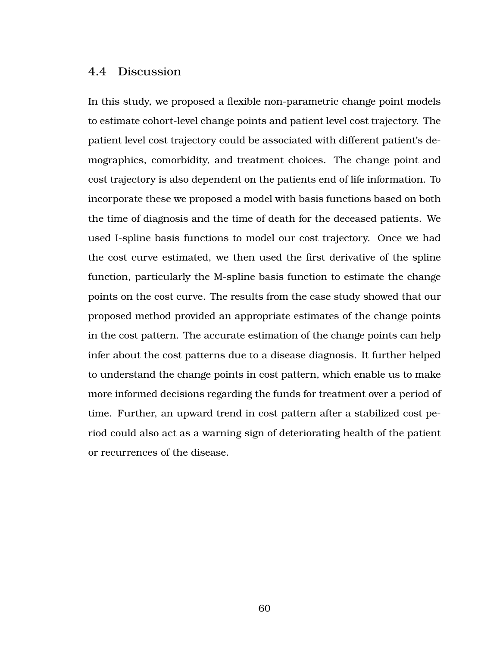### <span id="page-71-0"></span>4.4 Discussion

In this study, we proposed a flexible non-parametric change point models to estimate cohort-level change points and patient level cost trajectory. The patient level cost trajectory could be associated with different patient's demographics, comorbidity, and treatment choices. The change point and cost trajectory is also dependent on the patients end of life information. To incorporate these we proposed a model with basis functions based on both the time of diagnosis and the time of death for the deceased patients. We used I-spline basis functions to model our cost trajectory. Once we had the cost curve estimated, we then used the first derivative of the spline function, particularly the M-spline basis function to estimate the change points on the cost curve. The results from the case study showed that our proposed method provided an appropriate estimates of the change points in the cost pattern. The accurate estimation of the change points can help infer about the cost patterns due to a disease diagnosis. It further helped to understand the change points in cost pattern, which enable us to make more informed decisions regarding the funds for treatment over a period of time. Further, an upward trend in cost pattern after a stabilized cost period could also act as a warning sign of deteriorating health of the patient or recurrences of the disease.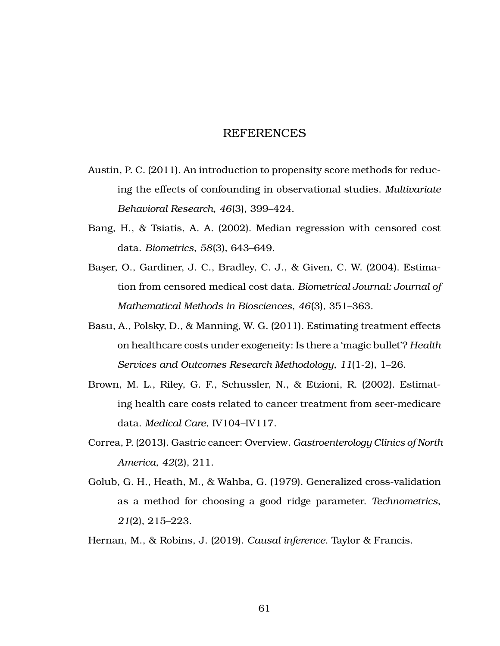## REFERENCES

- Austin, P. C. (2011). An introduction to propensity score methods for reducing the effects of confounding in observational studies. *Multivariate Behavioral Research*, *46*(3), 399–424.
- Bang, H., & Tsiatis, A. A. (2002). Median regression with censored cost data. *Biometrics*, *58*(3), 643–649.
- Baser, O., Gardiner, J. C., Bradley, C. J., & Given, C. W. (2004). Estimation from censored medical cost data. *Biometrical Journal: Journal of Mathematical Methods in Biosciences*, *46*(3), 351–363.
- Basu, A., Polsky, D., & Manning, W. G. (2011). Estimating treatment effects on healthcare costs under exogeneity: Is there a 'magic bullet'? *Health Services and Outcomes Research Methodology*, *11*(1-2), 1–26.
- Brown, M. L., Riley, G. F., Schussler, N., & Etzioni, R. (2002). Estimating health care costs related to cancer treatment from seer-medicare data. *Medical Care*, IV104–IV117.
- Correa, P. (2013). Gastric cancer: Overview. *Gastroenterology Clinics of North America*, *42*(2), 211.
- Golub, G. H., Heath, M., & Wahba, G. (1979). Generalized cross-validation as a method for choosing a good ridge parameter. *Technometrics*, *21*(2), 215–223.

Hernan, M., & Robins, J. (2019). *Causal inference*. Taylor & Francis.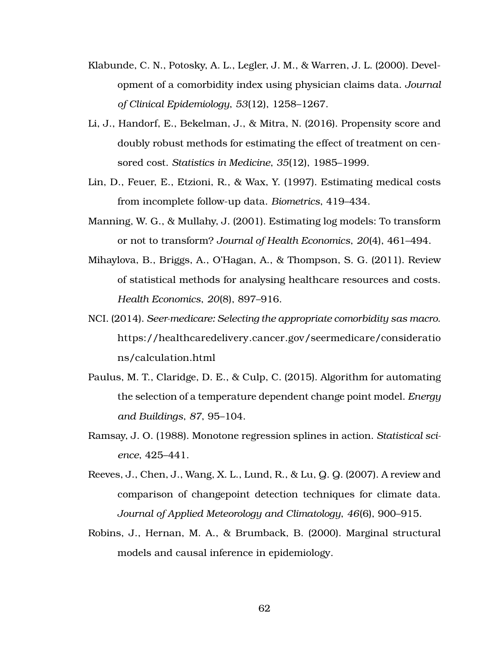- Klabunde, C. N., Potosky, A. L., Legler, J. M., & Warren, J. L. (2000). Development of a comorbidity index using physician claims data. *Journal of Clinical Epidemiology*, *53*(12), 1258–1267.
- Li, J., Handorf, E., Bekelman, J., & Mitra, N. (2016). Propensity score and doubly robust methods for estimating the effect of treatment on censored cost. *Statistics in Medicine*, *35*(12), 1985–1999.
- Lin, D., Feuer, E., Etzioni, R., & Wax, Y. (1997). Estimating medical costs from incomplete follow-up data. *Biometrics*, 419–434.
- Manning, W. G., & Mullahy, J. (2001). Estimating log models: To transform or not to transform? *Journal of Health Economics*, *20*(4), 461–494.
- Mihaylova, B., Briggs, A., O'Hagan, A., & Thompson, S. G. (2011). Review of statistical methods for analysing healthcare resources and costs. *Health Economics*, *20*(8), 897–916.
- NCI. (2014). *Seer-medicare: Selecting the appropriate comorbidity sas macro*. [https://healthcaredelivery.cancer.gov/seermedicare/consideratio](https://healthcaredelivery.cancer.gov/seermedicare/considerations/calculation.html) [ns/calculation.html](https://healthcaredelivery.cancer.gov/seermedicare/considerations/calculation.html)
- Paulus, M. T., Claridge, D. E., & Culp, C. (2015). Algorithm for automating the selection of a temperature dependent change point model. *Energy and Buildings*, *87*, 95–104.
- Ramsay, J. O. (1988). Monotone regression splines in action. *Statistical science*, 425–441.
- Reeves, J., Chen, J., Wang, X. L., Lund, R., & Lu, Q. Q. (2007). A review and comparison of changepoint detection techniques for climate data. *Journal of Applied Meteorology and Climatology*, *46*(6), 900–915.
- Robins, J., Hernan, M. A., & Brumback, B. (2000). Marginal structural models and causal inference in epidemiology.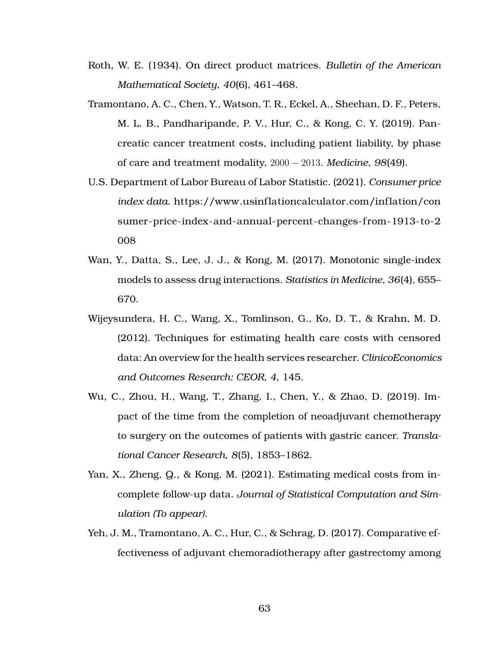- Roth, W. E. (1934). On direct product matrices. *Bulletin of the American Mathematical Society*, *40*(6), 461–468.
- Tramontano, A. C., Chen, Y., Watson, T. R., Eckel, A., Sheehan, D. F., Peters, M. L. B., Pandharipande, P. V., Hur, C., & Kong, C. Y. (2019). Pancreatic cancer treatment costs, including patient liability, by phase of care and treatment modality, 2000 − 2013. *Medicine*, *98*(49).
- U.S. Department of Labor Bureau of Labor Statistic. (2021). *Consumer price index data*. [https://www.usinf lationcalculator.com/inf lation/con](https://www.usinflationcalculator.com/inflation/consumer-price-index-and-annual-percent-changes-from-1913-to-2008) sumer-price-index-and-annual-percent-changes-from-1913-to-2 [008](https://www.usinflationcalculator.com/inflation/consumer-price-index-and-annual-percent-changes-from-1913-to-2008)
- <span id="page-74-0"></span>Wan, Y., Datta, S., Lee, J. J., & Kong, M. (2017). Monotonic single-index models to assess drug interactions. *Statistics in Medicine*, *36*(4), 655– 670.
- Wijeysundera, H. C., Wang, X., Tomlinson, G., Ko, D. T., & Krahn, M. D. (2012). Techniques for estimating health care costs with censored data: An overview for the health services researcher. *ClinicoEconomics and Outcomes Research: CEOR*, *4*, 145.
- Wu, C., Zhou, H., Wang, T., Zhang, I., Chen, Y., & Zhao, D. (2019). Impact of the time from the completion of neoadjuvant chemotherapy to surgery on the outcomes of patients with gastric cancer. *Translational Cancer Research*, *8*(5), 1853–1862.
- Yan, X., Zheng, Q., & Kong, M. (2021). Estimating medical costs from incomplete follow-up data. *Journal of Statistical Computation and Simulation (To appear)*.
- Yeh, J. M., Tramontano, A. C., Hur, C., & Schrag, D. (2017). Comparative effectiveness of adjuvant chemoradiotherapy after gastrectomy among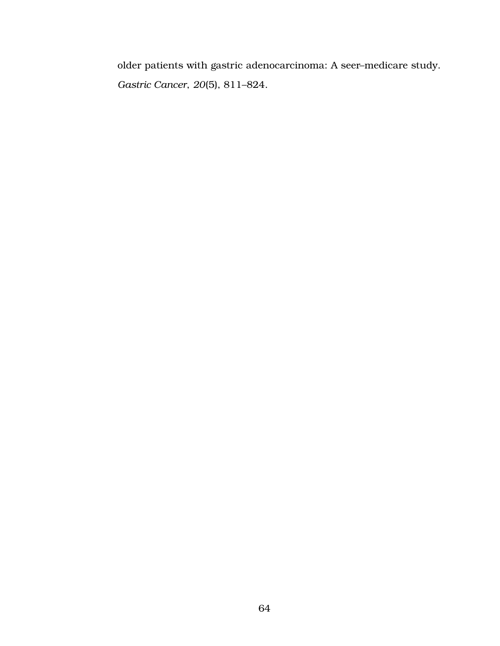older patients with gastric adenocarcinoma: A seer–medicare study. *Gastric Cancer*, *20*(5), 811–824.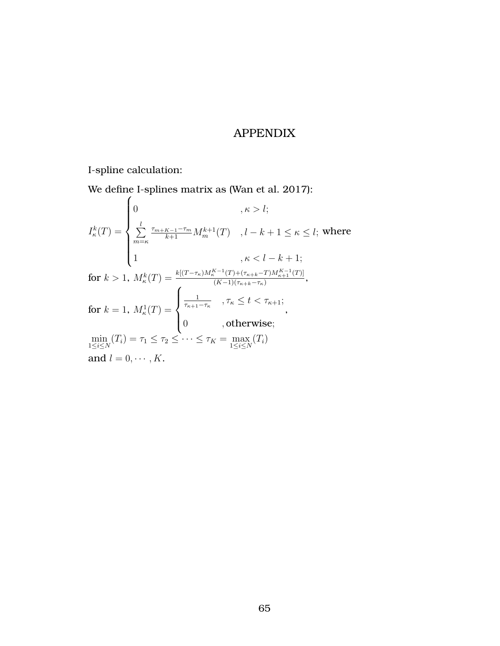## APPENDIX

I-spline calculation:

We define I-splines matrix as (Wan et al. [2017\)](#page-74-0):

$$
I_{\kappa}^{k}(T) = \begin{cases} 0 & , \kappa > l; \\ \sum_{m=\kappa}^{l} \frac{\tau_{m+K-1}-\tau_{m}}{k+1} M_{m}^{k+1}(T) & , l-k+1 \leq \kappa \leq l; \text{ where} \\ 1 & , \kappa < l-k+1; \end{cases}
$$
  
for  $k > 1$ ,  $M_{\kappa}^{k}(T) = \frac{k[(T-\tau_{\kappa})M_{\kappa}^{K-1}(T)+(\tau_{\kappa+k}-T)M_{\kappa+1}^{K-1}(T)]}{(K-1)(\tau_{\kappa+k}-\tau_{\kappa})}$ ,  
for  $k = 1$ ,  $M_{\kappa}^{1}(T) = \begin{cases} \frac{1}{\tau_{\kappa+1}-\tau_{\kappa}} & , \tau_{\kappa} \leq t < \tau_{\kappa+1}; \\ 0 & , \text{otherwise}; \end{cases}$ ,  
 $\min_{1 \leq i \leq N} (T_{i}) = \tau_{1} \leq \tau_{2} \leq \cdots \leq \tau_{K} = \max_{1 \leq i \leq N} (T_{i})$   
and  $l = 0, \cdots, K$ .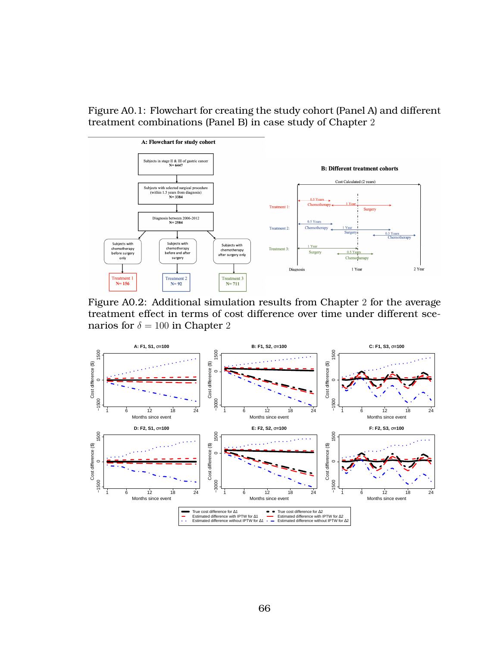Figure A0.1: Flowchart for creating the study cohort (Panel A) and different treatment combinations (Panel B) in case study of Chapter 2



Figure A0.2: Additional simulation results from Chapter 2 for the average treatment effect in terms of cost difference over time under different scenarios for  $\delta = 100$  in Chapter 2